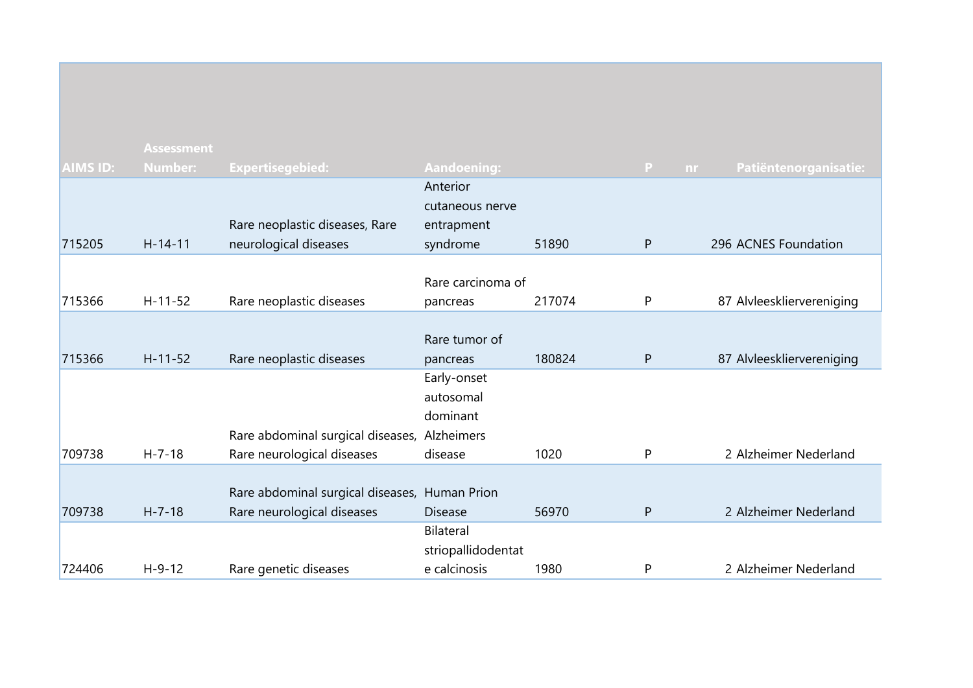|                 | <b>Assessment</b> |                                               |                    |        |                     |                           |
|-----------------|-------------------|-----------------------------------------------|--------------------|--------|---------------------|---------------------------|
| <b>AIMS ID:</b> | <b>Number:</b>    | <b>Expertisegebied:</b>                       | <b>Aandoening:</b> |        | $\mathbf{P}$<br>nr. | Patiëntenorganisatie:     |
|                 |                   |                                               | Anterior           |        |                     |                           |
|                 |                   |                                               | cutaneous nerve    |        |                     |                           |
|                 |                   | Rare neoplastic diseases, Rare                | entrapment         |        |                     |                           |
| 715205          | $H-14-11$         | neurological diseases                         | syndrome           | 51890  | P                   | 296 ACNES Foundation      |
|                 |                   |                                               |                    |        |                     |                           |
|                 |                   |                                               | Rare carcinoma of  |        |                     |                           |
| 715366          | $H-11-52$         | Rare neoplastic diseases                      | pancreas           | 217074 | P                   | 87 Alvleeskliervereniging |
|                 |                   |                                               |                    |        |                     |                           |
|                 |                   |                                               | Rare tumor of      |        |                     |                           |
| 715366          | $H - 11 - 52$     | Rare neoplastic diseases                      | pancreas           | 180824 | P                   | 87 Alvleeskliervereniging |
|                 |                   |                                               | Early-onset        |        |                     |                           |
|                 |                   |                                               | autosomal          |        |                     |                           |
|                 |                   |                                               | dominant           |        |                     |                           |
|                 |                   | Rare abdominal surgical diseases, Alzheimers  |                    |        |                     |                           |
| 709738          | $H - 7 - 18$      | Rare neurological diseases                    | disease            | 1020   | P                   | 2 Alzheimer Nederland     |
|                 |                   |                                               |                    |        |                     |                           |
|                 |                   | Rare abdominal surgical diseases, Human Prion |                    |        |                     |                           |
| 709738          | $H - 7 - 18$      | Rare neurological diseases                    | <b>Disease</b>     | 56970  | ${\sf P}$           | 2 Alzheimer Nederland     |
|                 |                   |                                               | Bilateral          |        |                     |                           |
|                 |                   |                                               | striopallidodentat |        |                     |                           |
| 724406          | $H - 9 - 12$      | Rare genetic diseases                         | e calcinosis       | 1980   | P                   | 2 Alzheimer Nederland     |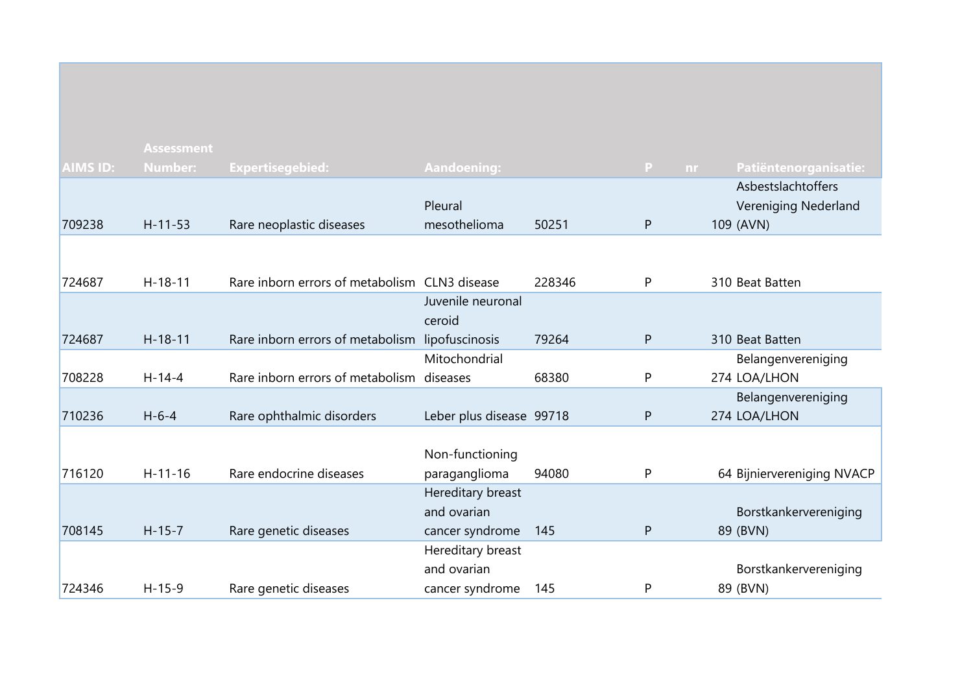|                 | <b>Assessment</b> |                                                 |                          |        |                |                            |
|-----------------|-------------------|-------------------------------------------------|--------------------------|--------|----------------|----------------------------|
| <b>AIMS ID:</b> | <b>Number:</b>    | <b>Expertisegebied:</b>                         | <b>Aandoening:</b>       |        | P<br><b>nr</b> | Patiëntenorganisatie:      |
|                 |                   |                                                 |                          |        |                | Asbestslachtoffers         |
|                 |                   |                                                 | Pleural                  |        |                | Vereniging Nederland       |
| 709238          | $H - 11 - 53$     | Rare neoplastic diseases                        | mesothelioma             | 50251  | $\mathsf{P}$   | 109 (AVN)                  |
|                 |                   |                                                 |                          |        |                |                            |
| 724687          | $H-18-11$         | Rare inborn errors of metabolism CLN3 disease   |                          | 228346 | P              | 310 Beat Batten            |
|                 |                   |                                                 | Juvenile neuronal        |        |                |                            |
|                 |                   |                                                 | ceroid                   |        |                |                            |
| 724687          | $H - 18 - 11$     | Rare inborn errors of metabolism lipofuscinosis |                          | 79264  | $\mathsf{P}$   | 310 Beat Batten            |
|                 |                   |                                                 | Mitochondrial            |        |                | Belangenvereniging         |
| 708228          | $H - 14 - 4$      | Rare inborn errors of metabolism diseases       |                          | 68380  | P              | 274 LOA/LHON               |
|                 |                   |                                                 |                          |        |                | Belangenvereniging         |
| 710236          | $H - 6 - 4$       | Rare ophthalmic disorders                       | Leber plus disease 99718 |        | $\mathsf{P}$   | 274 LOA/LHON               |
|                 |                   |                                                 |                          |        |                |                            |
|                 |                   |                                                 | Non-functioning          |        |                |                            |
| 716120          | $H - 11 - 16$     | Rare endocrine diseases                         | paraganglioma            | 94080  | P              | 64 Bijniervereniging NVACP |
|                 |                   |                                                 | Hereditary breast        |        |                |                            |
|                 |                   |                                                 | and ovarian              |        |                | Borstkankervereniging      |
| 708145          | $H-15-7$          | Rare genetic diseases                           | cancer syndrome          | 145    | P              | 89 (BVN)                   |
|                 |                   |                                                 | Hereditary breast        |        |                |                            |
|                 |                   |                                                 | and ovarian              |        |                | Borstkankervereniging      |
| 724346          | $H-15-9$          | Rare genetic diseases                           | cancer syndrome          | 145    | P              | 89 (BVN)                   |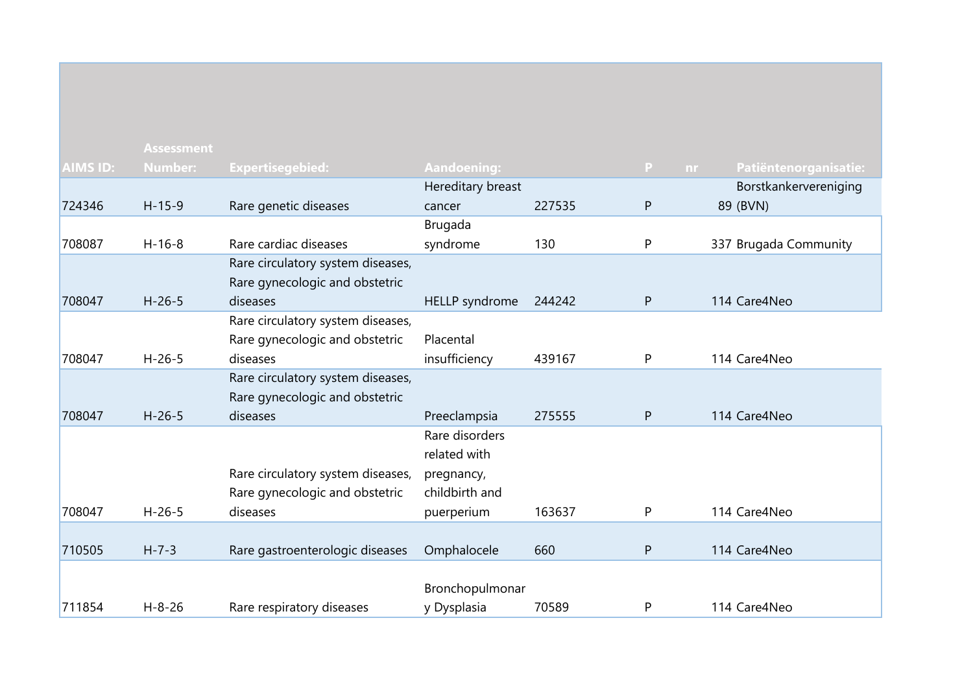|                 | <b>Assessment</b> |                                   |                    |        |                     |                       |
|-----------------|-------------------|-----------------------------------|--------------------|--------|---------------------|-----------------------|
| <b>AIMS ID:</b> | Number:           | <b>Expertisegebied:</b>           | <b>Aandoening:</b> |        | $\mathbf{P}$<br>nr. | Patiëntenorganisatie: |
|                 |                   |                                   | Hereditary breast  |        |                     | Borstkankervereniging |
| 724346          | $H-15-9$          | Rare genetic diseases             | cancer             | 227535 | P                   | 89 (BVN)              |
|                 |                   |                                   | Brugada            |        |                     |                       |
| 708087          | $H-16-8$          | Rare cardiac diseases             | syndrome           | 130    | P                   | 337 Brugada Community |
|                 |                   | Rare circulatory system diseases, |                    |        |                     |                       |
|                 |                   | Rare gynecologic and obstetric    |                    |        |                     |                       |
| 708047          | $H - 26 - 5$      | diseases                          | HELLP syndrome     | 244242 | $\mathsf{P}$        | 114 Care4Neo          |
|                 |                   | Rare circulatory system diseases, |                    |        |                     |                       |
|                 |                   | Rare gynecologic and obstetric    | Placental          |        |                     |                       |
| 708047          | $H-26-5$          | diseases                          | insufficiency      | 439167 | P                   | 114 Care4Neo          |
|                 |                   | Rare circulatory system diseases, |                    |        |                     |                       |
|                 |                   | Rare gynecologic and obstetric    |                    |        |                     |                       |
| 708047          | $H - 26 - 5$      | diseases                          | Preeclampsia       | 275555 | P                   | 114 Care4Neo          |
|                 |                   |                                   | Rare disorders     |        |                     |                       |
|                 |                   |                                   | related with       |        |                     |                       |
|                 |                   | Rare circulatory system diseases, | pregnancy,         |        |                     |                       |
|                 |                   | Rare gynecologic and obstetric    | childbirth and     |        |                     |                       |
| 708047          | $H-26-5$          | diseases                          | puerperium         | 163637 | P                   | 114 Care4Neo          |
|                 |                   |                                   |                    |        |                     |                       |
| 710505          | $H - 7 - 3$       | Rare gastroenterologic diseases   | Omphalocele        | 660    | P                   | 114 Care4Neo          |
|                 |                   |                                   |                    |        |                     |                       |
|                 |                   |                                   | Bronchopulmonar    |        |                     |                       |
| 711854          | $H - 8 - 26$      | Rare respiratory diseases         | y Dysplasia        | 70589  | P                   | 114 Care4Neo          |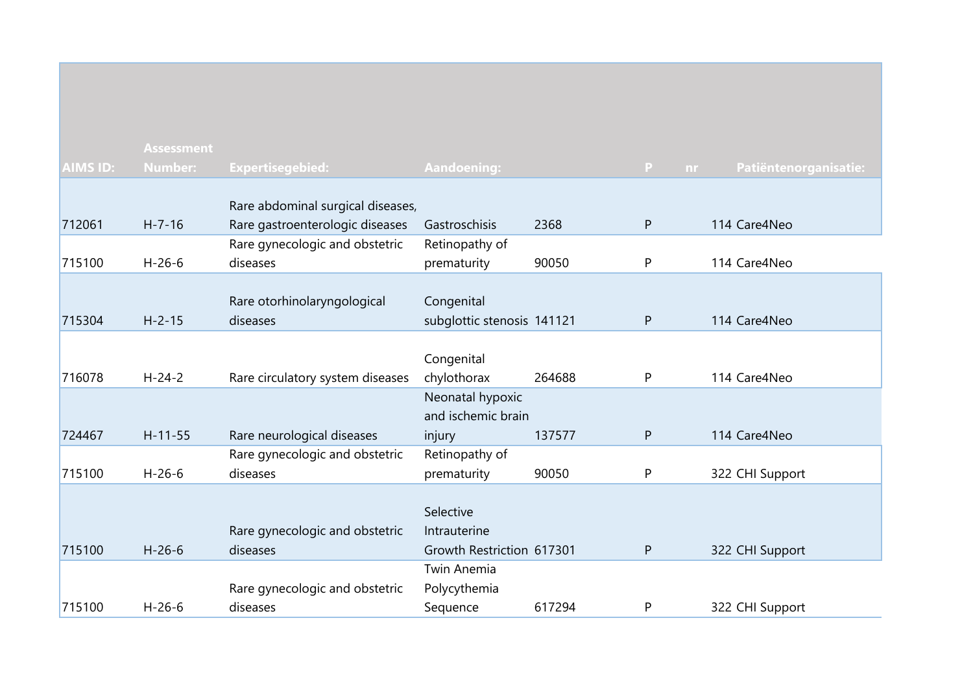|                 | <b>Assessment</b> |                                   |                                 |        |              |                       |
|-----------------|-------------------|-----------------------------------|---------------------------------|--------|--------------|-----------------------|
| <b>AIMS ID:</b> | <b>Number:</b>    | <b>Expertisegebied:</b>           | <b>Aandoening:</b>              |        | P<br>nr.     | Patiëntenorganisatie: |
|                 |                   |                                   |                                 |        |              |                       |
|                 |                   | Rare abdominal surgical diseases, |                                 |        |              |                       |
| 712061          | $H - 7 - 16$      | Rare gastroenterologic diseases   | Gastroschisis                   | 2368   | $\mathsf{P}$ | 114 Care4Neo          |
|                 |                   | Rare gynecologic and obstetric    | Retinopathy of                  |        |              |                       |
| 715100          | $H - 26 - 6$      | diseases                          | prematurity                     | 90050  | P            | 114 Care4Neo          |
|                 |                   |                                   |                                 |        |              |                       |
|                 |                   | Rare otorhinolaryngological       | Congenital                      |        |              |                       |
| 715304          | $H - 2 - 15$      | diseases                          | subglottic stenosis 141121      |        | P            | 114 Care4Neo          |
|                 |                   |                                   |                                 |        |              |                       |
| 716078          | $H - 24 - 2$      |                                   | Congenital                      | 264688 | $\mathsf{P}$ | 114 Care4Neo          |
|                 |                   | Rare circulatory system diseases  | chylothorax<br>Neonatal hypoxic |        |              |                       |
|                 |                   |                                   | and ischemic brain              |        |              |                       |
| 724467          | $H - 11 - 55$     | Rare neurological diseases        | injury                          | 137577 | $\mathsf{P}$ | 114 Care4Neo          |
|                 |                   | Rare gynecologic and obstetric    | Retinopathy of                  |        |              |                       |
| 715100          | $H-26-6$          | diseases                          | prematurity                     | 90050  | P            | 322 CHI Support       |
|                 |                   |                                   |                                 |        |              |                       |
|                 |                   |                                   | Selective                       |        |              |                       |
|                 |                   | Rare gynecologic and obstetric    | Intrauterine                    |        |              |                       |
| 715100          | $H - 26 - 6$      | diseases                          | Growth Restriction 617301       |        | P            | 322 CHI Support       |
|                 |                   |                                   | Twin Anemia                     |        |              |                       |
|                 |                   | Rare gynecologic and obstetric    | Polycythemia                    |        |              |                       |
| 715100          | $H - 26 - 6$      | diseases                          | Sequence                        | 617294 | P            | 322 CHI Support       |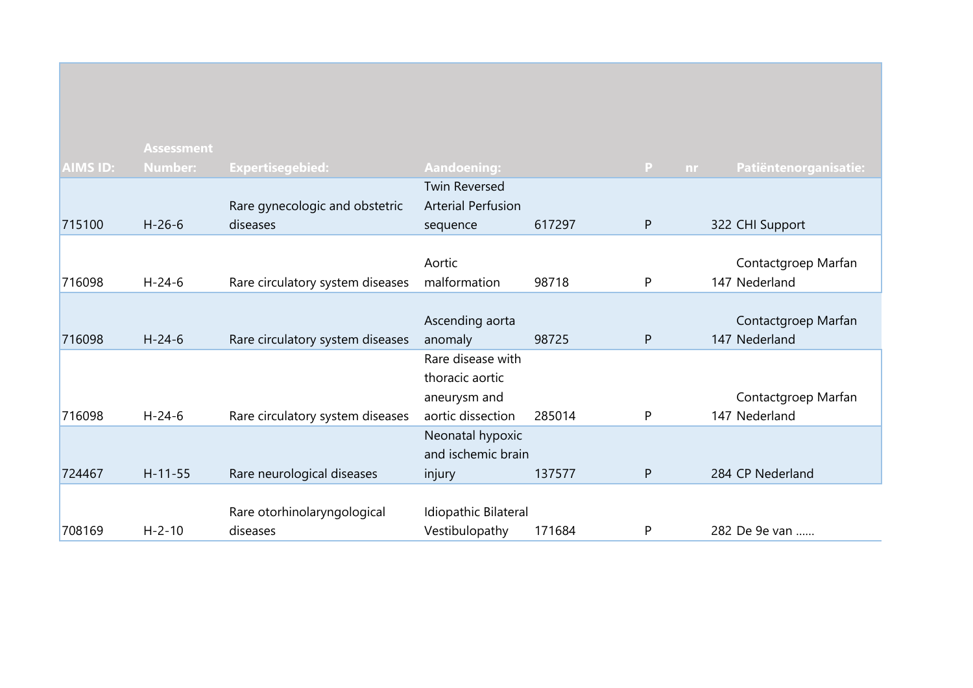|                 | <b>Assessment</b> |                                  |                           |        |                |                       |
|-----------------|-------------------|----------------------------------|---------------------------|--------|----------------|-----------------------|
| <b>AIMS ID:</b> | <b>Number:</b>    | <b>Expertisegebied:</b>          | <b>Aandoening:</b>        |        | P<br><b>nr</b> | Patiëntenorganisatie: |
|                 |                   |                                  | <b>Twin Reversed</b>      |        |                |                       |
|                 |                   | Rare gynecologic and obstetric   | <b>Arterial Perfusion</b> |        |                |                       |
| 715100          | $H - 26 - 6$      | diseases                         | sequence                  | 617297 | $\mathsf{P}$   | 322 CHI Support       |
|                 |                   |                                  |                           |        |                |                       |
|                 |                   |                                  | Aortic                    |        |                | Contactgroep Marfan   |
| 716098          | $H - 24 - 6$      | Rare circulatory system diseases | malformation              | 98718  | P              | 147 Nederland         |
|                 |                   |                                  |                           |        |                |                       |
|                 |                   |                                  | Ascending aorta           |        |                | Contactgroep Marfan   |
| 716098          | $H - 24 - 6$      | Rare circulatory system diseases | anomaly                   | 98725  | P              | 147 Nederland         |
|                 |                   |                                  | Rare disease with         |        |                |                       |
|                 |                   |                                  | thoracic aortic           |        |                |                       |
|                 |                   |                                  | aneurysm and              |        |                | Contactgroep Marfan   |
| 716098          | $H - 24 - 6$      | Rare circulatory system diseases | aortic dissection         | 285014 | P              | 147 Nederland         |
|                 |                   |                                  | Neonatal hypoxic          |        |                |                       |
|                 |                   |                                  | and ischemic brain        |        |                |                       |
| 724467          | $H-11-55$         | Rare neurological diseases       | injury                    | 137577 | P              | 284 CP Nederland      |
|                 |                   |                                  |                           |        |                |                       |
|                 |                   | Rare otorhinolaryngological      | Idiopathic Bilateral      |        |                |                       |
| 708169          | $H - 2 - 10$      | diseases                         | Vestibulopathy            | 171684 | P              | 282 De 9e van         |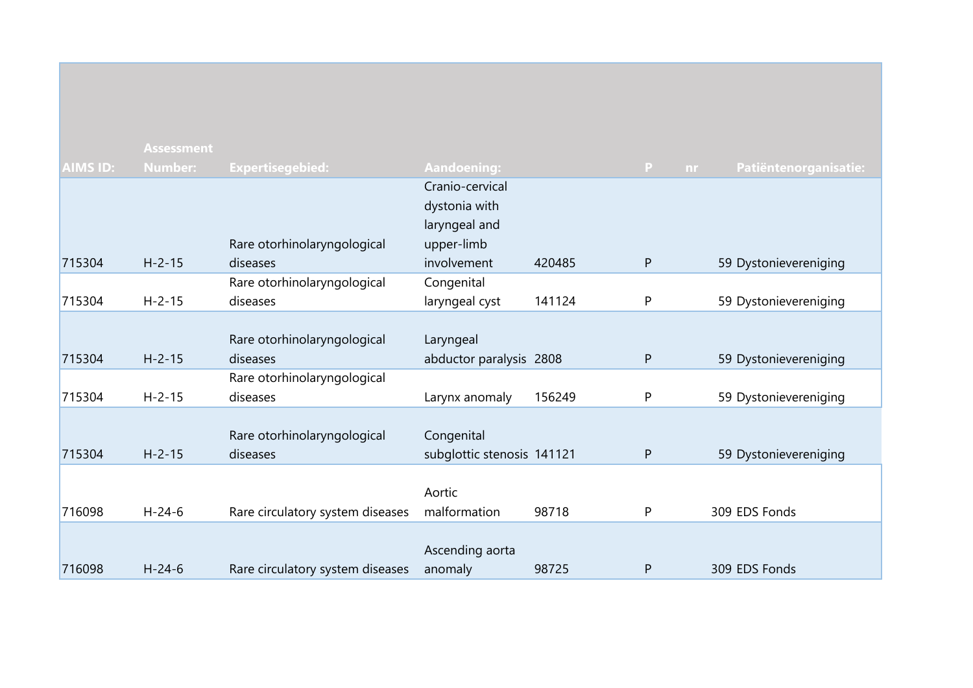|                 | <b>Assessment</b> |                                  |                            |        |                     |                       |
|-----------------|-------------------|----------------------------------|----------------------------|--------|---------------------|-----------------------|
| <b>AIMS ID:</b> | <b>Number:</b>    | <b>Expertisegebied:</b>          | <b>Aandoening:</b>         |        | $\mathbf{P}$<br>nr. | Patiëntenorganisatie: |
|                 |                   |                                  | Cranio-cervical            |        |                     |                       |
|                 |                   |                                  | dystonia with              |        |                     |                       |
|                 |                   |                                  | laryngeal and              |        |                     |                       |
|                 |                   | Rare otorhinolaryngological      | upper-limb                 |        |                     |                       |
| 715304          | $H - 2 - 15$      | diseases                         | involvement                | 420485 | $\mathsf{P}$        | 59 Dystonievereniging |
|                 |                   | Rare otorhinolaryngological      | Congenital                 |        |                     |                       |
| 715304          | $H - 2 - 15$      | diseases                         | laryngeal cyst             | 141124 | P                   | 59 Dystonievereniging |
|                 |                   |                                  |                            |        |                     |                       |
|                 |                   | Rare otorhinolaryngological      | Laryngeal                  |        |                     |                       |
| 715304          | $H - 2 - 15$      | diseases                         | abductor paralysis 2808    |        | $\mathsf{P}$        | 59 Dystonievereniging |
|                 |                   | Rare otorhinolaryngological      |                            |        |                     |                       |
| 715304          | $H - 2 - 15$      | diseases                         | Larynx anomaly             | 156249 | P                   | 59 Dystonievereniging |
|                 |                   |                                  |                            |        |                     |                       |
|                 |                   | Rare otorhinolaryngological      | Congenital                 |        |                     |                       |
| 715304          | $H - 2 - 15$      | diseases                         | subglottic stenosis 141121 |        | $\mathsf{P}$        | 59 Dystonievereniging |
|                 |                   |                                  |                            |        |                     |                       |
|                 |                   |                                  | Aortic                     |        |                     |                       |
| 716098          | $H - 24 - 6$      | Rare circulatory system diseases | malformation               | 98718  | P                   | 309 EDS Fonds         |
|                 |                   |                                  |                            |        |                     |                       |
|                 |                   |                                  | Ascending aorta            |        |                     |                       |
| 716098          | $H - 24 - 6$      | Rare circulatory system diseases | anomaly                    | 98725  | P                   | 309 EDS Fonds         |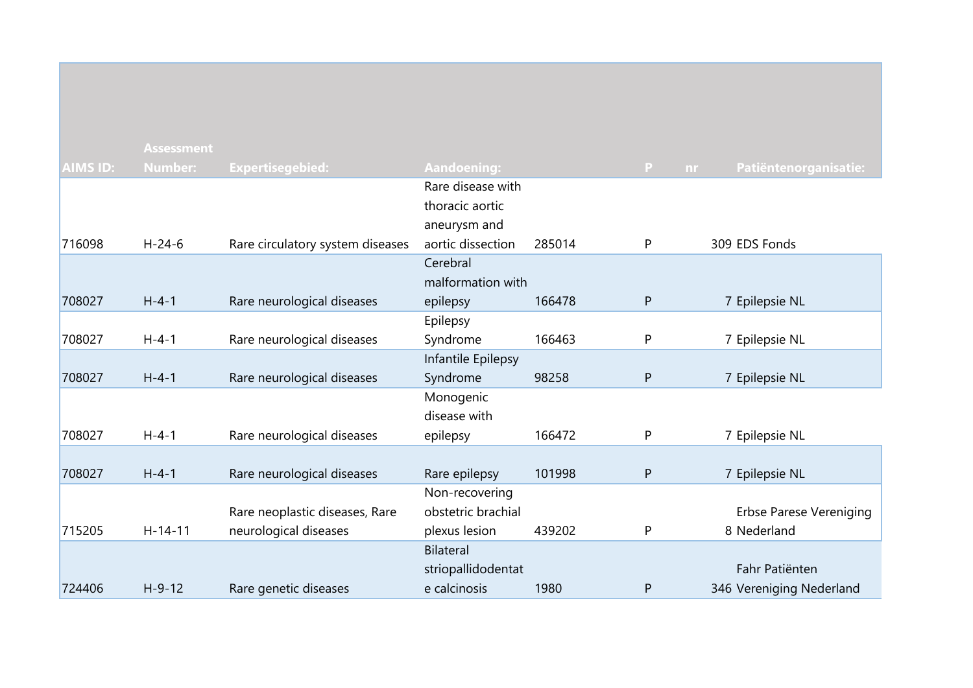|                 | <b>Assessment</b> |                                  |                    |        |              |                                |
|-----------------|-------------------|----------------------------------|--------------------|--------|--------------|--------------------------------|
| <b>AIMS ID:</b> | <b>Number:</b>    | <b>Expertisegebied:</b>          | <b>Aandoening:</b> |        | P            | Patiëntenorganisatie:<br>nr.   |
|                 |                   |                                  | Rare disease with  |        |              |                                |
|                 |                   |                                  | thoracic aortic    |        |              |                                |
|                 |                   |                                  | aneurysm and       |        |              |                                |
| 716098          | $H - 24 - 6$      | Rare circulatory system diseases | aortic dissection  | 285014 | P            | 309 EDS Fonds                  |
|                 |                   |                                  | Cerebral           |        |              |                                |
|                 |                   |                                  | malformation with  |        |              |                                |
| 708027          | $H - 4 - 1$       | Rare neurological diseases       | epilepsy           | 166478 | $\mathsf{P}$ | 7 Epilepsie NL                 |
|                 |                   |                                  | Epilepsy           |        |              |                                |
| 708027          | $H - 4 - 1$       | Rare neurological diseases       | Syndrome           | 166463 | P            | 7 Epilepsie NL                 |
|                 |                   |                                  | Infantile Epilepsy |        |              |                                |
| 708027          | $H - 4 - 1$       | Rare neurological diseases       | Syndrome           | 98258  | $\mathsf{P}$ | 7 Epilepsie NL                 |
|                 |                   |                                  | Monogenic          |        |              |                                |
|                 |                   |                                  | disease with       |        |              |                                |
| 708027          | $H - 4 - 1$       | Rare neurological diseases       | epilepsy           | 166472 | P            | 7 Epilepsie NL                 |
|                 |                   |                                  |                    |        |              |                                |
| 708027          | $H - 4 - 1$       | Rare neurological diseases       | Rare epilepsy      | 101998 | $\mathsf{P}$ | 7 Epilepsie NL                 |
|                 |                   |                                  | Non-recovering     |        |              |                                |
|                 |                   | Rare neoplastic diseases, Rare   | obstetric brachial |        |              | <b>Erbse Parese Vereniging</b> |
| 715205          | $H - 14 - 11$     | neurological diseases            | plexus lesion      | 439202 | P            | 8 Nederland                    |
|                 |                   |                                  | <b>Bilateral</b>   |        |              | Fahr Patiënten                 |
| 724406          | $H - 9 - 12$      |                                  | striopallidodentat | 1980   |              |                                |
|                 |                   | Rare genetic diseases            | e calcinosis       |        | $\mathsf{P}$ | 346 Vereniging Nederland       |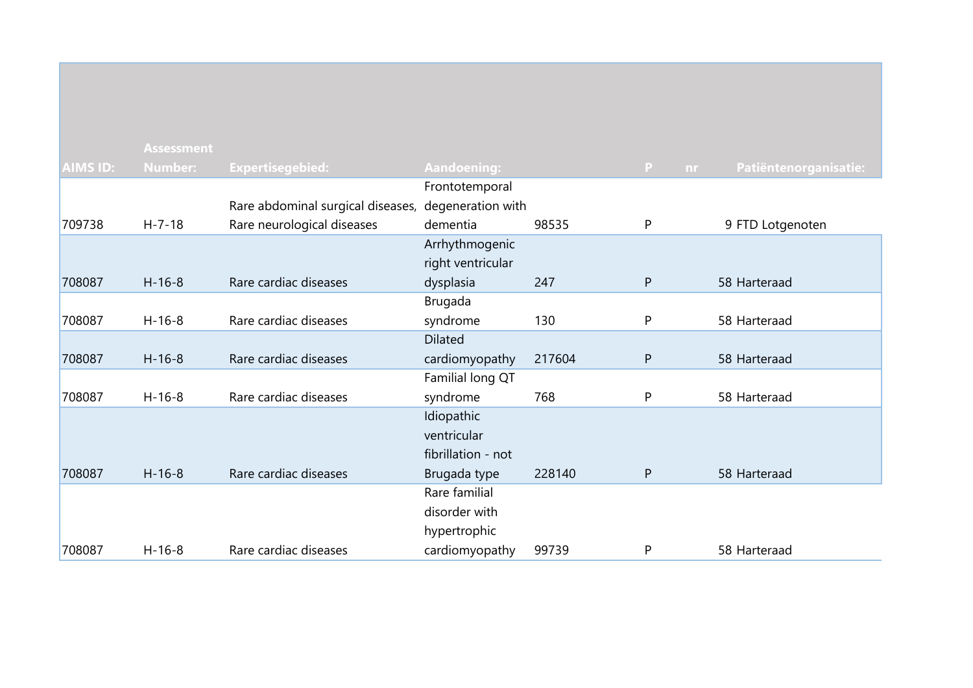|                 | <b>Assessment</b> |                                                     |                    |        |              |                       |
|-----------------|-------------------|-----------------------------------------------------|--------------------|--------|--------------|-----------------------|
| <b>AIMS ID:</b> | <b>Number:</b>    | <b>Expertisegebied:</b>                             | <b>Aandoening:</b> |        | P<br>nr.     | Patiëntenorganisatie: |
|                 |                   |                                                     | Frontotemporal     |        |              |                       |
|                 |                   | Rare abdominal surgical diseases, degeneration with |                    |        |              |                       |
| 709738          | $H - 7 - 18$      | Rare neurological diseases                          | dementia           | 98535  | $\mathsf{P}$ | 9 FTD Lotgenoten      |
|                 |                   |                                                     | Arrhythmogenic     |        |              |                       |
|                 |                   |                                                     | right ventricular  |        |              |                       |
| 708087          | $H - 16 - 8$      | Rare cardiac diseases                               | dysplasia          | 247    | ${\sf P}$    | 58 Harteraad          |
|                 |                   |                                                     | Brugada            |        |              |                       |
| 708087          | $H - 16 - 8$      | Rare cardiac diseases                               | syndrome           | 130    | P            | 58 Harteraad          |
|                 |                   |                                                     | <b>Dilated</b>     |        |              |                       |
| 708087          | $H - 16 - 8$      | Rare cardiac diseases                               | cardiomyopathy     | 217604 | $\mathsf{P}$ | 58 Harteraad          |
|                 |                   |                                                     | Familial long QT   |        |              |                       |
| 708087          | $H-16-8$          | Rare cardiac diseases                               | syndrome           | 768    | P            | 58 Harteraad          |
|                 |                   |                                                     | Idiopathic         |        |              |                       |
|                 |                   |                                                     | ventricular        |        |              |                       |
|                 |                   |                                                     | fibrillation - not |        |              |                       |
| 708087          | $H - 16 - 8$      | Rare cardiac diseases                               | Brugada type       | 228140 | P            | 58 Harteraad          |
|                 |                   |                                                     | Rare familial      |        |              |                       |
|                 |                   |                                                     | disorder with      |        |              |                       |
|                 |                   |                                                     | hypertrophic       |        |              |                       |
| 708087          | $H - 16 - 8$      | Rare cardiac diseases                               | cardiomyopathy     | 99739  | P            | 58 Harteraad          |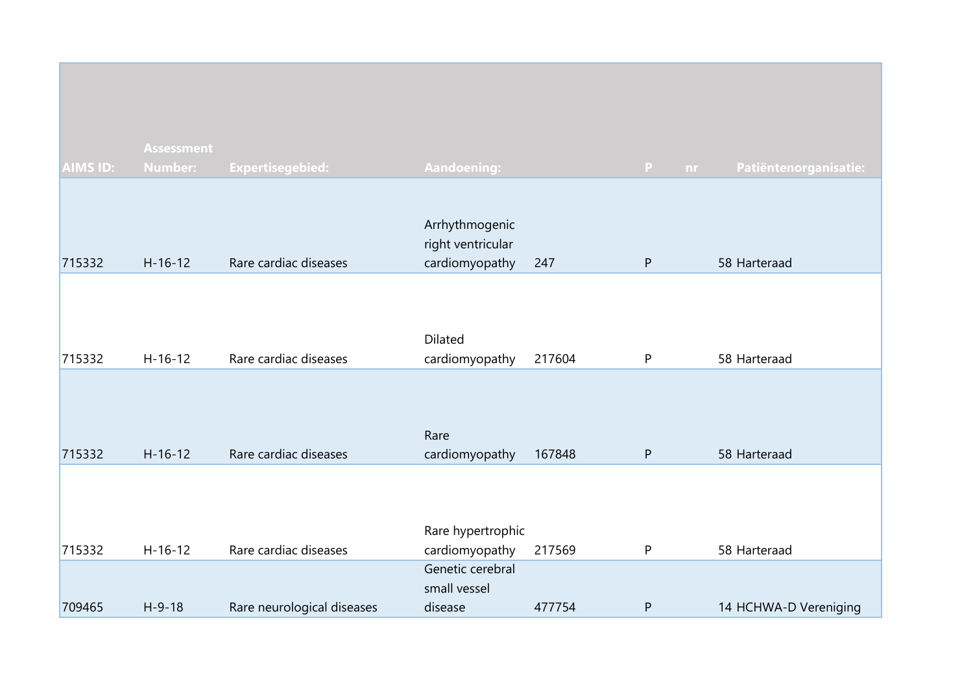|                 | <b>Assessment</b> |                            |                                                       |        |           |                       |
|-----------------|-------------------|----------------------------|-------------------------------------------------------|--------|-----------|-----------------------|
| <b>AIMS ID:</b> | <b>Number:</b>    | <b>Expertisegebied:</b>    | Aandoening:                                           |        | P<br>nr.  | Patiëntenorganisatie: |
| 715332          | $H-16-12$         | Rare cardiac diseases      | Arrhythmogenic<br>right ventricular<br>cardiomyopathy | 247    | P         | 58 Harteraad          |
| 715332          | $H-16-12$         | Rare cardiac diseases      | Dilated<br>cardiomyopathy                             | 217604 | P         | 58 Harteraad          |
| 715332          | $H-16-12$         | Rare cardiac diseases      | Rare<br>cardiomyopathy                                | 167848 | ${\sf P}$ | 58 Harteraad          |
| 715332          | $H-16-12$         | Rare cardiac diseases      | Rare hypertrophic<br>cardiomyopathy                   | 217569 | P         | 58 Harteraad          |
| 709465          | $H-9-18$          | Rare neurological diseases | Genetic cerebral<br>small vessel<br>disease           | 477754 | ${\sf P}$ | 14 HCHWA-D Vereniging |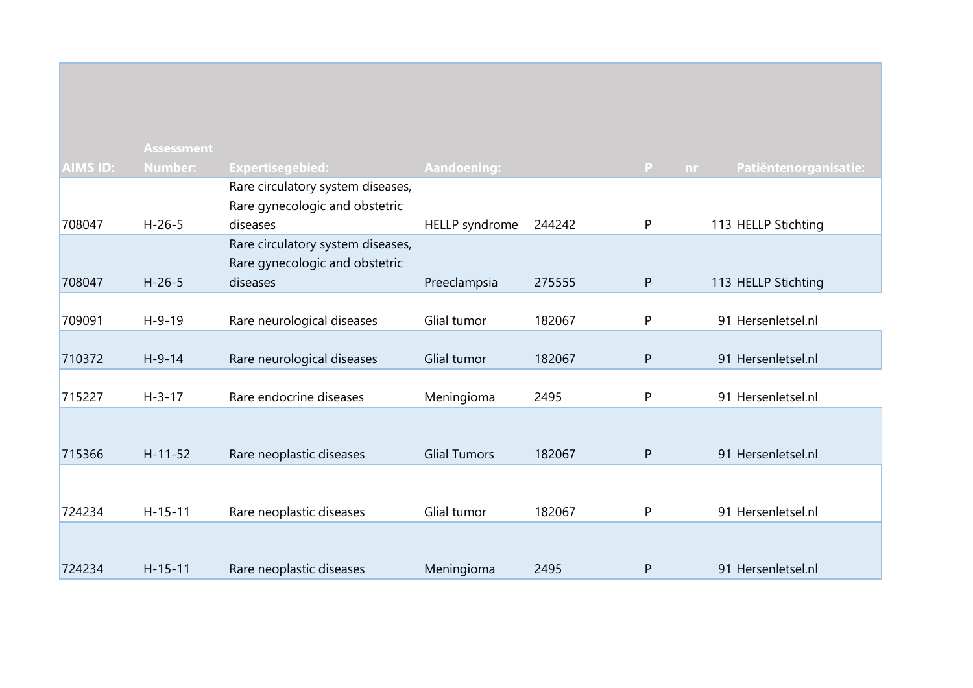|                 | <b>Assessment</b> |                                   |                     |        |                     |                       |
|-----------------|-------------------|-----------------------------------|---------------------|--------|---------------------|-----------------------|
| <b>AIMS ID:</b> | <b>Number:</b>    | <b>Expertisegebied:</b>           | <b>Aandoening:</b>  |        | $\mathbf{P}$<br>nr. | Patiëntenorganisatie: |
|                 |                   | Rare circulatory system diseases, |                     |        |                     |                       |
|                 |                   | Rare gynecologic and obstetric    |                     |        |                     |                       |
| 708047          | $H - 26 - 5$      | diseases                          | HELLP syndrome      | 244242 | P                   | 113 HELLP Stichting   |
|                 |                   | Rare circulatory system diseases, |                     |        |                     |                       |
|                 |                   | Rare gynecologic and obstetric    |                     |        |                     |                       |
| 708047          | $H - 26 - 5$      | diseases                          | Preeclampsia        | 275555 | ${\sf P}$           | 113 HELLP Stichting   |
|                 |                   |                                   |                     |        |                     |                       |
| 709091          | $H-9-19$          | Rare neurological diseases        | Glial tumor         | 182067 | P                   | 91 Hersenletsel.nl    |
|                 |                   |                                   |                     |        |                     |                       |
| 710372          | $H-9-14$          | Rare neurological diseases        | Glial tumor         | 182067 | $\mathsf{P}$        | 91 Hersenletsel.nl    |
|                 |                   |                                   |                     |        |                     |                       |
| 715227          | $H - 3 - 17$      | Rare endocrine diseases           | Meningioma          | 2495   | P                   | 91 Hersenletsel.nl    |
|                 |                   |                                   |                     |        |                     |                       |
|                 |                   |                                   |                     |        |                     |                       |
| 715366          | $H-11-52$         | Rare neoplastic diseases          | <b>Glial Tumors</b> | 182067 | P                   | 91 Hersenletsel.nl    |
|                 |                   |                                   |                     |        |                     |                       |
|                 |                   |                                   |                     |        |                     |                       |
| 724234          | $H-15-11$         | Rare neoplastic diseases          | Glial tumor         | 182067 | P                   | 91 Hersenletsel.nl    |
|                 |                   |                                   |                     |        |                     |                       |
|                 |                   |                                   |                     |        |                     |                       |
| 724234          | $H - 15 - 11$     | Rare neoplastic diseases          | Meningioma          | 2495   | P                   | 91 Hersenletsel.nl    |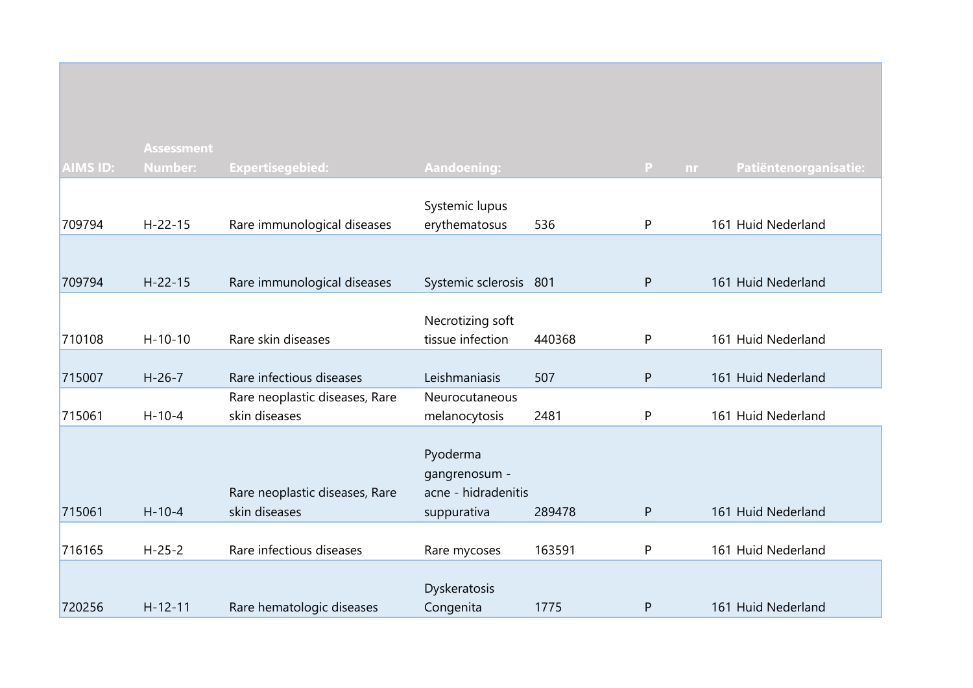|                 | <b>Assessment</b> |                                                 |                                      |        |              |                       |
|-----------------|-------------------|-------------------------------------------------|--------------------------------------|--------|--------------|-----------------------|
| <b>AIMS ID:</b> | <b>Number:</b>    | <b>Expertisegebied:</b>                         | <b>Aandoening:</b>                   |        | P<br>nr      | Patiëntenorganisatie: |
|                 |                   |                                                 |                                      |        |              |                       |
|                 |                   |                                                 | Systemic lupus                       |        |              |                       |
| 709794          | $H - 22 - 15$     | Rare immunological diseases                     | erythematosus                        | 536    | ${\sf P}$    | 161 Huid Nederland    |
|                 |                   |                                                 |                                      |        |              |                       |
| 709794          | $H - 22 - 15$     | Rare immunological diseases                     | Systemic sclerosis 801               |        | P            | 161 Huid Nederland    |
|                 |                   |                                                 |                                      |        |              |                       |
|                 |                   |                                                 | Necrotizing soft                     |        |              |                       |
| 710108          | $H - 10 - 10$     | Rare skin diseases                              | tissue infection                     | 440368 | P            | 161 Huid Nederland    |
|                 |                   |                                                 |                                      |        |              |                       |
| 715007          | $H-26-7$          | Rare infectious diseases                        | Leishmaniasis                        | 507    | ${\sf P}$    | 161 Huid Nederland    |
|                 |                   | Rare neoplastic diseases, Rare                  | Neurocutaneous                       |        |              |                       |
| 715061          | $H - 10 - 4$      | skin diseases                                   | melanocytosis                        | 2481   | P            | 161 Huid Nederland    |
|                 |                   |                                                 |                                      |        |              |                       |
|                 |                   |                                                 | Pyoderma                             |        |              |                       |
|                 |                   |                                                 | gangrenosum -<br>acne - hidradenitis |        |              |                       |
| 715061          | $H - 10 - 4$      | Rare neoplastic diseases, Rare<br>skin diseases | suppurativa                          | 289478 | $\mathsf{P}$ | 161 Huid Nederland    |
|                 |                   |                                                 |                                      |        |              |                       |
| 716165          | $H - 25 - 2$      | Rare infectious diseases                        | Rare mycoses                         | 163591 | ${\sf P}$    | 161 Huid Nederland    |
|                 |                   |                                                 |                                      |        |              |                       |
|                 |                   |                                                 | Dyskeratosis                         |        |              |                       |
| 720256          | $H - 12 - 11$     | Rare hematologic diseases                       | Congenita                            | 1775   | $\mathsf{P}$ | 161 Huid Nederland    |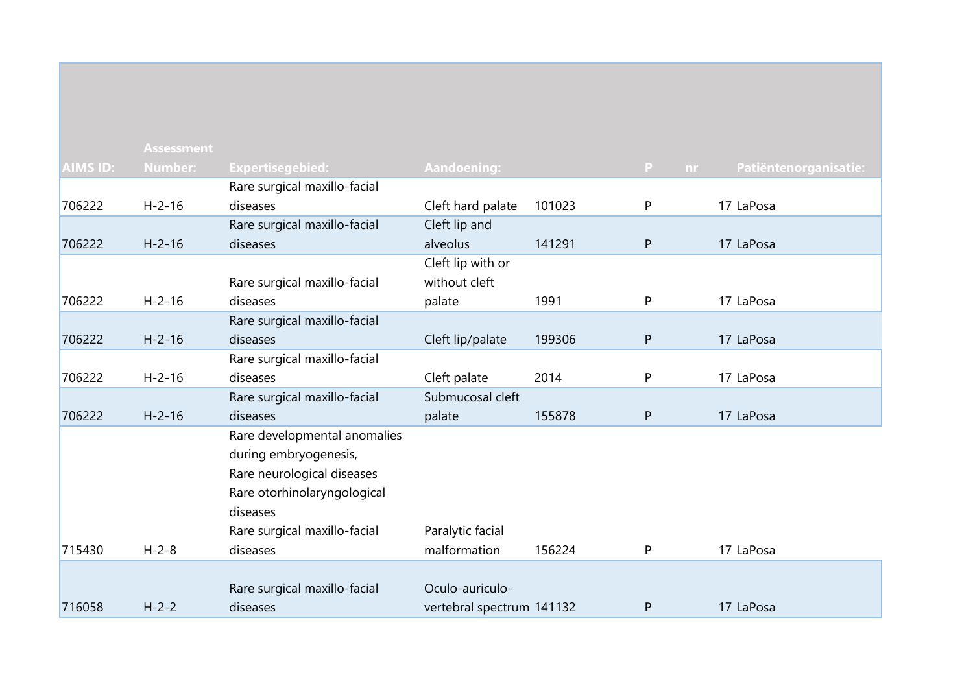| <b>AIMS ID:</b> | <b>Assessment</b><br><b>Number:</b> | <b>Expertisegebied:</b>      | <b>Aandoening:</b>        |        | P<br>nr.     | Patiëntenorganisatie: |
|-----------------|-------------------------------------|------------------------------|---------------------------|--------|--------------|-----------------------|
|                 |                                     | Rare surgical maxillo-facial |                           |        |              |                       |
| 706222          | $H - 2 - 16$                        | diseases                     | Cleft hard palate         | 101023 | P            | 17 LaPosa             |
|                 |                                     | Rare surgical maxillo-facial | Cleft lip and             |        |              |                       |
| 706222          | $H - 2 - 16$                        | diseases                     | alveolus                  | 141291 | ${\sf P}$    | 17 LaPosa             |
|                 |                                     |                              | Cleft lip with or         |        |              |                       |
|                 |                                     | Rare surgical maxillo-facial | without cleft             |        |              |                       |
| 706222          | $H - 2 - 16$                        | diseases                     | palate                    | 1991   | P            | 17 LaPosa             |
|                 |                                     | Rare surgical maxillo-facial |                           |        |              |                       |
| 706222          | $H - 2 - 16$                        | diseases                     | Cleft lip/palate          | 199306 | ${\sf P}$    | 17 LaPosa             |
|                 |                                     | Rare surgical maxillo-facial |                           |        |              |                       |
| 706222          | $H - 2 - 16$                        | diseases                     | Cleft palate              | 2014   | P            | 17 LaPosa             |
|                 |                                     | Rare surgical maxillo-facial | Submucosal cleft          |        |              |                       |
| 706222          | $H - 2 - 16$                        | diseases                     | palate                    | 155878 | ${\sf P}$    | 17 LaPosa             |
|                 |                                     | Rare developmental anomalies |                           |        |              |                       |
|                 |                                     | during embryogenesis,        |                           |        |              |                       |
|                 |                                     | Rare neurological diseases   |                           |        |              |                       |
|                 |                                     | Rare otorhinolaryngological  |                           |        |              |                       |
|                 |                                     | diseases                     |                           |        |              |                       |
|                 |                                     | Rare surgical maxillo-facial | Paralytic facial          |        |              |                       |
| 715430          | $H - 2 - 8$                         | diseases                     | malformation              | 156224 | P            | 17 LaPosa             |
|                 |                                     |                              |                           |        |              |                       |
|                 |                                     | Rare surgical maxillo-facial | Oculo-auriculo-           |        |              |                       |
| 716058          | $H - 2 - 2$                         | diseases                     | vertebral spectrum 141132 |        | $\mathsf{P}$ | 17 LaPosa             |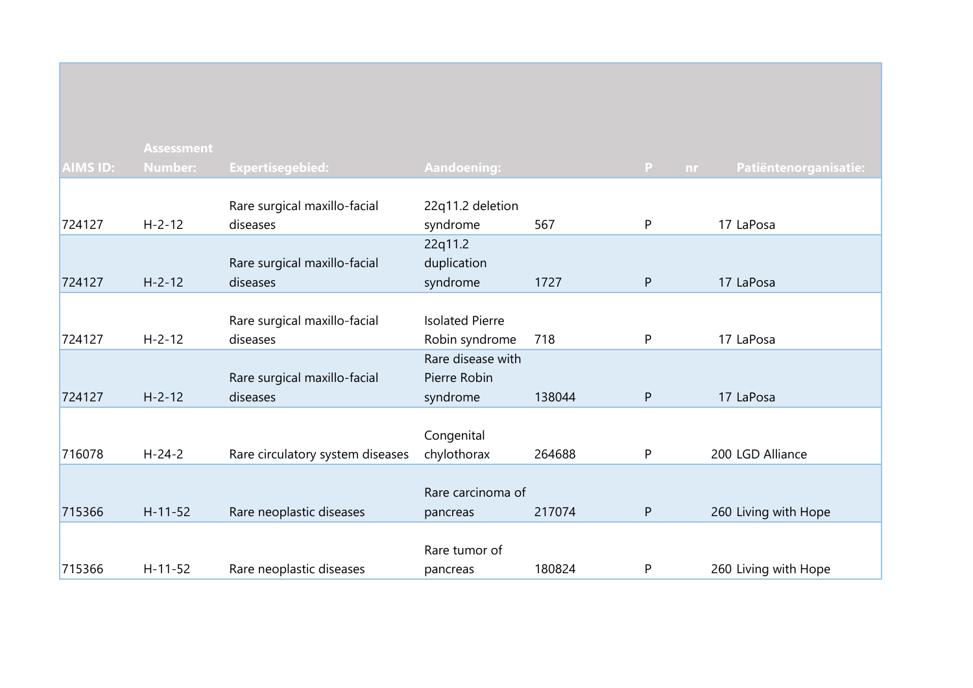|                 | <b>Assessment</b> |                                  |                        |        |                     |                       |
|-----------------|-------------------|----------------------------------|------------------------|--------|---------------------|-----------------------|
| <b>AIMS ID:</b> | <b>Number:</b>    | <b>Expertisegebied:</b>          | <b>Aandoening:</b>     |        | $\mathbf{P}$<br>nr. | Patiëntenorganisatie: |
|                 |                   |                                  |                        |        |                     |                       |
|                 |                   | Rare surgical maxillo-facial     | 22q11.2 deletion       |        |                     |                       |
| 724127          | $H - 2 - 12$      | diseases                         | syndrome               | 567    | P                   | 17 LaPosa             |
|                 |                   |                                  | 22q11.2                |        |                     |                       |
|                 |                   | Rare surgical maxillo-facial     | duplication            |        |                     |                       |
| 724127          | $H - 2 - 12$      | diseases                         | syndrome               | 1727   | P                   | 17 LaPosa             |
|                 |                   |                                  |                        |        |                     |                       |
|                 |                   | Rare surgical maxillo-facial     | <b>Isolated Pierre</b> |        |                     |                       |
| 724127          | $H - 2 - 12$      | diseases                         | Robin syndrome         | 718    | P                   | 17 LaPosa             |
|                 |                   |                                  | Rare disease with      |        |                     |                       |
|                 |                   | Rare surgical maxillo-facial     | Pierre Robin           |        |                     |                       |
| 724127          | $H - 2 - 12$      | diseases                         | syndrome               | 138044 | $\mathsf{P}$        | 17 LaPosa             |
|                 |                   |                                  |                        |        |                     |                       |
|                 |                   |                                  | Congenital             |        |                     |                       |
| 716078          | $H - 24 - 2$      | Rare circulatory system diseases | chylothorax            | 264688 | P                   | 200 LGD Alliance      |
|                 |                   |                                  |                        |        |                     |                       |
|                 |                   |                                  | Rare carcinoma of      |        |                     |                       |
| 715366          | $H - 11 - 52$     | Rare neoplastic diseases         | pancreas               | 217074 | ${\sf P}$           | 260 Living with Hope  |
|                 |                   |                                  |                        |        |                     |                       |
|                 |                   |                                  | Rare tumor of          |        |                     |                       |
| 715366          | $H-11-52$         | Rare neoplastic diseases         | pancreas               | 180824 | P                   | 260 Living with Hope  |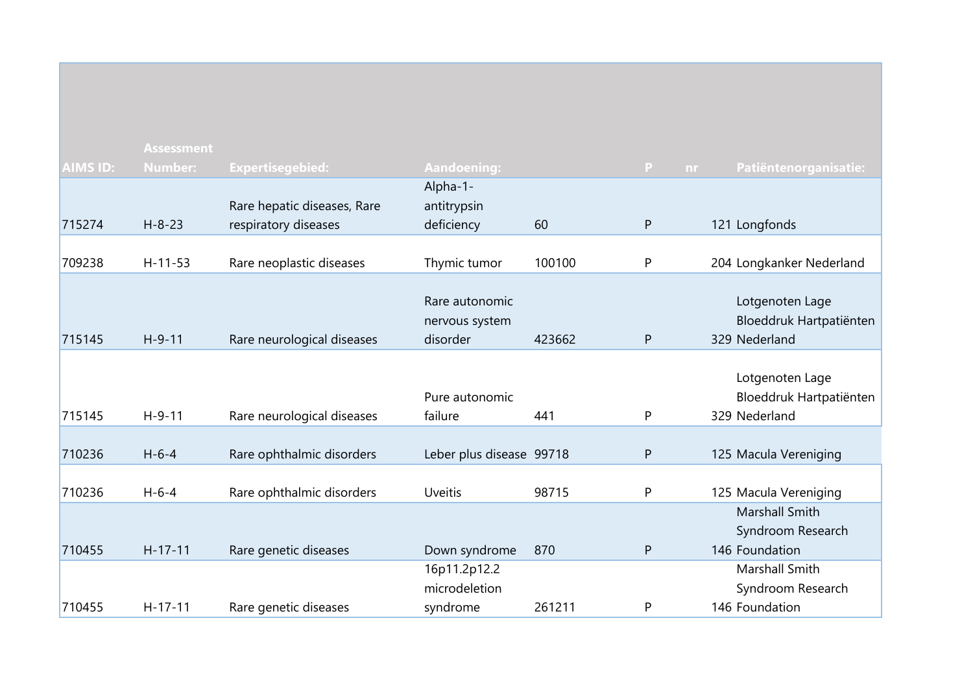|                 | <b>Assessment</b> |                             |                          |        |                 |                          |
|-----------------|-------------------|-----------------------------|--------------------------|--------|-----------------|--------------------------|
| <b>AIMS ID:</b> | <b>Number:</b>    | <b>Expertisegebied:</b>     | Aandoening:              |        | P.<br><b>nr</b> | Patiëntenorganisatie:    |
|                 |                   |                             | Alpha-1-                 |        |                 |                          |
|                 |                   | Rare hepatic diseases, Rare | antitrypsin              |        |                 |                          |
| 715274          | $H - 8 - 23$      | respiratory diseases        | deficiency               | 60     | ${\sf P}$       | 121 Longfonds            |
|                 |                   |                             |                          |        |                 |                          |
| 709238          | $H-11-53$         | Rare neoplastic diseases    | Thymic tumor             | 100100 | P               | 204 Longkanker Nederland |
|                 |                   |                             |                          |        |                 |                          |
|                 |                   |                             | Rare autonomic           |        |                 | Lotgenoten Lage          |
|                 |                   |                             | nervous system           |        |                 | Bloeddruk Hartpatiënten  |
| 715145          | $H-9-11$          | Rare neurological diseases  | disorder                 | 423662 | ${\sf P}$       | 329 Nederland            |
|                 |                   |                             |                          |        |                 |                          |
|                 |                   |                             |                          |        |                 | Lotgenoten Lage          |
|                 |                   |                             | Pure autonomic           |        |                 | Bloeddruk Hartpatiënten  |
| 715145          | $H-9-11$          | Rare neurological diseases  | failure                  | 441    | P               | 329 Nederland            |
|                 |                   |                             |                          |        |                 |                          |
| 710236          | $H - 6 - 4$       | Rare ophthalmic disorders   | Leber plus disease 99718 |        | ${\sf P}$       | 125 Macula Vereniging    |
|                 |                   |                             |                          |        |                 |                          |
| 710236          | $H - 6 - 4$       | Rare ophthalmic disorders   | <b>Uveitis</b>           | 98715  | P               | 125 Macula Vereniging    |
|                 |                   |                             |                          |        |                 | Marshall Smith           |
|                 |                   |                             |                          |        |                 | Syndroom Research        |
| 710455          | $H-17-11$         | Rare genetic diseases       | Down syndrome            | 870    | P               | 146 Foundation           |
|                 |                   |                             | 16p11.2p12.2             |        |                 | Marshall Smith           |
|                 |                   |                             | microdeletion            |        |                 | Syndroom Research        |
| 710455          | $H-17-11$         | Rare genetic diseases       | syndrome                 | 261211 | P               | 146 Foundation           |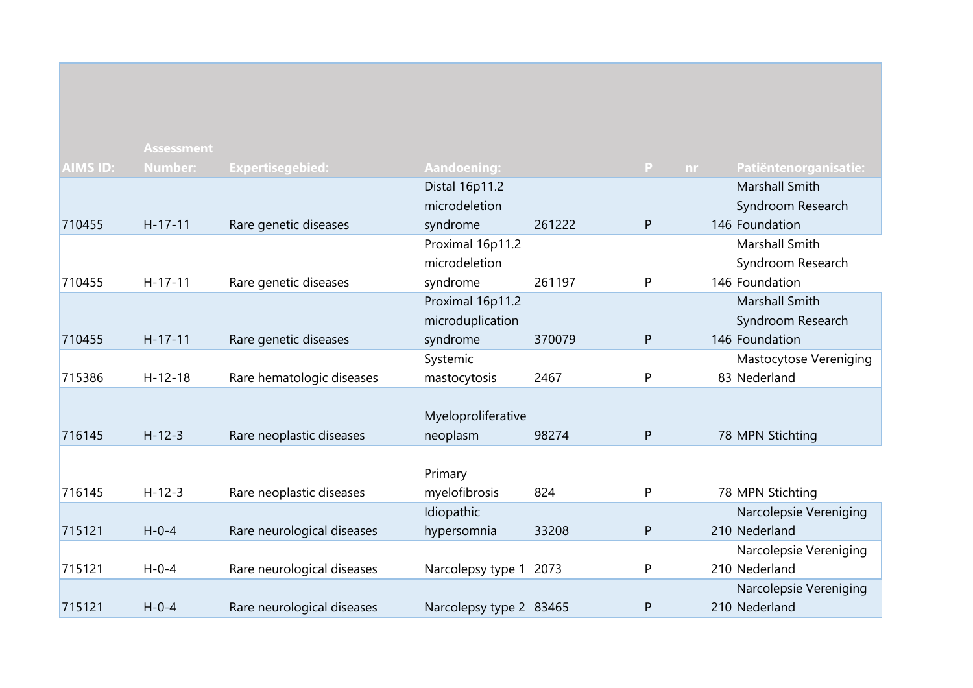|                 | <b>Assessment</b> |                            |                         |        |              |                                    |
|-----------------|-------------------|----------------------------|-------------------------|--------|--------------|------------------------------------|
| <b>AIMS ID:</b> | <b>Number:</b>    | <b>Expertisegebied:</b>    | <b>Aandoening:</b>      |        | $\mathsf{P}$ | Patiëntenorganisatie:<br><b>nr</b> |
|                 |                   |                            | Distal 16p11.2          |        |              | Marshall Smith                     |
|                 |                   |                            | microdeletion           |        |              | Syndroom Research                  |
| 710455          | $H - 17 - 11$     | Rare genetic diseases      | syndrome                | 261222 | P            | 146 Foundation                     |
|                 |                   |                            | Proximal 16p11.2        |        |              | Marshall Smith                     |
|                 |                   |                            | microdeletion           |        |              | Syndroom Research                  |
| 710455          | $H-17-11$         | Rare genetic diseases      | syndrome                | 261197 | P            | 146 Foundation                     |
|                 |                   |                            | Proximal 16p11.2        |        |              | Marshall Smith                     |
|                 |                   |                            | microduplication        |        |              | Syndroom Research                  |
| 710455          | $H - 17 - 11$     | Rare genetic diseases      | syndrome                | 370079 | P            | 146 Foundation                     |
|                 |                   |                            | Systemic                |        |              | Mastocytose Vereniging             |
| 715386          | $H-12-18$         | Rare hematologic diseases  | mastocytosis            | 2467   | P            | 83 Nederland                       |
|                 |                   |                            |                         |        |              |                                    |
|                 |                   |                            | Myeloproliferative      |        |              |                                    |
| 716145          | $H - 12 - 3$      | Rare neoplastic diseases   | neoplasm                | 98274  | P            | 78 MPN Stichting                   |
|                 |                   |                            |                         |        |              |                                    |
|                 |                   |                            | Primary                 |        |              |                                    |
| 716145          | $H - 12 - 3$      | Rare neoplastic diseases   | myelofibrosis           | 824    | P            | 78 MPN Stichting                   |
|                 |                   |                            | Idiopathic              |        |              | Narcolepsie Vereniging             |
| 715121          | $H - 0 - 4$       | Rare neurological diseases | hypersomnia             | 33208  | P            | 210 Nederland                      |
|                 |                   |                            |                         |        |              | Narcolepsie Vereniging             |
| 715121          | $H - 0 - 4$       | Rare neurological diseases | Narcolepsy type 1       | 2073   | P            | 210 Nederland                      |
|                 |                   |                            |                         |        |              | Narcolepsie Vereniging             |
| 715121          | $H - 0 - 4$       | Rare neurological diseases | Narcolepsy type 2 83465 |        | P            | 210 Nederland                      |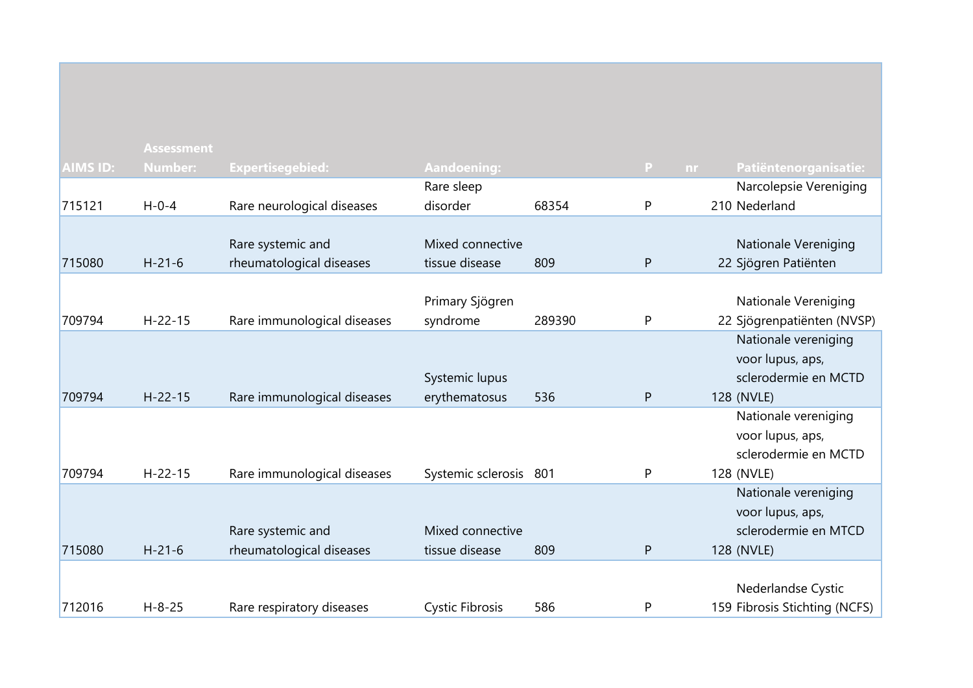|                 | <b>Assessment</b> |                             |                        |        |              |                               |
|-----------------|-------------------|-----------------------------|------------------------|--------|--------------|-------------------------------|
| <b>AIMS ID:</b> | <b>Number:</b>    | <b>Expertisegebied:</b>     | Aandoening:            |        | P.<br>nr.    | Patiëntenorganisatie:         |
|                 |                   |                             | Rare sleep             |        |              | Narcolepsie Vereniging        |
| 715121          | $H - 0 - 4$       | Rare neurological diseases  | disorder               | 68354  | ${\sf P}$    | 210 Nederland                 |
|                 |                   |                             |                        |        |              |                               |
|                 |                   | Rare systemic and           | Mixed connective       |        |              | Nationale Vereniging          |
| 715080          | $H - 21 - 6$      | rheumatological diseases    | tissue disease         | 809    | P            | 22 Sjögren Patiënten          |
|                 |                   |                             |                        |        |              |                               |
|                 |                   |                             | Primary Sjögren        |        |              | Nationale Vereniging          |
| 709794          | $H - 22 - 15$     | Rare immunological diseases | syndrome               | 289390 | P            | 22 Sjögrenpatiënten (NVSP)    |
|                 |                   |                             |                        |        |              | Nationale vereniging          |
|                 |                   |                             |                        |        |              | voor lupus, aps,              |
|                 |                   |                             | Systemic lupus         |        |              | sclerodermie en MCTD          |
| 709794          | $H - 22 - 15$     | Rare immunological diseases | erythematosus          | 536    | ${\sf P}$    | 128 (NVLE)                    |
|                 |                   |                             |                        |        |              | Nationale vereniging          |
|                 |                   |                             |                        |        |              | voor lupus, aps,              |
|                 |                   |                             |                        |        |              | sclerodermie en MCTD          |
| 709794          | $H - 22 - 15$     | Rare immunological diseases | Systemic sclerosis 801 |        | P            | 128 (NVLE)                    |
|                 |                   |                             |                        |        |              | Nationale vereniging          |
|                 |                   |                             |                        |        |              | voor lupus, aps,              |
|                 |                   | Rare systemic and           | Mixed connective       |        |              | sclerodermie en MTCD          |
| 715080          | $H - 21 - 6$      | rheumatological diseases    | tissue disease         | 809    | $\mathsf{P}$ | 128 (NVLE)                    |
|                 |                   |                             |                        |        |              |                               |
|                 |                   |                             |                        |        |              | Nederlandse Cystic            |
| 712016          | $H - 8 - 25$      | Rare respiratory diseases   | <b>Cystic Fibrosis</b> | 586    | P            | 159 Fibrosis Stichting (NCFS) |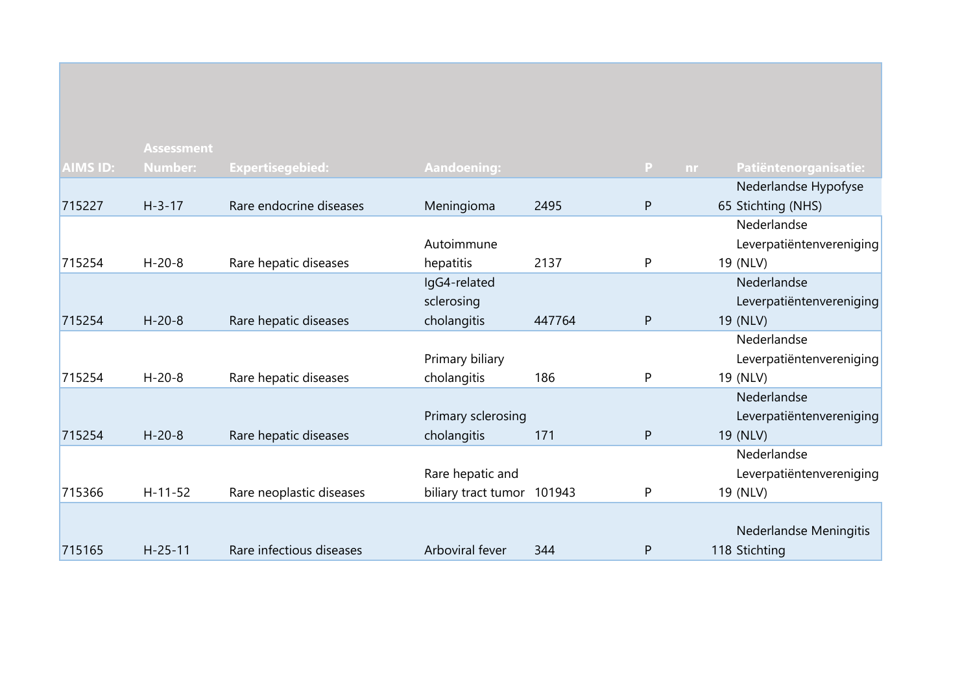|                 | <b>Assessment</b> |                          |                            |        |              |                          |
|-----------------|-------------------|--------------------------|----------------------------|--------|--------------|--------------------------|
| <b>AIMS ID:</b> | <b>Number:</b>    | <b>Expertisegebied:</b>  | <b>Aandoening:</b>         |        | P<br>nr.     | Patiëntenorganisatie:    |
|                 |                   |                          |                            |        |              | Nederlandse Hypofyse     |
| 715227          | $H - 3 - 17$      | Rare endocrine diseases  | Meningioma                 | 2495   | $\mathsf{P}$ | 65 Stichting (NHS)       |
|                 |                   |                          |                            |        |              | Nederlandse              |
|                 |                   |                          | Autoimmune                 |        |              | Leverpatiëntenvereniging |
| 715254          | $H - 20 - 8$      | Rare hepatic diseases    | hepatitis                  | 2137   | P            | 19 (NLV)                 |
|                 |                   |                          | IgG4-related               |        |              | Nederlandse              |
|                 |                   |                          | sclerosing                 |        |              | Leverpatiëntenvereniging |
| 715254          | $H - 20 - 8$      | Rare hepatic diseases    | cholangitis                | 447764 | P            | 19 (NLV)                 |
|                 |                   |                          |                            |        |              | Nederlandse              |
|                 |                   |                          | Primary biliary            |        |              | Leverpatiëntenvereniging |
| 715254          | $H - 20 - 8$      | Rare hepatic diseases    | cholangitis                | 186    | P            | 19 (NLV)                 |
|                 |                   |                          |                            |        |              | Nederlandse              |
|                 |                   |                          | Primary sclerosing         |        |              | Leverpatiëntenvereniging |
| 715254          | $H - 20 - 8$      | Rare hepatic diseases    | cholangitis                | 171    | P            | 19 (NLV)                 |
|                 |                   |                          |                            |        |              | Nederlandse              |
|                 |                   |                          | Rare hepatic and           |        |              | Leverpatiëntenvereniging |
| 715366          | $H-11-52$         | Rare neoplastic diseases | biliary tract tumor 101943 |        | P            | 19 (NLV)                 |
|                 |                   |                          |                            |        |              |                          |
|                 |                   |                          |                            |        |              | Nederlandse Meningitis   |
| 715165          | $H - 25 - 11$     | Rare infectious diseases | Arboviral fever            | 344    | P            | 118 Stichting            |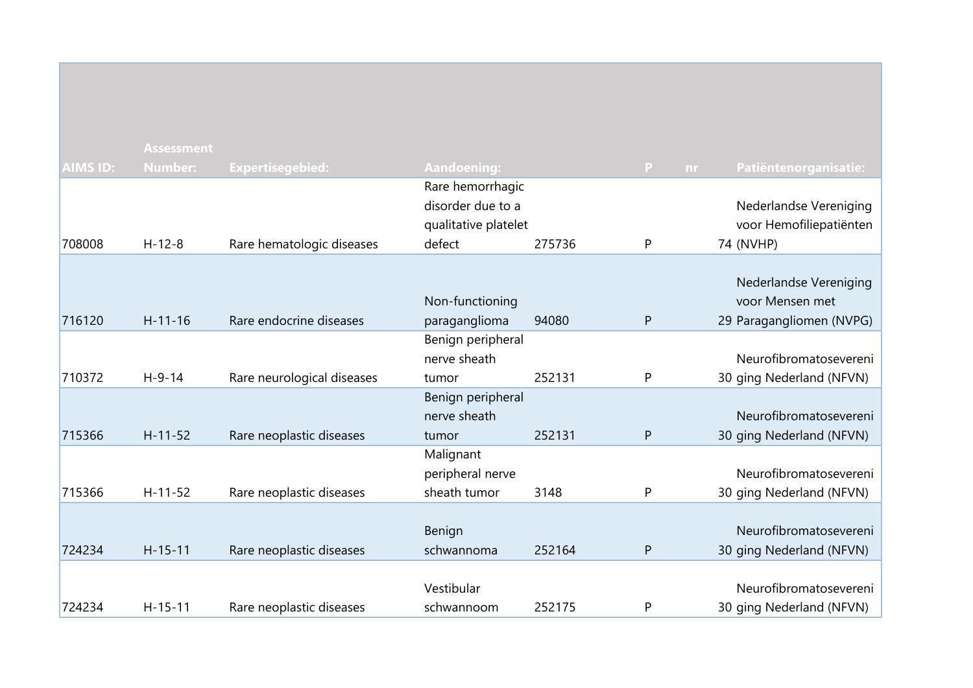|                 | <b>Assessment</b> |                            |                                                                         |        |              |    |                                                                       |
|-----------------|-------------------|----------------------------|-------------------------------------------------------------------------|--------|--------------|----|-----------------------------------------------------------------------|
| <b>AIMS ID:</b> | <b>Number:</b>    | <b>Expertisegebied:</b>    | <b>Aandoening:</b>                                                      |        | P.           | nr | Patiëntenorganisatie:                                                 |
| 708008          | $H - 12 - 8$      | Rare hematologic diseases  | Rare hemorrhagic<br>disorder due to a<br>qualitative platelet<br>defect | 275736 | P            |    | Nederlandse Vereniging<br>voor Hemofiliepatiënten<br>74 (NVHP)        |
| 716120          | $H - 11 - 16$     | Rare endocrine diseases    | Non-functioning<br>paraganglioma                                        | 94080  | P            |    | Nederlandse Vereniging<br>voor Mensen met<br>29 Paragangliomen (NVPG) |
| 710372          | $H-9-14$          | Rare neurological diseases | Benign peripheral<br>nerve sheath<br>tumor                              | 252131 | P            |    | Neurofibromatosevereni<br>30 ging Nederland (NFVN)                    |
| 715366          | $H-11-52$         | Rare neoplastic diseases   | Benign peripheral<br>nerve sheath<br>tumor                              | 252131 | $\mathsf{P}$ |    | Neurofibromatosevereni<br>30 ging Nederland (NFVN)                    |
| 715366          | $H-11-52$         | Rare neoplastic diseases   | Malignant<br>peripheral nerve<br>sheath tumor                           | 3148   | P            |    | Neurofibromatosevereni<br>30 ging Nederland (NFVN)                    |
| 724234          | $H - 15 - 11$     | Rare neoplastic diseases   | Benign<br>schwannoma                                                    | 252164 | P            |    | Neurofibromatosevereni<br>30 ging Nederland (NFVN)                    |
| 724234          | $H - 15 - 11$     | Rare neoplastic diseases   | Vestibular<br>schwannoom                                                | 252175 | P            |    | Neurofibromatosevereni<br>30 ging Nederland (NFVN)                    |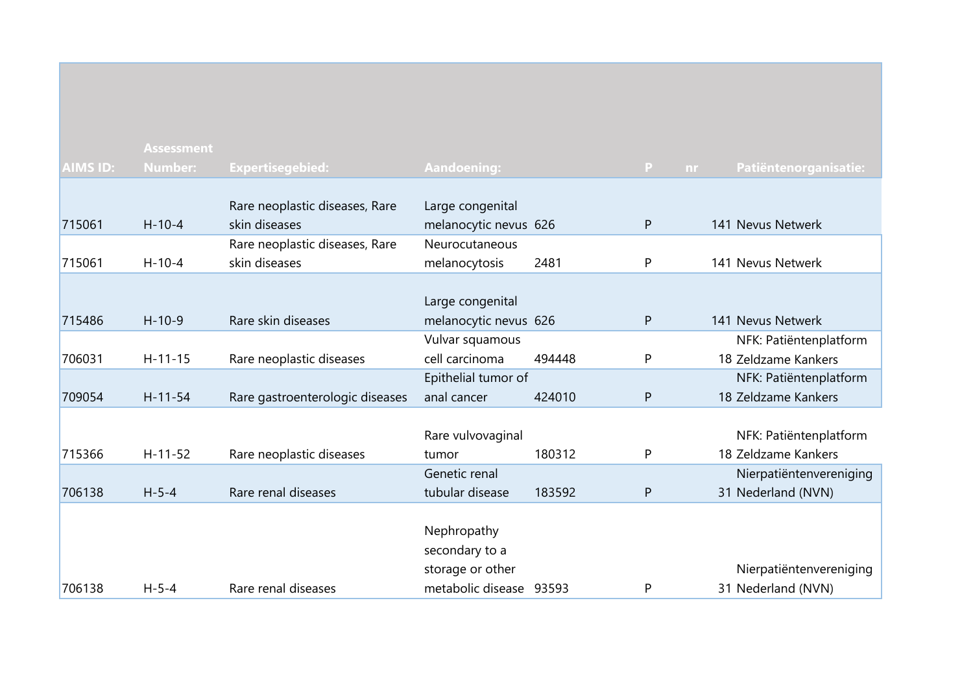|                 | <b>Assessment</b> |                                 |                         |        |                           |                         |
|-----------------|-------------------|---------------------------------|-------------------------|--------|---------------------------|-------------------------|
| <b>AIMS ID:</b> | <b>Number:</b>    | Expertisegebied:                | <b>Aandoening:</b>      |        | $\mathbf{P}$<br><b>nr</b> | Patiëntenorganisatie:   |
|                 |                   |                                 |                         |        |                           |                         |
|                 |                   | Rare neoplastic diseases, Rare  | Large congenital        |        |                           |                         |
| 715061          | $H-10-4$          | skin diseases                   | melanocytic nevus 626   |        | P                         | 141 Nevus Netwerk       |
|                 |                   | Rare neoplastic diseases, Rare  | Neurocutaneous          |        |                           |                         |
| 715061          | $H-10-4$          | skin diseases                   | melanocytosis           | 2481   | P                         | 141 Nevus Netwerk       |
|                 |                   |                                 |                         |        |                           |                         |
|                 |                   |                                 | Large congenital        |        |                           |                         |
| 715486          | $H-10-9$          | Rare skin diseases              | melanocytic nevus 626   |        | P                         | 141 Nevus Netwerk       |
|                 |                   |                                 | Vulvar squamous         |        |                           | NFK: Patiëntenplatform  |
| 706031          | $H - 11 - 15$     | Rare neoplastic diseases        | cell carcinoma          | 494448 | P                         | 18 Zeldzame Kankers     |
|                 |                   |                                 | Epithelial tumor of     |        |                           | NFK: Patiëntenplatform  |
| 709054          | $H - 11 - 54$     | Rare gastroenterologic diseases | anal cancer             | 424010 | $\mathsf{P}$              | 18 Zeldzame Kankers     |
|                 |                   |                                 |                         |        |                           |                         |
|                 |                   |                                 | Rare vulvovaginal       |        |                           | NFK: Patiëntenplatform  |
| 715366          | $H-11-52$         | Rare neoplastic diseases        | tumor                   | 180312 | P                         | 18 Zeldzame Kankers     |
|                 |                   |                                 | Genetic renal           |        |                           | Nierpatiëntenvereniging |
| 706138          | $H - 5 - 4$       | Rare renal diseases             | tubular disease         | 183592 | P                         | 31 Nederland (NVN)      |
|                 |                   |                                 |                         |        |                           |                         |
|                 |                   |                                 | Nephropathy             |        |                           |                         |
|                 |                   |                                 | secondary to a          |        |                           |                         |
|                 |                   |                                 | storage or other        |        |                           | Nierpatiëntenvereniging |
| 706138          | $H - 5 - 4$       | Rare renal diseases             | metabolic disease 93593 |        | P                         | 31 Nederland (NVN)      |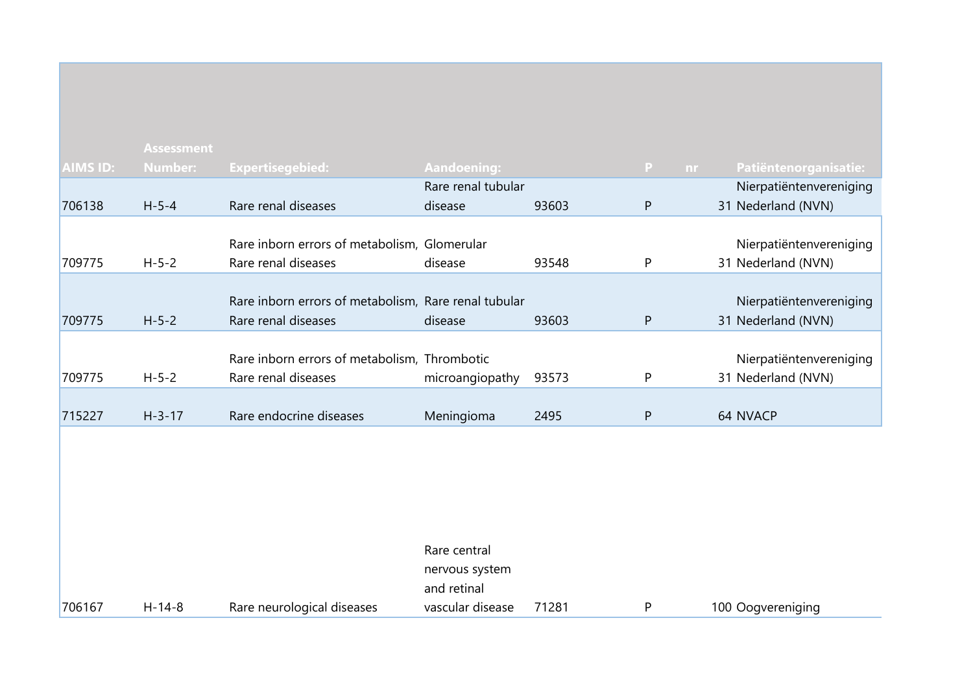|                 | <b>Assessment</b> |                                                      |                    |       |                                |                         |
|-----------------|-------------------|------------------------------------------------------|--------------------|-------|--------------------------------|-------------------------|
| <b>AIMS ID:</b> | Number:           | <b>Expertisegebied:</b>                              | Aandoening:        |       | $\mathbf{P}$<br>n <sub>r</sub> | Patiëntenorganisatie:   |
|                 |                   |                                                      | Rare renal tubular |       |                                | Nierpatiëntenvereniging |
| 706138          | $H - 5 - 4$       | Rare renal diseases                                  | disease            | 93603 | P                              | 31 Nederland (NVN)      |
|                 |                   |                                                      |                    |       |                                |                         |
|                 |                   | Rare inborn errors of metabolism, Glomerular         |                    |       |                                | Nierpatiëntenvereniging |
| 709775          | $H - 5 - 2$       | Rare renal diseases                                  | disease            | 93548 | P                              | 31 Nederland (NVN)      |
|                 |                   |                                                      |                    |       |                                |                         |
|                 |                   | Rare inborn errors of metabolism, Rare renal tubular |                    |       |                                | Nierpatiëntenvereniging |
| 709775          | $H - 5 - 2$       | Rare renal diseases                                  | disease            | 93603 | P                              | 31 Nederland (NVN)      |
|                 |                   |                                                      |                    |       |                                |                         |
|                 |                   | Rare inborn errors of metabolism, Thrombotic         |                    |       |                                | Nierpatiëntenvereniging |
| 709775          | $H - 5 - 2$       | Rare renal diseases                                  | microangiopathy    | 93573 | P                              | 31 Nederland (NVN)      |
|                 |                   |                                                      |                    |       |                                |                         |
| 715227          | $H - 3 - 17$      | Rare endocrine diseases                              | Meningioma         | 2495  | P                              | 64 NVACP                |
|                 |                   |                                                      |                    |       |                                |                         |

|        |          |                            | Rare central     |       |                   |
|--------|----------|----------------------------|------------------|-------|-------------------|
|        |          |                            | nervous system   |       |                   |
|        |          |                            | and retinal      |       |                   |
| 706167 | $H-14-8$ | Rare neurological diseases | vascular disease | 71281 | 100 Oogvereniging |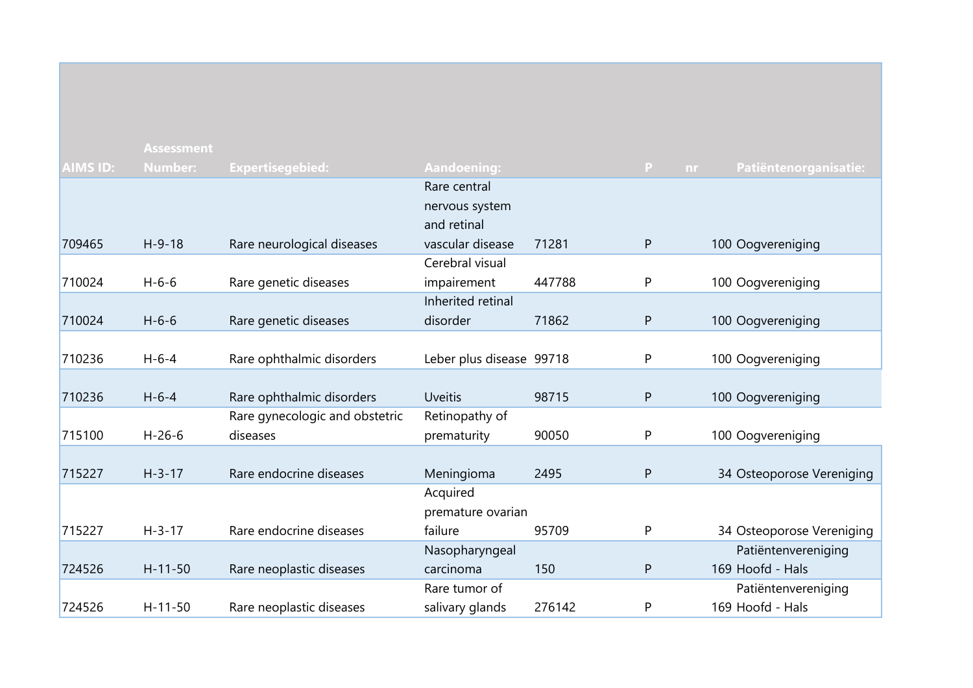| <b>AIMS ID:</b> | <b>Assessment</b><br><b>Number:</b> | Expertisegebied:               | <b>Aandoening:</b>       |        | P<br>nr      | Patiëntenorganisatie:     |
|-----------------|-------------------------------------|--------------------------------|--------------------------|--------|--------------|---------------------------|
|                 |                                     |                                | Rare central             |        |              |                           |
|                 |                                     |                                | nervous system           |        |              |                           |
|                 |                                     |                                | and retinal              |        |              |                           |
| 709465          | $H - 9 - 18$                        | Rare neurological diseases     | vascular disease         | 71281  | $\mathsf{P}$ | 100 Oogvereniging         |
|                 |                                     |                                | Cerebral visual          |        |              |                           |
| 710024          | $H - 6 - 6$                         | Rare genetic diseases          | impairement              | 447788 | P            | 100 Oogvereniging         |
|                 |                                     |                                | Inherited retinal        |        |              |                           |
| 710024          | $H - 6 - 6$                         | Rare genetic diseases          | disorder                 | 71862  | ${\sf P}$    | 100 Oogvereniging         |
|                 |                                     |                                |                          |        |              |                           |
| 710236          | $H - 6 - 4$                         | Rare ophthalmic disorders      | Leber plus disease 99718 |        | P            | 100 Oogvereniging         |
|                 |                                     |                                |                          |        |              |                           |
| 710236          | $H - 6 - 4$                         | Rare ophthalmic disorders      | <b>Uveitis</b>           | 98715  | $\mathsf{P}$ | 100 Oogvereniging         |
|                 |                                     | Rare gynecologic and obstetric | Retinopathy of           |        |              |                           |
| 715100          | $H-26-6$                            | diseases                       | prematurity              | 90050  | P            | 100 Oogvereniging         |
|                 |                                     |                                |                          |        |              |                           |
| 715227          | $H - 3 - 17$                        | Rare endocrine diseases        | Meningioma               | 2495   | ${\sf P}$    | 34 Osteoporose Vereniging |
|                 |                                     |                                | Acquired                 |        |              |                           |
|                 |                                     |                                | premature ovarian        |        |              |                           |
| 715227          | $H - 3 - 17$                        | Rare endocrine diseases        | failure                  | 95709  | P            | 34 Osteoporose Vereniging |
|                 |                                     |                                | Nasopharyngeal           |        |              | Patiëntenvereniging       |
| 724526          | $H - 11 - 50$                       | Rare neoplastic diseases       | carcinoma                | 150    | P            | 169 Hoofd - Hals          |
|                 |                                     |                                | Rare tumor of            |        |              | Patiëntenvereniging       |
| 724526          | $H - 11 - 50$                       | Rare neoplastic diseases       | salivary glands          | 276142 | P            | 169 Hoofd - Hals          |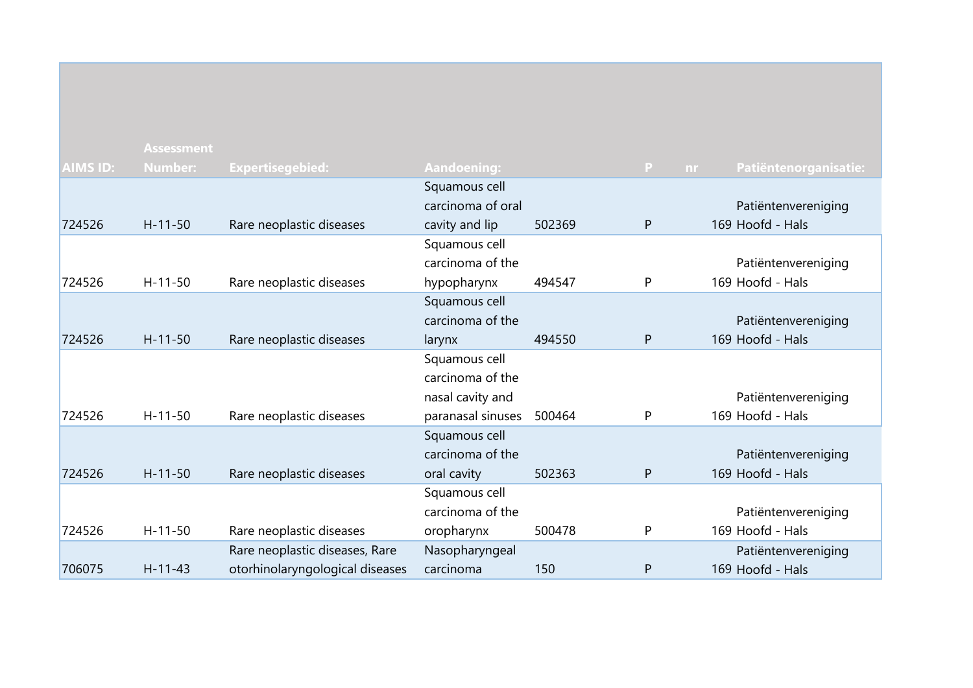|                 | <b>Assessment</b> |                                 |                    |        |                 |                       |
|-----------------|-------------------|---------------------------------|--------------------|--------|-----------------|-----------------------|
| <b>AIMS ID:</b> | <b>Number:</b>    | Expertisegebied:                | <b>Aandoening:</b> |        | P.<br><b>nr</b> | Patiëntenorganisatie: |
|                 |                   |                                 | Squamous cell      |        |                 |                       |
|                 |                   |                                 | carcinoma of oral  |        |                 | Patiëntenvereniging   |
| 724526          | $H - 11 - 50$     | Rare neoplastic diseases        | cavity and lip     | 502369 | P               | 169 Hoofd - Hals      |
|                 |                   |                                 | Squamous cell      |        |                 |                       |
|                 |                   |                                 | carcinoma of the   |        |                 | Patiëntenvereniging   |
| 724526          | $H - 11 - 50$     | Rare neoplastic diseases        | hypopharynx        | 494547 | P               | 169 Hoofd - Hals      |
|                 |                   |                                 | Squamous cell      |        |                 |                       |
|                 |                   |                                 | carcinoma of the   |        |                 | Patiëntenvereniging   |
| 724526          | $H - 11 - 50$     | Rare neoplastic diseases        | larynx             | 494550 | P               | 169 Hoofd - Hals      |
|                 |                   |                                 | Squamous cell      |        |                 |                       |
|                 |                   |                                 | carcinoma of the   |        |                 |                       |
|                 |                   |                                 | nasal cavity and   |        |                 | Patiëntenvereniging   |
| 724526          | $H - 11 - 50$     | Rare neoplastic diseases        | paranasal sinuses  | 500464 | P               | 169 Hoofd - Hals      |
|                 |                   |                                 | Squamous cell      |        |                 |                       |
|                 |                   |                                 | carcinoma of the   |        |                 | Patiëntenvereniging   |
| 724526          | $H - 11 - 50$     | Rare neoplastic diseases        | oral cavity        | 502363 | P               | 169 Hoofd - Hals      |
|                 |                   |                                 | Squamous cell      |        |                 |                       |
|                 |                   |                                 | carcinoma of the   |        |                 | Patiëntenvereniging   |
| 724526          | $H - 11 - 50$     | Rare neoplastic diseases        | oropharynx         | 500478 | P               | 169 Hoofd - Hals      |
|                 |                   | Rare neoplastic diseases, Rare  | Nasopharyngeal     |        |                 | Patiëntenvereniging   |
| 706075          | $H - 11 - 43$     | otorhinolaryngological diseases | carcinoma          | 150    | P               | 169 Hoofd - Hals      |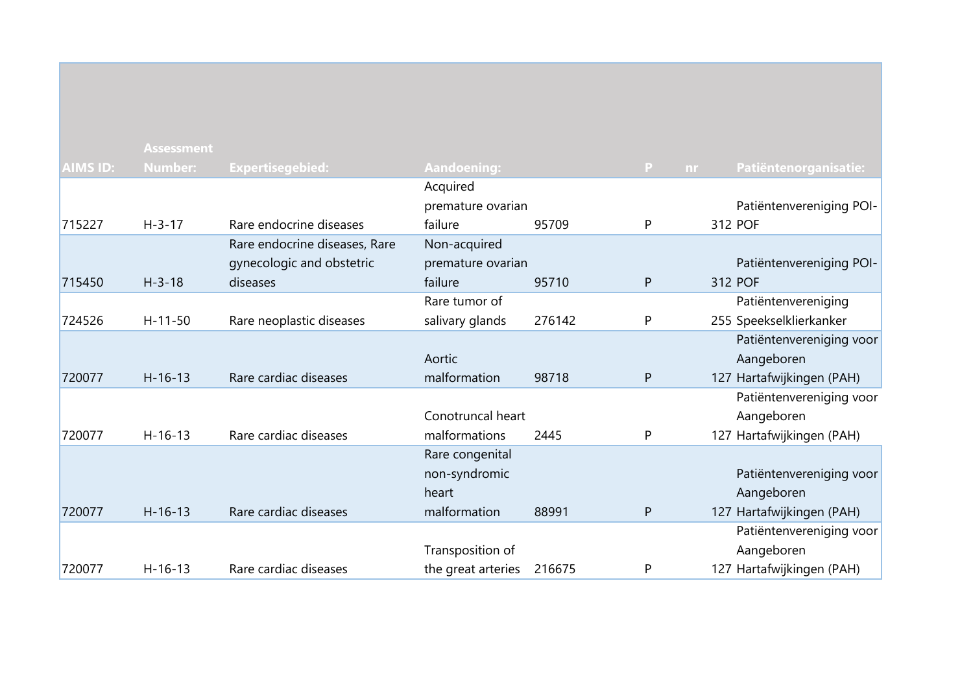|                 | <b>Assessment</b> |                               |                    |        |    |           |                           |
|-----------------|-------------------|-------------------------------|--------------------|--------|----|-----------|---------------------------|
| <b>AIMS ID:</b> | <b>Number:</b>    | <b>Expertisegebied:</b>       | <b>Aandoening:</b> |        | P. | <b>nr</b> | Patiëntenorganisatie:     |
|                 |                   |                               | Acquired           |        |    |           |                           |
|                 |                   |                               | premature ovarian  |        |    |           | Patiëntenvereniging POI-  |
| 715227          | $H - 3 - 17$      | Rare endocrine diseases       | failure            | 95709  | P  |           | 312 POF                   |
|                 |                   | Rare endocrine diseases, Rare | Non-acquired       |        |    |           |                           |
|                 |                   | gynecologic and obstetric     | premature ovarian  |        |    |           | Patiëntenvereniging POI-  |
| 715450          | $H - 3 - 18$      | diseases                      | failure            | 95710  | P  |           | 312 POF                   |
|                 |                   |                               | Rare tumor of      |        |    |           | Patiëntenvereniging       |
| 724526          | $H - 11 - 50$     | Rare neoplastic diseases      | salivary glands    | 276142 | P  |           | 255 Speekselklierkanker   |
|                 |                   |                               |                    |        |    |           | Patiëntenvereniging voor  |
|                 |                   |                               | Aortic             |        |    |           | Aangeboren                |
| 720077          | $H-16-13$         | Rare cardiac diseases         | malformation       | 98718  | P  |           | 127 Hartafwijkingen (PAH) |
|                 |                   |                               |                    |        |    |           | Patiëntenvereniging voor  |
|                 |                   |                               | Conotruncal heart  |        |    |           | Aangeboren                |
| 720077          | $H-16-13$         | Rare cardiac diseases         | malformations      | 2445   | P  |           | 127 Hartafwijkingen (PAH) |
|                 |                   |                               | Rare congenital    |        |    |           |                           |
|                 |                   |                               | non-syndromic      |        |    |           | Patiëntenvereniging voor  |
|                 |                   |                               | heart              |        |    |           | Aangeboren                |
| 720077          | $H-16-13$         | Rare cardiac diseases         | malformation       | 88991  | P  |           | 127 Hartafwijkingen (PAH) |
|                 |                   |                               |                    |        |    |           | Patiëntenvereniging voor  |
|                 |                   |                               | Transposition of   |        |    |           | Aangeboren                |
| 720077          | $H - 16 - 13$     | Rare cardiac diseases         | the great arteries | 216675 | P  |           | 127 Hartafwijkingen (PAH) |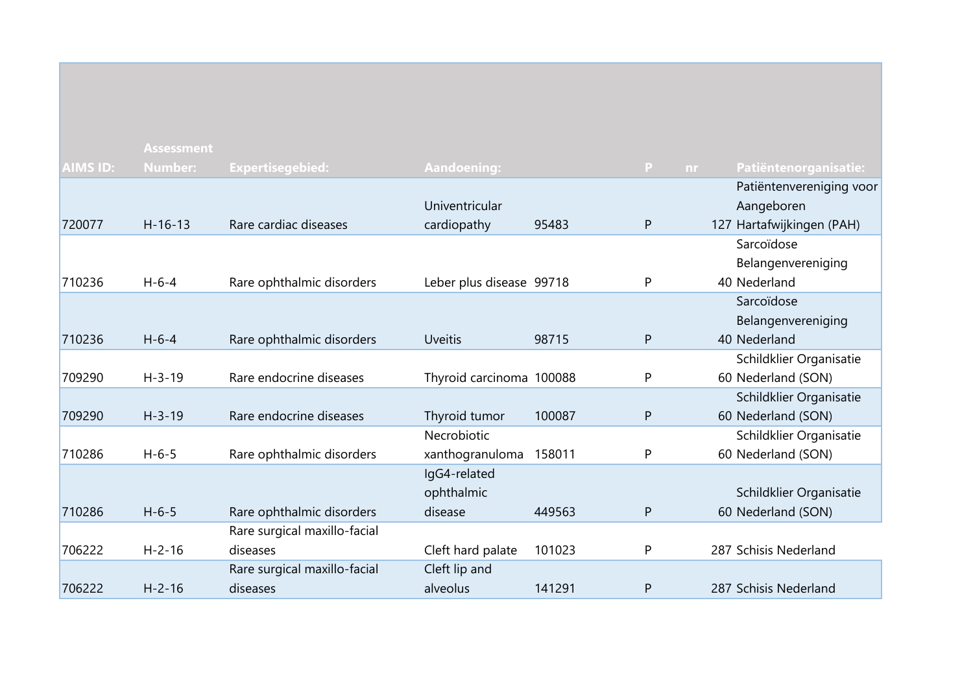|                 | <b>Assessment</b> |                              |                          |        |              |                                    |
|-----------------|-------------------|------------------------------|--------------------------|--------|--------------|------------------------------------|
| <b>AIMS ID:</b> | <b>Number:</b>    | <b>Expertisegebied:</b>      | <b>Aandoening:</b>       |        | P            | Patiëntenorganisatie:<br><b>nr</b> |
|                 |                   |                              |                          |        |              | Patiëntenvereniging voor           |
|                 |                   |                              | Univentricular           |        |              | Aangeboren                         |
| 720077          | $H - 16 - 13$     | Rare cardiac diseases        | cardiopathy              | 95483  | P            | 127 Hartafwijkingen (PAH)          |
|                 |                   |                              |                          |        |              | Sarcoïdose                         |
|                 |                   |                              |                          |        |              | Belangenvereniging                 |
| 710236          | $H - 6 - 4$       | Rare ophthalmic disorders    | Leber plus disease 99718 |        | P            | 40 Nederland                       |
|                 |                   |                              |                          |        |              | Sarcoïdose                         |
|                 |                   |                              |                          |        |              | Belangenvereniging                 |
| 710236          | $H - 6 - 4$       | Rare ophthalmic disorders    | <b>Uveitis</b>           | 98715  | P            | 40 Nederland                       |
|                 |                   |                              |                          |        |              | Schildklier Organisatie            |
| 709290          | $H - 3 - 19$      | Rare endocrine diseases      | Thyroid carcinoma 100088 |        | P            | 60 Nederland (SON)                 |
|                 |                   |                              |                          |        |              | Schildklier Organisatie            |
| 709290          | $H - 3 - 19$      | Rare endocrine diseases      | Thyroid tumor            | 100087 | $\mathsf{P}$ | 60 Nederland (SON)                 |
|                 |                   |                              | Necrobiotic              |        |              | Schildklier Organisatie            |
| 710286          | $H - 6 - 5$       | Rare ophthalmic disorders    | xanthogranuloma          | 158011 | P            | 60 Nederland (SON)                 |
|                 |                   |                              | IgG4-related             |        |              |                                    |
|                 |                   |                              | ophthalmic               |        |              | Schildklier Organisatie            |
| 710286          | $H - 6 - 5$       | Rare ophthalmic disorders    | disease                  | 449563 | P            | 60 Nederland (SON)                 |
|                 |                   | Rare surgical maxillo-facial |                          |        |              |                                    |
| 706222          | $H - 2 - 16$      | diseases                     | Cleft hard palate        | 101023 | P            | 287 Schisis Nederland              |
|                 |                   | Rare surgical maxillo-facial | Cleft lip and            |        |              |                                    |
| 706222          | $H - 2 - 16$      | diseases                     | alveolus                 | 141291 | P            | 287 Schisis Nederland              |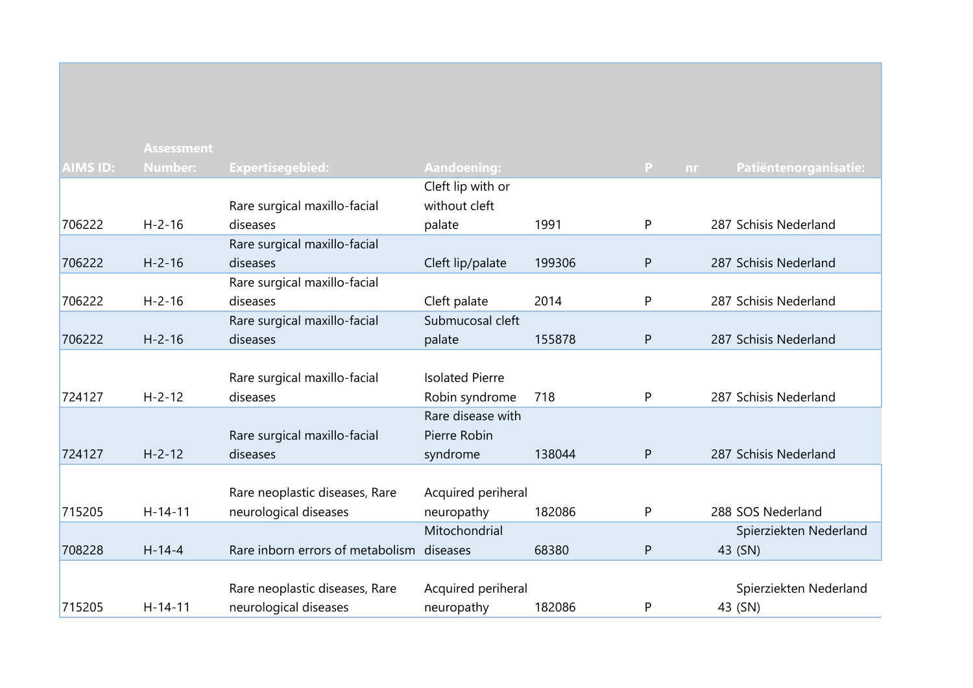|                 | <b>Assessment</b> |                                  |                        |        |                           |                        |
|-----------------|-------------------|----------------------------------|------------------------|--------|---------------------------|------------------------|
| <b>AIMS ID:</b> | <b>Number:</b>    | Expertisegebied:                 | <b>Aandoening:</b>     |        | $\mathbf{P}$<br><b>nr</b> | Patiëntenorganisatie:  |
|                 |                   |                                  | Cleft lip with or      |        |                           |                        |
|                 |                   | Rare surgical maxillo-facial     | without cleft          |        |                           |                        |
| 706222          | $H - 2 - 16$      | diseases                         | palate                 | 1991   | P                         | 287 Schisis Nederland  |
|                 |                   | Rare surgical maxillo-facial     |                        |        |                           |                        |
| 706222          | $H - 2 - 16$      | diseases                         | Cleft lip/palate       | 199306 | ${\sf P}$                 | 287 Schisis Nederland  |
|                 |                   | Rare surgical maxillo-facial     |                        |        |                           |                        |
| 706222          | $H - 2 - 16$      | diseases                         | Cleft palate           | 2014   | P                         | 287 Schisis Nederland  |
|                 |                   | Rare surgical maxillo-facial     | Submucosal cleft       |        |                           |                        |
| 706222          | $H - 2 - 16$      | diseases                         | palate                 | 155878 | ${\sf P}$                 | 287 Schisis Nederland  |
|                 |                   |                                  |                        |        |                           |                        |
|                 |                   | Rare surgical maxillo-facial     | <b>Isolated Pierre</b> |        |                           |                        |
| 724127          | $H - 2 - 12$      | diseases                         | Robin syndrome         | 718    | P                         | 287 Schisis Nederland  |
|                 |                   |                                  | Rare disease with      |        |                           |                        |
|                 |                   | Rare surgical maxillo-facial     | Pierre Robin           |        |                           |                        |
| 724127          | $H - 2 - 12$      | diseases                         | syndrome               | 138044 | ${\sf P}$                 | 287 Schisis Nederland  |
|                 |                   |                                  |                        |        |                           |                        |
|                 |                   | Rare neoplastic diseases, Rare   | Acquired periheral     |        |                           |                        |
| 715205          | $H - 14 - 11$     | neurological diseases            | neuropathy             | 182086 | P                         | 288 SOS Nederland      |
|                 |                   |                                  | Mitochondrial          |        |                           | Spierziekten Nederland |
| 708228          | $H-14-4$          | Rare inborn errors of metabolism | diseases               | 68380  | $\mathsf{P}$              | 43 (SN)                |
|                 |                   |                                  |                        |        |                           |                        |
|                 |                   | Rare neoplastic diseases, Rare   | Acquired periheral     |        |                           | Spierziekten Nederland |
| 715205          | $H-14-11$         | neurological diseases            | neuropathy             | 182086 | P                         | 43 (SN)                |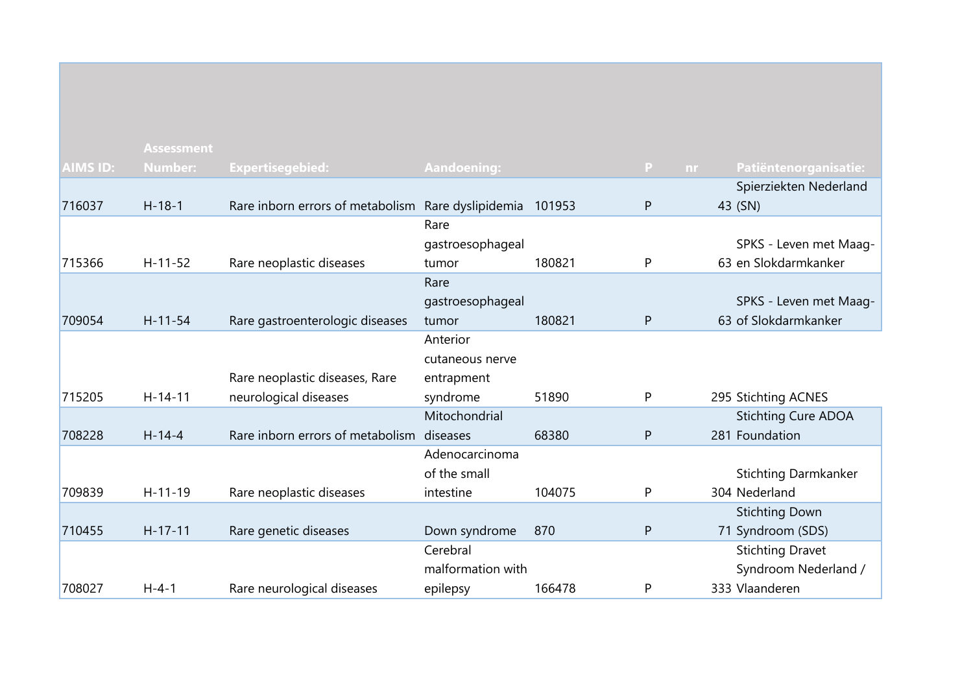|                 | <b>Assessment</b> |                                  |                    |        |                           |                             |
|-----------------|-------------------|----------------------------------|--------------------|--------|---------------------------|-----------------------------|
| <b>AIMS ID:</b> | <b>Number:</b>    | <b>Expertisegebied:</b>          | <b>Aandoening:</b> |        | $\mathbf{P}$<br><b>nr</b> | Patiëntenorganisatie:       |
|                 |                   |                                  |                    |        |                           | Spierziekten Nederland      |
| 716037          | $H - 18 - 1$      | Rare inborn errors of metabolism | Rare dyslipidemia  | 101953 | P                         | 43 (SN)                     |
|                 |                   |                                  | Rare               |        |                           |                             |
|                 |                   |                                  | gastroesophageal   |        |                           | SPKS - Leven met Maag-      |
| 715366          | $H-11-52$         | Rare neoplastic diseases         | tumor              | 180821 | P                         | 63 en Slokdarmkanker        |
|                 |                   |                                  | Rare               |        |                           |                             |
|                 |                   |                                  | gastroesophageal   |        |                           | SPKS - Leven met Maag-      |
| 709054          | $H - 11 - 54$     | Rare gastroenterologic diseases  | tumor              | 180821 | P                         | 63 of Slokdarmkanker        |
|                 |                   |                                  | Anterior           |        |                           |                             |
|                 |                   |                                  | cutaneous nerve    |        |                           |                             |
|                 |                   | Rare neoplastic diseases, Rare   | entrapment         |        |                           |                             |
| 715205          | $H-14-11$         | neurological diseases            | syndrome           | 51890  | P                         | 295 Stichting ACNES         |
|                 |                   |                                  | Mitochondrial      |        |                           | <b>Stichting Cure ADOA</b>  |
| 708228          | $H - 14 - 4$      | Rare inborn errors of metabolism | diseases           | 68380  | P                         | 281 Foundation              |
|                 |                   |                                  | Adenocarcinoma     |        |                           |                             |
|                 |                   |                                  | of the small       |        |                           | <b>Stichting Darmkanker</b> |
| 709839          | $H - 11 - 19$     | Rare neoplastic diseases         | intestine          | 104075 | P                         | 304 Nederland               |
|                 |                   |                                  |                    |        |                           | <b>Stichting Down</b>       |
| 710455          | $H - 17 - 11$     | Rare genetic diseases            | Down syndrome      | 870    | P                         | 71 Syndroom (SDS)           |
|                 |                   |                                  | Cerebral           |        |                           | <b>Stichting Dravet</b>     |
|                 |                   |                                  | malformation with  |        |                           | Syndroom Nederland /        |
| 708027          | $H - 4 - 1$       | Rare neurological diseases       | epilepsy           | 166478 | P                         | 333 Vlaanderen              |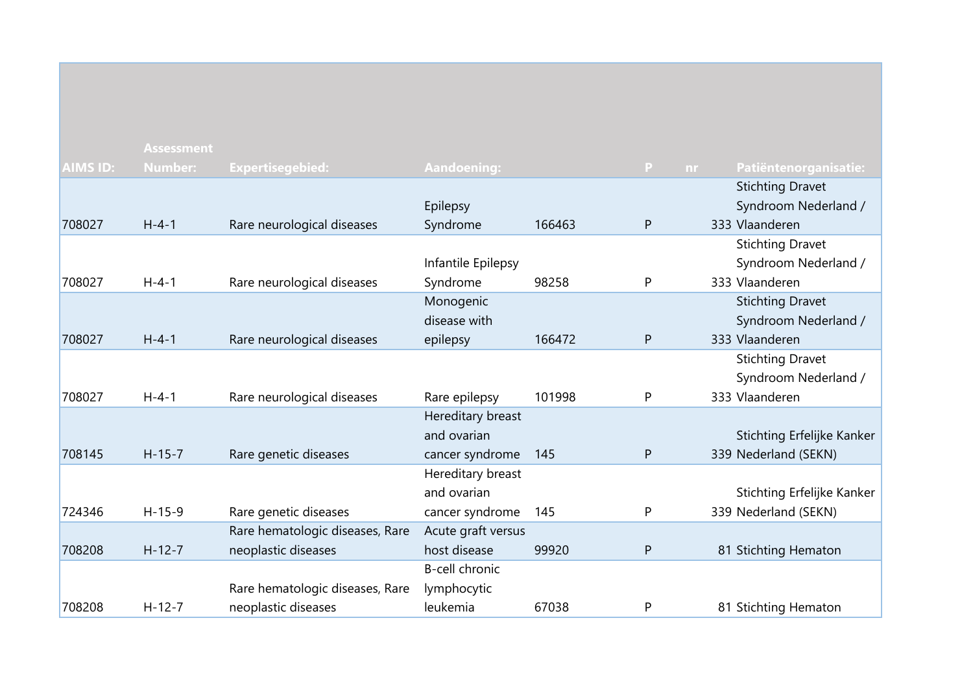|                 | <b>Assessment</b> |                                 |                    |        |              |     |                            |
|-----------------|-------------------|---------------------------------|--------------------|--------|--------------|-----|----------------------------|
| <b>AIMS ID:</b> | <b>Number:</b>    | <b>Expertisegebied:</b>         | <b>Aandoening:</b> |        | $\mathbf{P}$ | nr. | Patiëntenorganisatie:      |
|                 |                   |                                 |                    |        |              |     | <b>Stichting Dravet</b>    |
|                 |                   |                                 | Epilepsy           |        |              |     | Syndroom Nederland /       |
| 708027          | $H - 4 - 1$       | Rare neurological diseases      | Syndrome           | 166463 | P            |     | 333 Vlaanderen             |
|                 |                   |                                 |                    |        |              |     | <b>Stichting Dravet</b>    |
|                 |                   |                                 | Infantile Epilepsy |        |              |     | Syndroom Nederland /       |
| 708027          | $H - 4 - 1$       | Rare neurological diseases      | Syndrome           | 98258  | P            |     | 333 Vlaanderen             |
|                 |                   |                                 | Monogenic          |        |              |     | <b>Stichting Dravet</b>    |
|                 |                   |                                 | disease with       |        |              |     | Syndroom Nederland /       |
| 708027          | $H - 4 - 1$       | Rare neurological diseases      | epilepsy           | 166472 | P            |     | 333 Vlaanderen             |
|                 |                   |                                 |                    |        |              |     | <b>Stichting Dravet</b>    |
|                 |                   |                                 |                    |        |              |     | Syndroom Nederland /       |
| 708027          | $H - 4 - 1$       | Rare neurological diseases      | Rare epilepsy      | 101998 | P            |     | 333 Vlaanderen             |
|                 |                   |                                 | Hereditary breast  |        |              |     |                            |
|                 |                   |                                 | and ovarian        |        |              |     | Stichting Erfelijke Kanker |
| 708145          | $H-15-7$          | Rare genetic diseases           | cancer syndrome    | 145    | P            |     | 339 Nederland (SEKN)       |
|                 |                   |                                 | Hereditary breast  |        |              |     |                            |
|                 |                   |                                 | and ovarian        |        |              |     | Stichting Erfelijke Kanker |
| 724346          | $H - 15 - 9$      | Rare genetic diseases           | cancer syndrome    | 145    | P            |     | 339 Nederland (SEKN)       |
|                 |                   | Rare hematologic diseases, Rare | Acute graft versus |        |              |     |                            |
| 708208          | $H-12-7$          | neoplastic diseases             | host disease       | 99920  | P            |     | 81 Stichting Hematon       |
|                 |                   |                                 | B-cell chronic     |        |              |     |                            |
|                 |                   | Rare hematologic diseases, Rare | lymphocytic        |        |              |     |                            |
| 708208          | $H - 12 - 7$      | neoplastic diseases             | leukemia           | 67038  | P            |     | 81 Stichting Hematon       |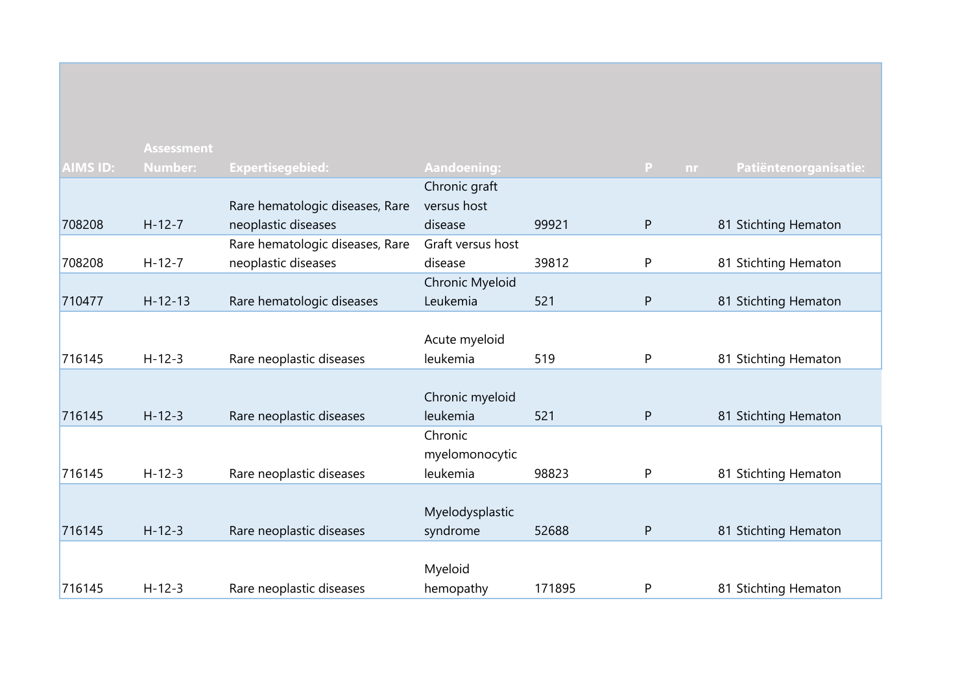|                 | <b>Assessment</b> |                                 |                    |        |              |                       |
|-----------------|-------------------|---------------------------------|--------------------|--------|--------------|-----------------------|
| <b>AIMS ID:</b> | <b>Number:</b>    | <b>Expertisegebied:</b>         | <b>Aandoening:</b> |        | P<br>nr      | Patiëntenorganisatie: |
|                 |                   |                                 | Chronic graft      |        |              |                       |
|                 |                   | Rare hematologic diseases, Rare | versus host        |        |              |                       |
| 708208          | $H-12-7$          | neoplastic diseases             | disease            | 99921  | $\mathsf{P}$ | 81 Stichting Hematon  |
|                 |                   | Rare hematologic diseases, Rare | Graft versus host  |        |              |                       |
| 708208          | $H-12-7$          | neoplastic diseases             | disease            | 39812  | P            | 81 Stichting Hematon  |
|                 |                   |                                 | Chronic Myeloid    |        |              |                       |
| 710477          | $H - 12 - 13$     | Rare hematologic diseases       | Leukemia           | 521    | ${\sf P}$    | 81 Stichting Hematon  |
|                 |                   |                                 |                    |        |              |                       |
|                 |                   |                                 | Acute myeloid      |        |              |                       |
| 716145          | $H-12-3$          | Rare neoplastic diseases        | leukemia           | 519    | P            | 81 Stichting Hematon  |
|                 |                   |                                 |                    |        |              |                       |
|                 |                   |                                 | Chronic myeloid    |        |              |                       |
| 716145          | $H - 12 - 3$      | Rare neoplastic diseases        | leukemia           | 521    | ${\sf P}$    | 81 Stichting Hematon  |
|                 |                   |                                 | Chronic            |        |              |                       |
|                 |                   |                                 | myelomonocytic     |        |              |                       |
| 716145          | $H - 12 - 3$      | Rare neoplastic diseases        | leukemia           | 98823  | P            | 81 Stichting Hematon  |
|                 |                   |                                 |                    |        |              |                       |
|                 |                   |                                 | Myelodysplastic    |        |              |                       |
| 716145          | $H - 12 - 3$      | Rare neoplastic diseases        | syndrome           | 52688  | ${\sf P}$    | 81 Stichting Hematon  |
|                 |                   |                                 |                    |        |              |                       |
|                 |                   |                                 | Myeloid            |        |              |                       |
| 716145          | $H-12-3$          | Rare neoplastic diseases        | hemopathy          | 171895 | P            | 81 Stichting Hematon  |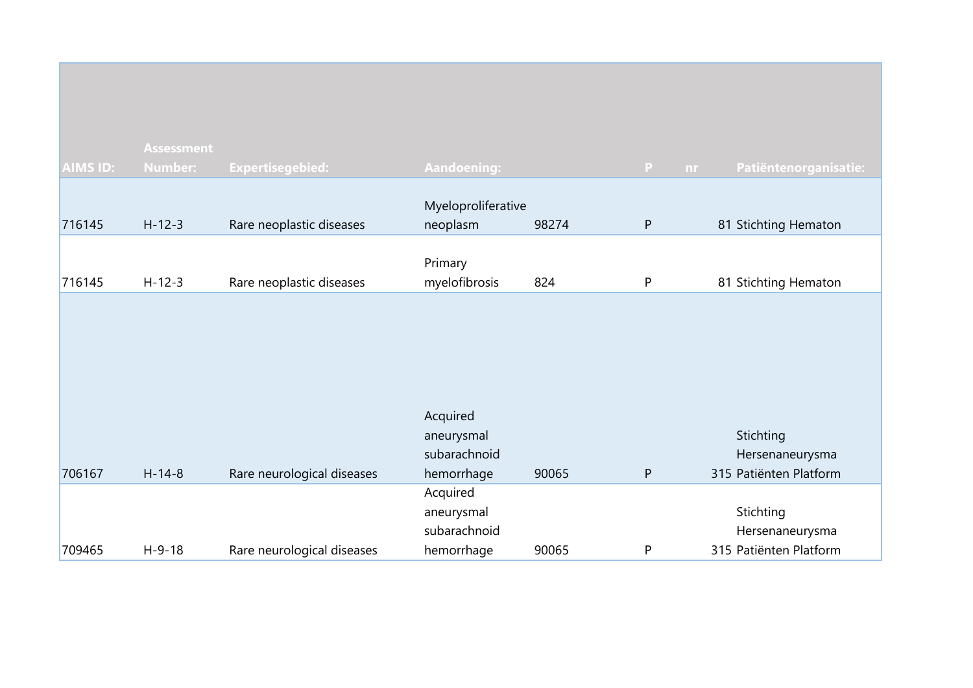|                 | <b>Assessment</b> |                            |                                |       |           |                        |
|-----------------|-------------------|----------------------------|--------------------------------|-------|-----------|------------------------|
| <b>AIMS ID:</b> | Number:           | <b>Expertisegebied:</b>    | <b>Aandoening:</b>             |       | P<br>nr.  | Patiëntenorganisatie:  |
| 716145          | $H - 12 - 3$      | Rare neoplastic diseases   | Myeloproliferative<br>neoplasm | 98274 | ${\sf P}$ | 81 Stichting Hematon   |
| 716145          | $H-12-3$          | Rare neoplastic diseases   | Primary<br>myelofibrosis       | 824   | P         | 81 Stichting Hematon   |
|                 |                   |                            |                                |       |           |                        |
|                 |                   |                            | Acquired<br>aneurysmal         |       |           | Stichting              |
|                 |                   |                            | subarachnoid                   |       |           | Hersenaneurysma        |
| 706167          | $H - 14 - 8$      | Rare neurological diseases | hemorrhage                     | 90065 | P         | 315 Patiënten Platform |
|                 |                   |                            | Acquired                       |       |           |                        |
|                 |                   |                            | aneurysmal                     |       |           | Stichting              |
|                 |                   |                            | subarachnoid                   |       |           | Hersenaneurysma        |
| 709465          | $H - 9 - 18$      | Rare neurological diseases | hemorrhage                     | 90065 | P         | 315 Patiënten Platform |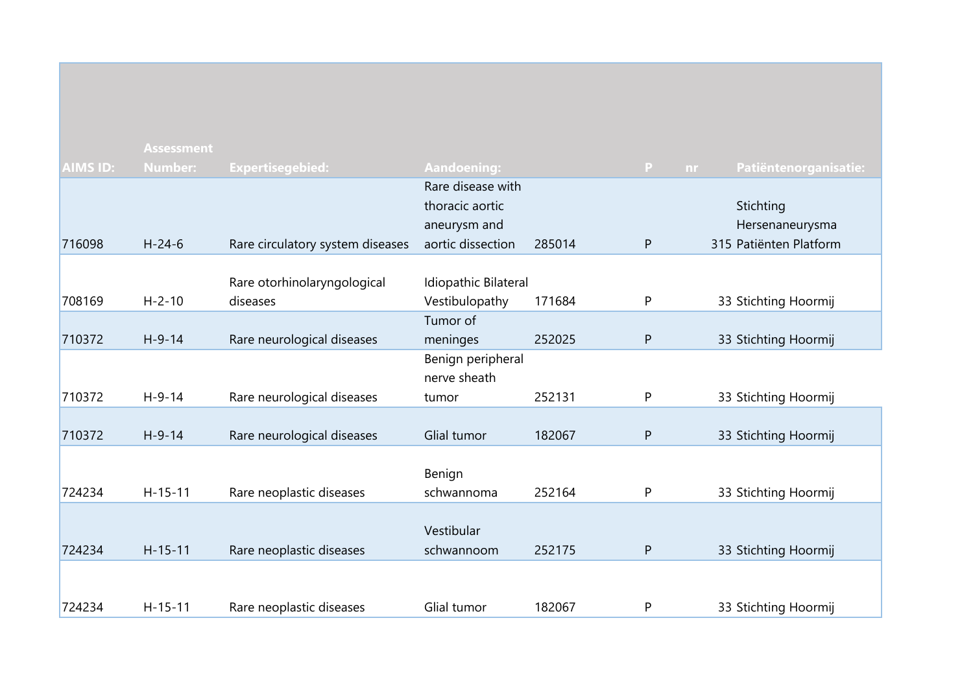|                 | <b>Assessment</b> |                                  |                      |        |              |                             |
|-----------------|-------------------|----------------------------------|----------------------|--------|--------------|-----------------------------|
| <b>AIMS ID:</b> | <b>Number:</b>    | <b>Expertisegebied:</b>          | <b>Aandoening:</b>   |        | $\mathbf{P}$ | Patiëntenorganisatie:<br>nr |
|                 |                   |                                  | Rare disease with    |        |              |                             |
|                 |                   |                                  | thoracic aortic      |        |              | Stichting                   |
|                 |                   |                                  | aneurysm and         |        |              | Hersenaneurysma             |
| 716098          | $H - 24 - 6$      | Rare circulatory system diseases | aortic dissection    | 285014 | P            | 315 Patiënten Platform      |
|                 |                   |                                  |                      |        |              |                             |
|                 |                   | Rare otorhinolaryngological      | Idiopathic Bilateral |        |              |                             |
| 708169          | $H - 2 - 10$      | diseases                         | Vestibulopathy       | 171684 | P            | 33 Stichting Hoormij        |
|                 |                   |                                  | Tumor of             |        |              |                             |
| 710372          | $H-9-14$          | Rare neurological diseases       | meninges             | 252025 | P            | 33 Stichting Hoormij        |
|                 |                   |                                  | Benign peripheral    |        |              |                             |
|                 |                   |                                  | nerve sheath         |        |              |                             |
| 710372          | $H-9-14$          | Rare neurological diseases       | tumor                | 252131 | ${\sf P}$    | 33 Stichting Hoormij        |
|                 |                   |                                  |                      |        |              |                             |
| 710372          | $H-9-14$          | Rare neurological diseases       | Glial tumor          | 182067 | ${\sf P}$    | 33 Stichting Hoormij        |
|                 |                   |                                  |                      |        |              |                             |
|                 |                   |                                  | Benign               |        |              |                             |
| 724234          | $H - 15 - 11$     | Rare neoplastic diseases         | schwannoma           | 252164 | ${\sf P}$    | 33 Stichting Hoormij        |
|                 |                   |                                  |                      |        |              |                             |
|                 |                   |                                  | Vestibular           |        |              |                             |
| 724234          | $H - 15 - 11$     | Rare neoplastic diseases         | schwannoom           | 252175 | P            | 33 Stichting Hoormij        |
|                 |                   |                                  |                      |        |              |                             |
|                 |                   |                                  |                      |        |              |                             |
| 724234          | $H - 15 - 11$     | Rare neoplastic diseases         | Glial tumor          | 182067 | P            | 33 Stichting Hoormij        |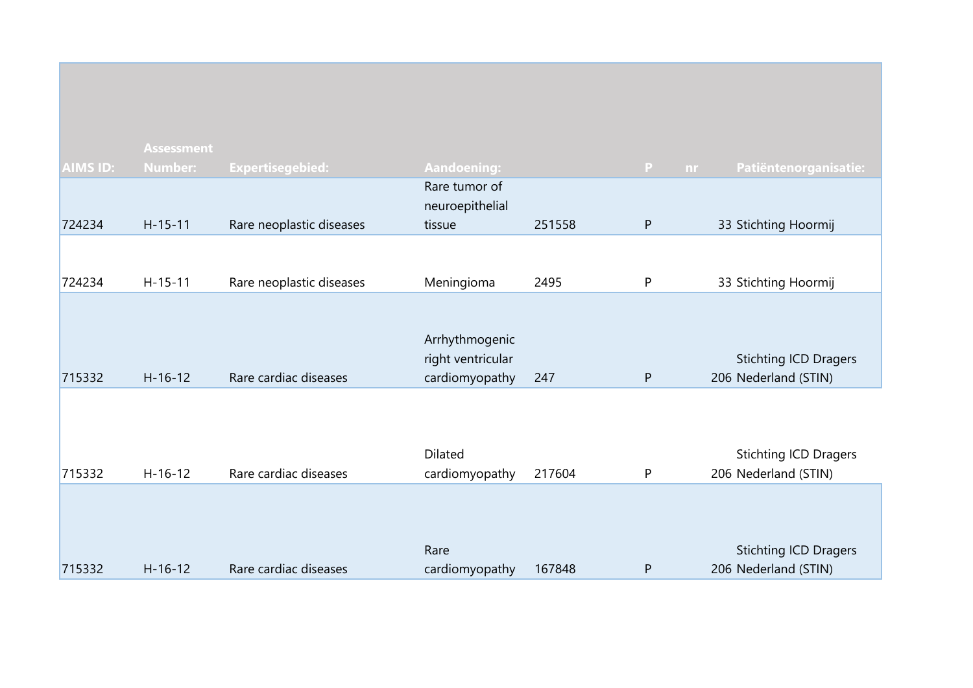|                 | <b>Assessment</b> |                          |                                                       |        |              |                                                      |
|-----------------|-------------------|--------------------------|-------------------------------------------------------|--------|--------------|------------------------------------------------------|
| <b>AIMS ID:</b> | <b>Number:</b>    | <b>Expertisegebied:</b>  | <b>Aandoening:</b>                                    |        | P<br>nr.     | Patiëntenorganisatie:                                |
|                 |                   |                          | Rare tumor of                                         |        |              |                                                      |
|                 |                   |                          | neuroepithelial                                       |        |              |                                                      |
| 724234          | $H-15-11$         | Rare neoplastic diseases | tissue                                                | 251558 | ${\sf P}$    | 33 Stichting Hoormij                                 |
|                 |                   |                          |                                                       |        |              |                                                      |
| 724234          | $H-15-11$         | Rare neoplastic diseases | Meningioma                                            | 2495   | $\mathsf{P}$ | 33 Stichting Hoormij                                 |
| 715332          | $H-16-12$         | Rare cardiac diseases    | Arrhythmogenic<br>right ventricular<br>cardiomyopathy | 247    | $\mathsf{P}$ | <b>Stichting ICD Dragers</b><br>206 Nederland (STIN) |
| 715332          | $H-16-12$         | Rare cardiac diseases    | Dilated<br>cardiomyopathy                             | 217604 | P            | <b>Stichting ICD Dragers</b><br>206 Nederland (STIN) |
| 715332          | $H - 16 - 12$     | Rare cardiac diseases    | Rare<br>cardiomyopathy                                | 167848 | P            | <b>Stichting ICD Dragers</b><br>206 Nederland (STIN) |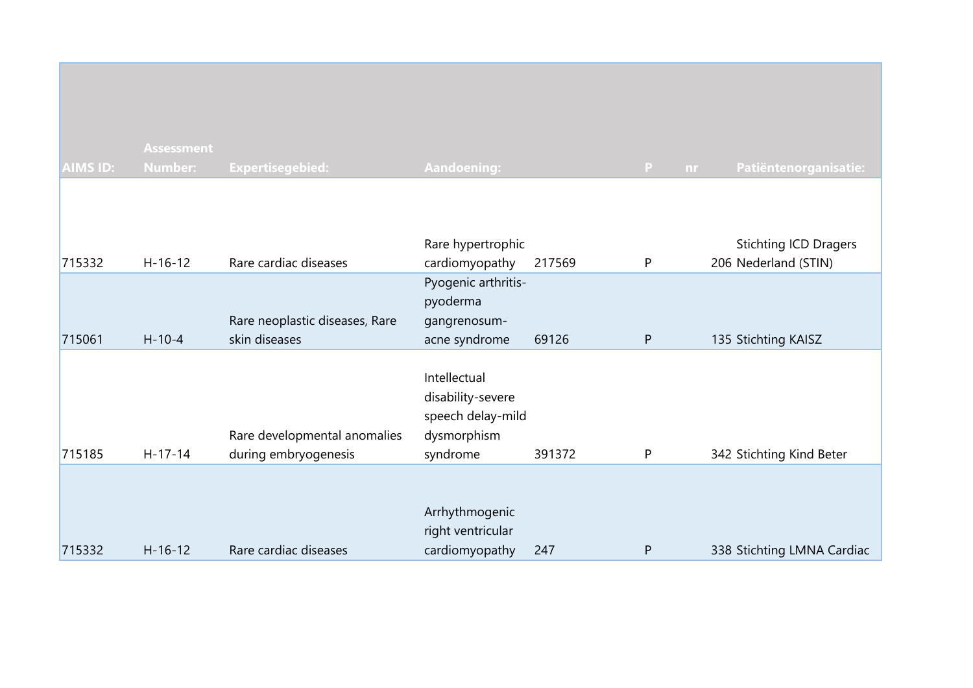| <b>AIMS ID:</b> | <b>Assessment</b><br><b>Number:</b> | Expertisegebied:                                     | <b>Aandoening:</b>                                                                |        | $\mathbf{P}$<br>nr | Patiëntenorganisatie:                                |
|-----------------|-------------------------------------|------------------------------------------------------|-----------------------------------------------------------------------------------|--------|--------------------|------------------------------------------------------|
| 715332          | $H - 16 - 12$                       | Rare cardiac diseases                                | Rare hypertrophic<br>cardiomyopathy                                               | 217569 | P                  | <b>Stichting ICD Dragers</b><br>206 Nederland (STIN) |
| 715061          | $H - 10 - 4$                        | Rare neoplastic diseases, Rare<br>skin diseases      | Pyogenic arthritis-<br>pyoderma<br>gangrenosum-<br>acne syndrome                  | 69126  | P                  | 135 Stichting KAISZ                                  |
| 715185          | $H-17-14$                           | Rare developmental anomalies<br>during embryogenesis | Intellectual<br>disability-severe<br>speech delay-mild<br>dysmorphism<br>syndrome | 391372 | P                  | 342 Stichting Kind Beter                             |
| 715332          | $H - 16 - 12$                       | Rare cardiac diseases                                | Arrhythmogenic<br>right ventricular<br>cardiomyopathy                             | 247    | P                  | 338 Stichting LMNA Cardiac                           |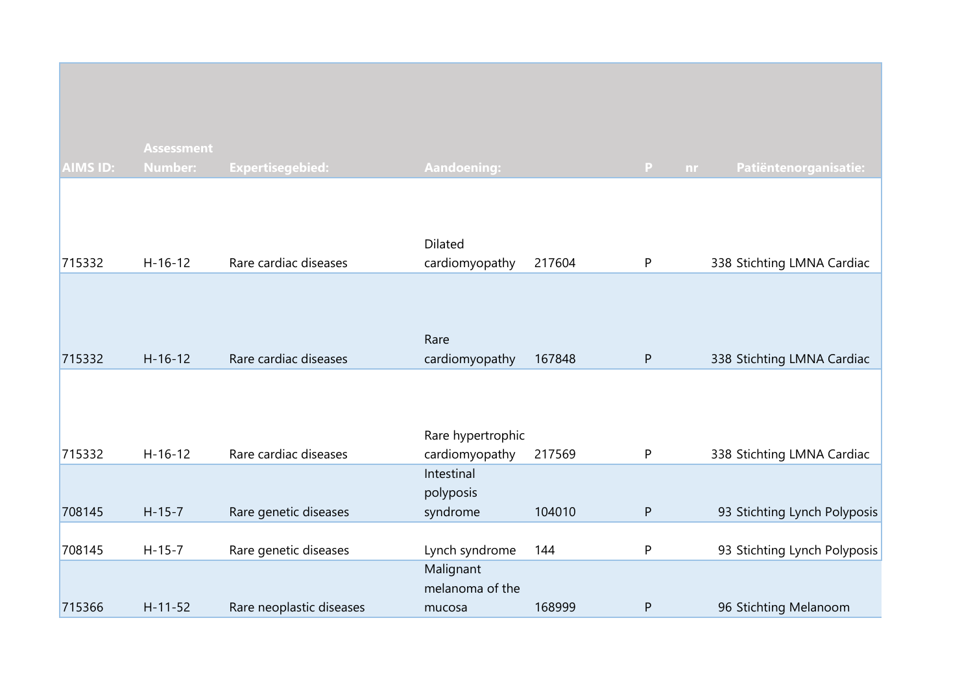|                 | <b>Assessment</b> |                          |                                        |        |              |                              |
|-----------------|-------------------|--------------------------|----------------------------------------|--------|--------------|------------------------------|
| <b>AIMS ID:</b> | <b>Number:</b>    | <b>Expertisegebied:</b>  | <b>Aandoening:</b>                     |        | P<br>nr      | Patiëntenorganisatie:        |
| 715332          | $H-16-12$         | Rare cardiac diseases    | <b>Dilated</b><br>cardiomyopathy       | 217604 | P            | 338 Stichting LMNA Cardiac   |
| 715332          | $H-16-12$         | Rare cardiac diseases    | Rare<br>cardiomyopathy                 | 167848 | $\mathsf{P}$ | 338 Stichting LMNA Cardiac   |
| 715332          | $H-16-12$         | Rare cardiac diseases    | Rare hypertrophic<br>cardiomyopathy    | 217569 | P            | 338 Stichting LMNA Cardiac   |
| 708145          | $H - 15 - 7$      | Rare genetic diseases    | Intestinal<br>polyposis<br>syndrome    | 104010 | ${\sf P}$    | 93 Stichting Lynch Polyposis |
| 708145          | $H-15-7$          | Rare genetic diseases    | Lynch syndrome                         | 144    | P            | 93 Stichting Lynch Polyposis |
| 715366          | $H - 11 - 52$     | Rare neoplastic diseases | Malignant<br>melanoma of the<br>mucosa | 168999 | P            | 96 Stichting Melanoom        |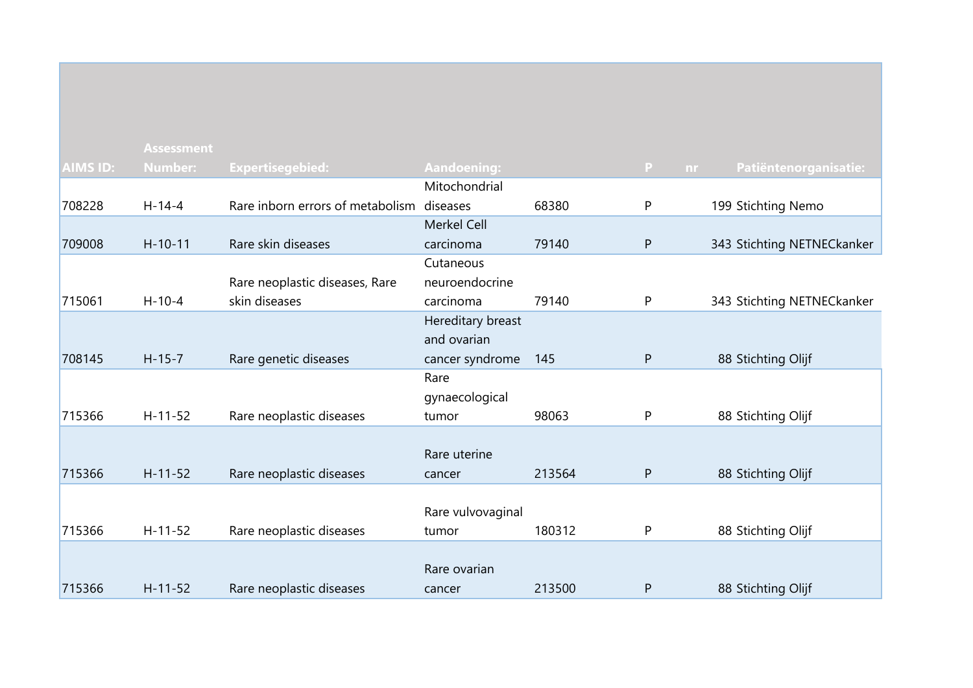|                 | <b>Assessment</b> |                                           |                    |        |              |                            |
|-----------------|-------------------|-------------------------------------------|--------------------|--------|--------------|----------------------------|
| <b>AIMS ID:</b> | <b>Number:</b>    | <b>Expertisegebied:</b>                   | <b>Aandoening:</b> |        | P<br>nr.     | Patiëntenorganisatie:      |
|                 |                   |                                           | Mitochondrial      |        |              |                            |
| 708228          | $H-14-4$          | Rare inborn errors of metabolism diseases |                    | 68380  | P            | 199 Stichting Nemo         |
|                 |                   |                                           | Merkel Cell        |        |              |                            |
| 709008          | $H-10-11$         | Rare skin diseases                        | carcinoma          | 79140  | P            | 343 Stichting NETNECkanker |
|                 |                   |                                           | Cutaneous          |        |              |                            |
|                 |                   | Rare neoplastic diseases, Rare            | neuroendocrine     |        |              |                            |
| 715061          | $H - 10 - 4$      | skin diseases                             | carcinoma          | 79140  | P            | 343 Stichting NETNECkanker |
|                 |                   |                                           | Hereditary breast  |        |              |                            |
|                 |                   |                                           | and ovarian        |        |              |                            |
| 708145          | $H - 15 - 7$      | Rare genetic diseases                     | cancer syndrome    | 145    | P            | 88 Stichting Olijf         |
|                 |                   |                                           | Rare               |        |              |                            |
|                 |                   |                                           | gynaecological     |        |              |                            |
| 715366          | $H - 11 - 52$     | Rare neoplastic diseases                  | tumor              | 98063  | P            | 88 Stichting Olijf         |
|                 |                   |                                           |                    |        |              |                            |
|                 |                   |                                           | Rare uterine       |        |              |                            |
| 715366          | $H - 11 - 52$     | Rare neoplastic diseases                  | cancer             | 213564 | $\mathsf{P}$ | 88 Stichting Olijf         |
|                 |                   |                                           |                    |        |              |                            |
|                 |                   |                                           | Rare vulvovaginal  |        |              |                            |
| 715366          | $H-11-52$         | Rare neoplastic diseases                  | tumor              | 180312 | P            | 88 Stichting Olijf         |
|                 |                   |                                           |                    |        |              |                            |
|                 |                   |                                           | Rare ovarian       |        |              |                            |
| 715366          | $H - 11 - 52$     | Rare neoplastic diseases                  | cancer             | 213500 | P            | 88 Stichting Olijf         |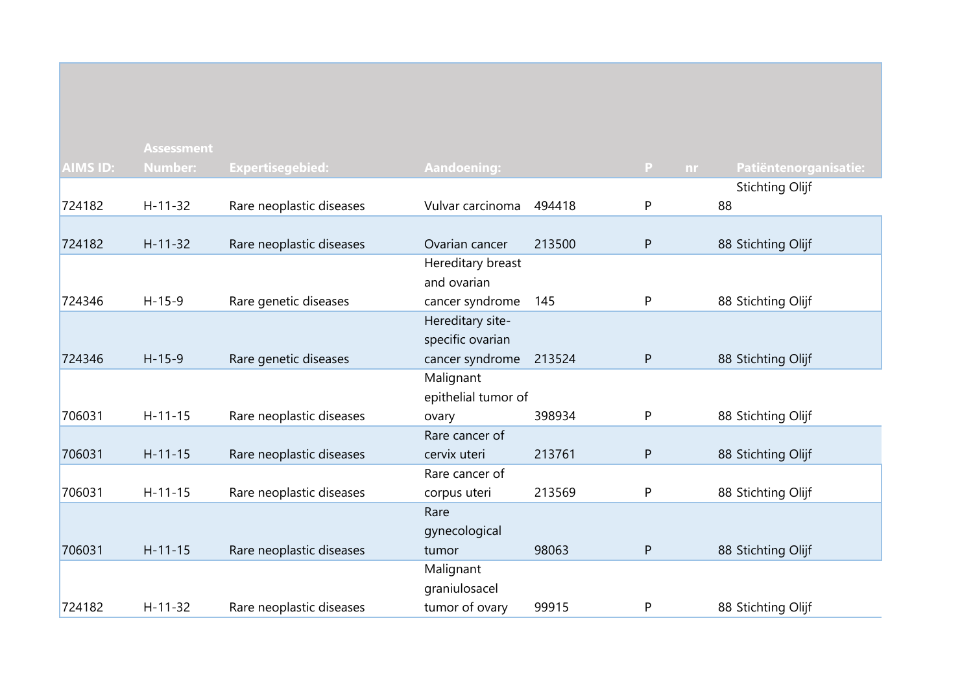|                 | <b>Assessment</b> |                          |                         |        |              |                        |
|-----------------|-------------------|--------------------------|-------------------------|--------|--------------|------------------------|
| <b>AIMS ID:</b> | <b>Number:</b>    | <b>Expertisegebied:</b>  | Aandoening:             |        | P<br>nr.     | Patiëntenorganisatie:  |
|                 |                   |                          |                         |        |              | <b>Stichting Olijf</b> |
| 724182          | $H - 11 - 32$     | Rare neoplastic diseases | Vulvar carcinoma        | 494418 | $\mathsf{P}$ | 88                     |
|                 |                   |                          |                         |        |              |                        |
| 724182          | $H-11-32$         | Rare neoplastic diseases | Ovarian cancer          | 213500 | ${\sf P}$    | 88 Stichting Olijf     |
|                 |                   |                          | Hereditary breast       |        |              |                        |
|                 |                   |                          | and ovarian             |        |              |                        |
| 724346          | $H-15-9$          | Rare genetic diseases    | cancer syndrome         | 145    | P            | 88 Stichting Olijf     |
|                 |                   |                          | Hereditary site-        |        |              |                        |
|                 |                   |                          | specific ovarian        |        |              |                        |
| 724346          | $H-15-9$          | Rare genetic diseases    | cancer syndrome         | 213524 | $\mathsf{P}$ | 88 Stichting Olijf     |
|                 |                   |                          | Malignant               |        |              |                        |
| 706031          | $H-11-15$         |                          | epithelial tumor of     | 398934 | P            |                        |
|                 |                   | Rare neoplastic diseases | ovary<br>Rare cancer of |        |              | 88 Stichting Olijf     |
| 706031          | $H - 11 - 15$     | Rare neoplastic diseases | cervix uteri            | 213761 | P            | 88 Stichting Olijf     |
|                 |                   |                          | Rare cancer of          |        |              |                        |
| 706031          | $H-11-15$         | Rare neoplastic diseases | corpus uteri            | 213569 | P            | 88 Stichting Olijf     |
|                 |                   |                          | Rare                    |        |              |                        |
|                 |                   |                          | gynecological           |        |              |                        |
| 706031          | $H - 11 - 15$     | Rare neoplastic diseases | tumor                   | 98063  | ${\sf P}$    | 88 Stichting Olijf     |
|                 |                   |                          | Malignant               |        |              |                        |
|                 |                   |                          | graniulosacel           |        |              |                        |
| 724182          | $H-11-32$         | Rare neoplastic diseases | tumor of ovary          | 99915  | P            | 88 Stichting Olijf     |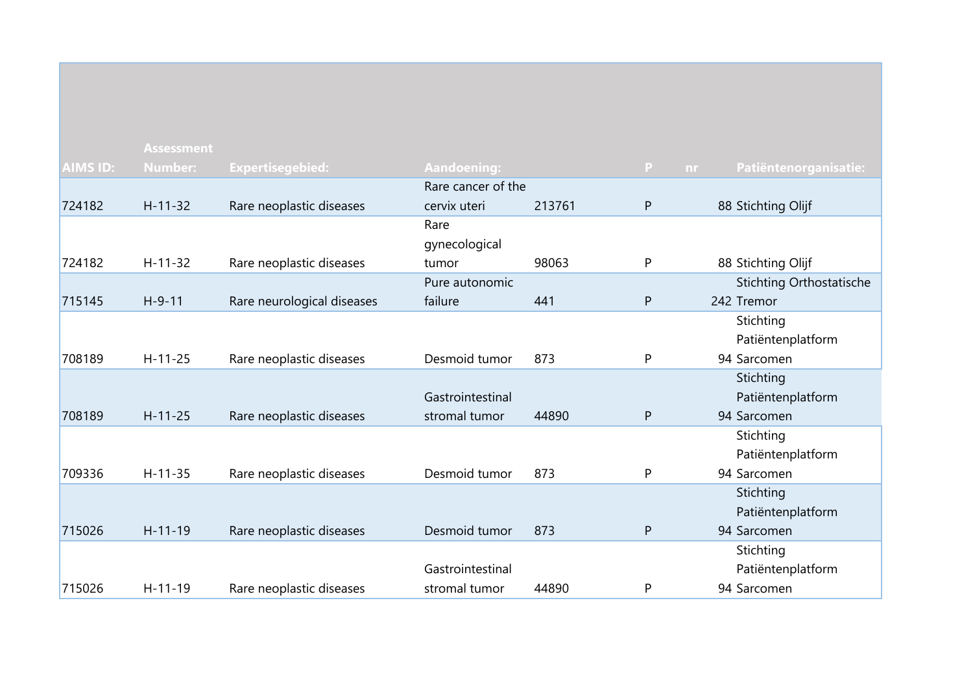|                 | <b>Assessment</b> |                            |                    |        |              |                                 |
|-----------------|-------------------|----------------------------|--------------------|--------|--------------|---------------------------------|
| <b>AIMS ID:</b> | <b>Number:</b>    | <b>Expertisegebied:</b>    | <b>Aandoening:</b> |        | $\mathbf{P}$ | Patiëntenorganisatie:<br>nr.    |
|                 |                   |                            | Rare cancer of the |        |              |                                 |
| 724182          | $H-11-32$         | Rare neoplastic diseases   | cervix uteri       | 213761 | $\mathsf{P}$ | 88 Stichting Olijf              |
|                 |                   |                            | Rare               |        |              |                                 |
|                 |                   |                            | gynecological      |        |              |                                 |
| 724182          | $H-11-32$         | Rare neoplastic diseases   | tumor              | 98063  | P            | 88 Stichting Olijf              |
|                 |                   |                            | Pure autonomic     |        |              | <b>Stichting Orthostatische</b> |
| 715145          | $H-9-11$          | Rare neurological diseases | failure            | 441    | $\mathsf{P}$ | 242 Tremor                      |
|                 |                   |                            |                    |        |              | Stichting                       |
|                 |                   |                            |                    |        |              | Patiëntenplatform               |
| 708189          | $H-11-25$         | Rare neoplastic diseases   | Desmoid tumor      | 873    | P            | 94 Sarcomen                     |
|                 |                   |                            |                    |        |              | Stichting                       |
|                 |                   |                            | Gastrointestinal   |        |              | Patiëntenplatform               |
| 708189          | $H - 11 - 25$     | Rare neoplastic diseases   | stromal tumor      | 44890  | ${\sf P}$    | 94 Sarcomen                     |
|                 |                   |                            |                    |        |              | Stichting                       |
|                 |                   |                            |                    |        |              | Patiëntenplatform               |
| 709336          | $H-11-35$         | Rare neoplastic diseases   | Desmoid tumor      | 873    | P            | 94 Sarcomen                     |
|                 |                   |                            |                    |        |              | Stichting                       |
|                 |                   |                            |                    |        |              | Patiëntenplatform               |
| 715026          | $H - 11 - 19$     | Rare neoplastic diseases   | Desmoid tumor      | 873    | $\mathsf{P}$ | 94 Sarcomen                     |
|                 |                   |                            |                    |        |              | Stichting                       |
|                 |                   |                            | Gastrointestinal   |        |              | Patiëntenplatform               |
| 715026          | $H-11-19$         | Rare neoplastic diseases   | stromal tumor      | 44890  | P            | 94 Sarcomen                     |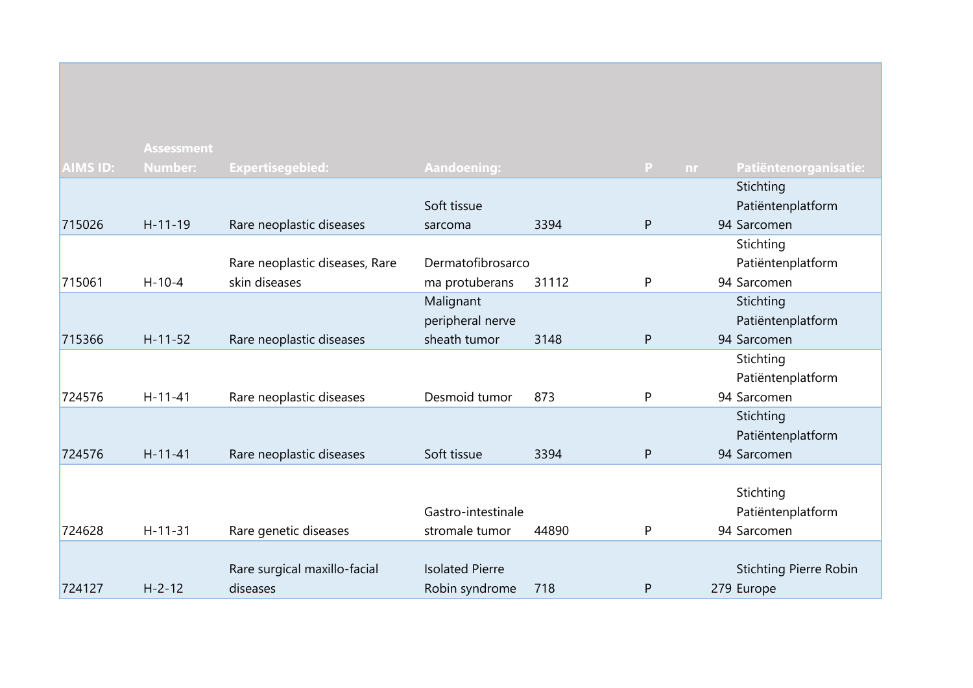|                 | <b>Assessment</b> |                                |                        |       |                    |                               |
|-----------------|-------------------|--------------------------------|------------------------|-------|--------------------|-------------------------------|
| <b>AIMS ID:</b> | <b>Number:</b>    | <b>Expertisegebied:</b>        | <b>Aandoening:</b>     |       | $\mathbf{P}$<br>nr | Patiëntenorganisatie:         |
|                 |                   |                                |                        |       |                    | Stichting                     |
|                 |                   |                                | Soft tissue            |       |                    | Patiëntenplatform             |
| 715026          | $H-11-19$         | Rare neoplastic diseases       | sarcoma                | 3394  | P                  | 94 Sarcomen                   |
|                 |                   |                                |                        |       |                    | Stichting                     |
|                 |                   | Rare neoplastic diseases, Rare | Dermatofibrosarco      |       |                    | Patiëntenplatform             |
| 715061          | $H - 10 - 4$      | skin diseases                  | ma protuberans         | 31112 | P                  | 94 Sarcomen                   |
|                 |                   |                                | Malignant              |       |                    | Stichting                     |
|                 |                   |                                | peripheral nerve       |       |                    | Patiëntenplatform             |
| 715366          | $H-11-52$         | Rare neoplastic diseases       | sheath tumor           | 3148  | P                  | 94 Sarcomen                   |
|                 |                   |                                |                        |       |                    | Stichting                     |
|                 |                   |                                |                        |       |                    | Patiëntenplatform             |
| 724576          | $H-11-41$         | Rare neoplastic diseases       | Desmoid tumor          | 873   | P                  | 94 Sarcomen                   |
|                 |                   |                                |                        |       |                    | Stichting                     |
|                 |                   |                                |                        |       |                    | Patiëntenplatform             |
| 724576          | $H - 11 - 41$     | Rare neoplastic diseases       | Soft tissue            | 3394  | P                  | 94 Sarcomen                   |
|                 |                   |                                |                        |       |                    |                               |
|                 |                   |                                |                        |       |                    | Stichting                     |
|                 |                   |                                | Gastro-intestinale     |       |                    | Patiëntenplatform             |
| 724628          | $H - 11 - 31$     | Rare genetic diseases          | stromale tumor         | 44890 | P                  | 94 Sarcomen                   |
|                 |                   |                                |                        |       |                    |                               |
|                 |                   | Rare surgical maxillo-facial   | <b>Isolated Pierre</b> |       |                    | <b>Stichting Pierre Robin</b> |
| 724127          | $H - 2 - 12$      | diseases                       | Robin syndrome         | 718   | P                  | 279 Europe                    |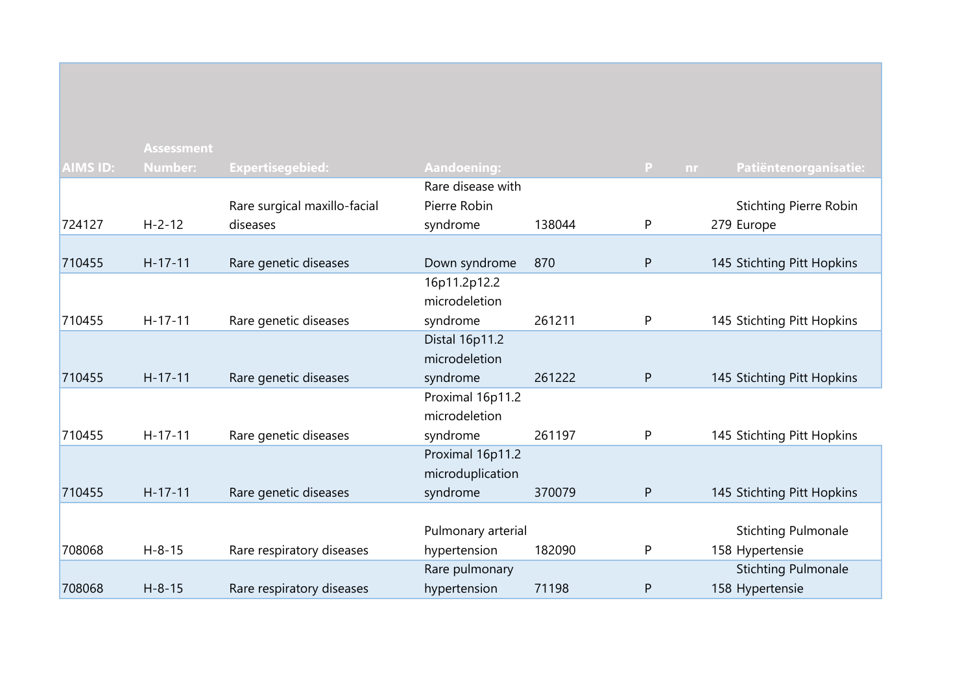| <b>AIMS ID:</b> | <b>Assessment</b><br><b>Number:</b> | <b>Expertisegebied:</b>      | <b>Aandoening:</b> |        | $\mathsf{P}$<br>nr | Patiëntenorganisatie:         |
|-----------------|-------------------------------------|------------------------------|--------------------|--------|--------------------|-------------------------------|
|                 |                                     |                              | Rare disease with  |        |                    |                               |
|                 |                                     | Rare surgical maxillo-facial | Pierre Robin       |        |                    | <b>Stichting Pierre Robin</b> |
| 724127          | $H - 2 - 12$                        | diseases                     | syndrome           | 138044 | P                  | 279 Europe                    |
|                 |                                     |                              |                    |        |                    |                               |
| 710455          | $H-17-11$                           | Rare genetic diseases        | Down syndrome      | 870    | ${\sf P}$          | 145 Stichting Pitt Hopkins    |
|                 |                                     |                              | 16p11.2p12.2       |        |                    |                               |
|                 |                                     |                              | microdeletion      |        |                    |                               |
| 710455          | $H-17-11$                           | Rare genetic diseases        | syndrome           | 261211 | $\mathsf{P}$       | 145 Stichting Pitt Hopkins    |
|                 |                                     |                              | Distal 16p11.2     |        |                    |                               |
|                 |                                     |                              | microdeletion      |        |                    |                               |
| 710455          | $H-17-11$                           | Rare genetic diseases        | syndrome           | 261222 | ${\sf P}$          | 145 Stichting Pitt Hopkins    |
|                 |                                     |                              | Proximal 16p11.2   |        |                    |                               |
|                 |                                     |                              | microdeletion      |        |                    |                               |
| 710455          | $H-17-11$                           | Rare genetic diseases        | syndrome           | 261197 | P                  | 145 Stichting Pitt Hopkins    |
|                 |                                     |                              | Proximal 16p11.2   |        |                    |                               |
|                 |                                     |                              | microduplication   |        |                    |                               |
| 710455          | $H-17-11$                           | Rare genetic diseases        | syndrome           | 370079 | $\mathsf{P}$       | 145 Stichting Pitt Hopkins    |
|                 |                                     |                              |                    |        |                    |                               |
|                 |                                     |                              | Pulmonary arterial |        |                    | <b>Stichting Pulmonale</b>    |
| 708068          | $H - 8 - 15$                        | Rare respiratory diseases    | hypertension       | 182090 | P                  | 158 Hypertensie               |
|                 |                                     |                              | Rare pulmonary     |        |                    | <b>Stichting Pulmonale</b>    |
| 708068          | $H - 8 - 15$                        | Rare respiratory diseases    | hypertension       | 71198  | P                  | 158 Hypertensie               |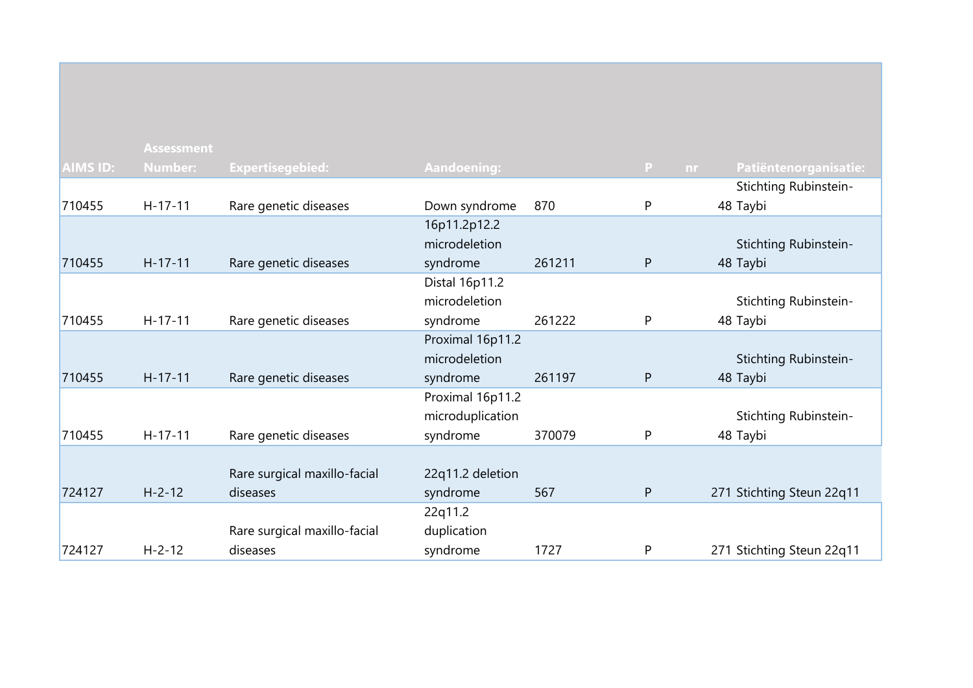|                 | <b>Assessment</b> |                              |                    |        |          |                           |
|-----------------|-------------------|------------------------------|--------------------|--------|----------|---------------------------|
| <b>AIMS ID:</b> | <b>Number:</b>    | <b>Expertisegebied:</b>      | <b>Aandoening:</b> |        | P<br>nr. | Patiëntenorganisatie:     |
|                 |                   |                              |                    |        |          | Stichting Rubinstein-     |
| 710455          | $H-17-11$         | Rare genetic diseases        | Down syndrome      | 870    | P        | 48 Taybi                  |
|                 |                   |                              | 16p11.2p12.2       |        |          |                           |
|                 |                   |                              | microdeletion      |        |          | Stichting Rubinstein-     |
| 710455          | $H-17-11$         | Rare genetic diseases        | syndrome           | 261211 | P        | 48 Taybi                  |
|                 |                   |                              | Distal 16p11.2     |        |          |                           |
|                 |                   |                              | microdeletion      |        |          | Stichting Rubinstein-     |
| 710455          | $H-17-11$         | Rare genetic diseases        | syndrome           | 261222 | P        | 48 Taybi                  |
|                 |                   |                              | Proximal 16p11.2   |        |          |                           |
|                 |                   |                              | microdeletion      |        |          | Stichting Rubinstein-     |
| 710455          | $H-17-11$         | Rare genetic diseases        | syndrome           | 261197 | P        | 48 Taybi                  |
|                 |                   |                              | Proximal 16p11.2   |        |          |                           |
|                 |                   |                              | microduplication   |        |          | Stichting Rubinstein-     |
| 710455          | $H-17-11$         | Rare genetic diseases        | syndrome           | 370079 | P        | 48 Taybi                  |
|                 |                   |                              |                    |        |          |                           |
|                 |                   | Rare surgical maxillo-facial | 22q11.2 deletion   |        |          |                           |
| 724127          | $H - 2 - 12$      | diseases                     | syndrome           | 567    | P        | 271 Stichting Steun 22q11 |
|                 |                   |                              | 22q11.2            |        |          |                           |
|                 |                   | Rare surgical maxillo-facial | duplication        |        |          |                           |
| 724127          | $H - 2 - 12$      | diseases                     | syndrome           | 1727   | P        | 271 Stichting Steun 22q11 |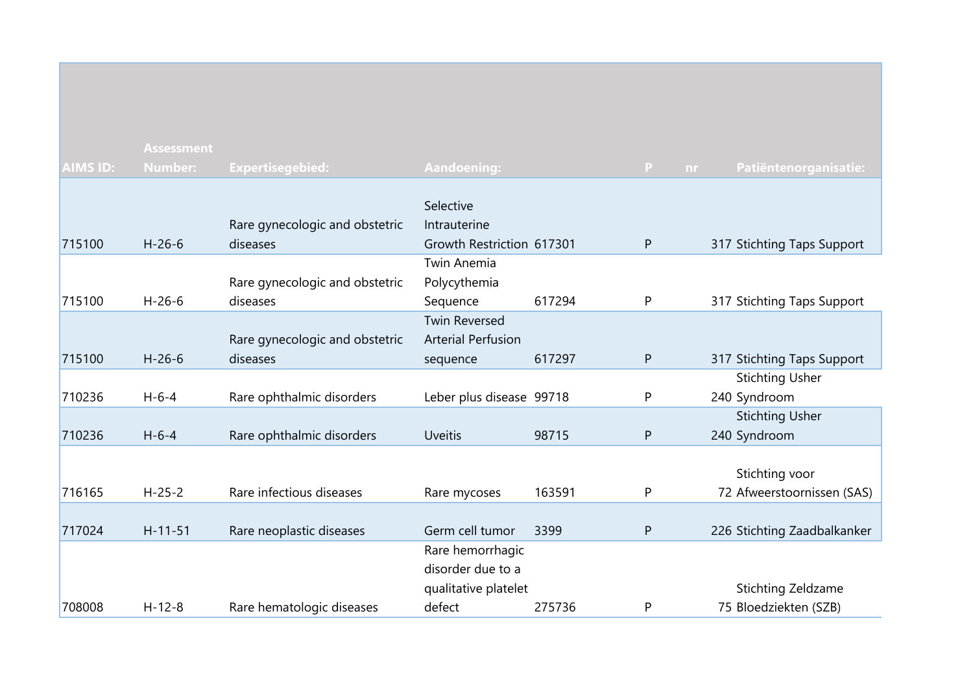|                 | <b>Assessment</b> |                                |                           |        |                    |                             |
|-----------------|-------------------|--------------------------------|---------------------------|--------|--------------------|-----------------------------|
| <b>AIMS ID:</b> | <b>Number:</b>    | Expertisegebied:               | <b>Aandoening:</b>        |        | $\mathbf{P}$<br>nr | Patiëntenorganisatie:       |
|                 |                   |                                |                           |        |                    |                             |
|                 |                   |                                | Selective                 |        |                    |                             |
|                 |                   | Rare gynecologic and obstetric | Intrauterine              |        |                    |                             |
| 715100          | $H - 26 - 6$      | diseases                       | Growth Restriction 617301 |        | P                  | 317 Stichting Taps Support  |
|                 |                   |                                | <b>Twin Anemia</b>        |        |                    |                             |
|                 |                   | Rare gynecologic and obstetric | Polycythemia              |        |                    |                             |
| 715100          | $H - 26 - 6$      | diseases                       | Sequence                  | 617294 | P                  | 317 Stichting Taps Support  |
|                 |                   |                                | <b>Twin Reversed</b>      |        |                    |                             |
|                 |                   | Rare gynecologic and obstetric | <b>Arterial Perfusion</b> |        |                    |                             |
| 715100          | $H-26-6$          | diseases                       | sequence                  | 617297 | ${\sf P}$          | 317 Stichting Taps Support  |
|                 |                   |                                |                           |        |                    | <b>Stichting Usher</b>      |
| 710236          | $H - 6 - 4$       | Rare ophthalmic disorders      | Leber plus disease 99718  |        | $\mathsf{P}$       | 240 Syndroom                |
|                 |                   |                                |                           |        |                    | <b>Stichting Usher</b>      |
| 710236          | $H - 6 - 4$       | Rare ophthalmic disorders      | <b>Uveitis</b>            | 98715  | $\mathsf{P}$       | 240 Syndroom                |
|                 |                   |                                |                           |        |                    |                             |
|                 |                   |                                |                           |        |                    | Stichting voor              |
| 716165          | $H - 25 - 2$      | Rare infectious diseases       | Rare mycoses              | 163591 | P                  | 72 Afweerstoornissen (SAS)  |
|                 |                   |                                |                           |        |                    |                             |
| 717024          | $H - 11 - 51$     | Rare neoplastic diseases       | Germ cell tumor           | 3399   | $\mathsf{P}$       | 226 Stichting Zaadbalkanker |
|                 |                   |                                | Rare hemorrhagic          |        |                    |                             |
|                 |                   |                                | disorder due to a         |        |                    |                             |
|                 |                   |                                | qualitative platelet      |        |                    | Stichting Zeldzame          |
| 708008          | $H - 12 - 8$      | Rare hematologic diseases      | defect                    | 275736 | P                  | 75 Bloedziekten (SZB)       |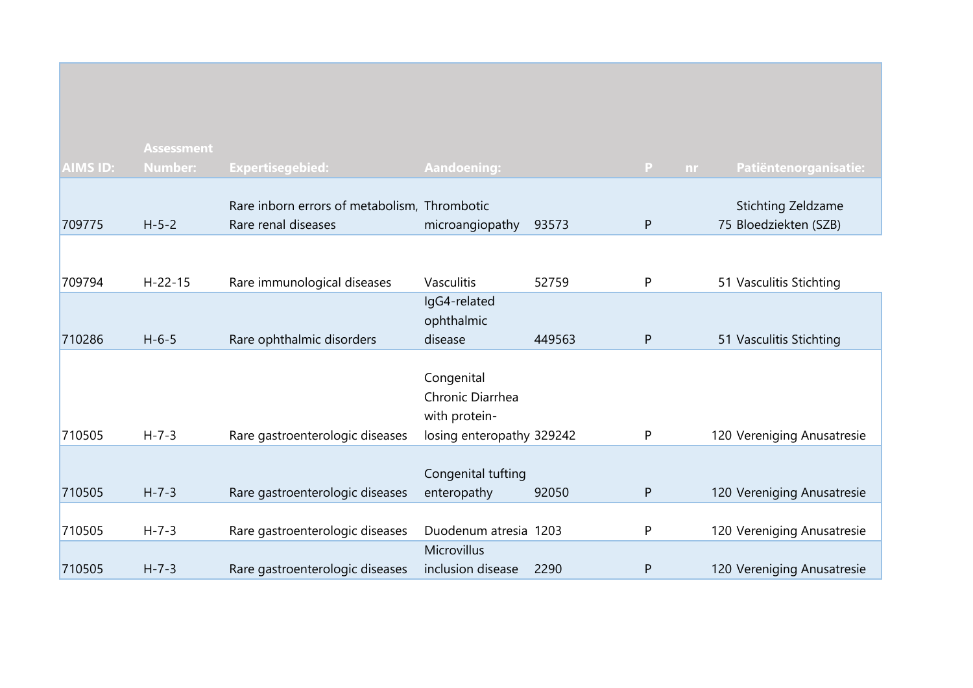|                 | <b>Assessment</b> |                                                                     |                                                                              |        |              |                                                    |
|-----------------|-------------------|---------------------------------------------------------------------|------------------------------------------------------------------------------|--------|--------------|----------------------------------------------------|
| <b>AIMS ID:</b> | <b>Number:</b>    | <b>Expertisegebied:</b>                                             | Aandoening:                                                                  |        | P.<br>nr.    | Patiëntenorganisatie:                              |
| 709775          | $H - 5 - 2$       | Rare inborn errors of metabolism, Thrombotic<br>Rare renal diseases | microangiopathy                                                              | 93573  | ${\sf P}$    | <b>Stichting Zeldzame</b><br>75 Bloedziekten (SZB) |
|                 |                   |                                                                     |                                                                              |        |              |                                                    |
| 709794          | $H - 22 - 15$     | Rare immunological diseases                                         | Vasculitis                                                                   | 52759  | P            | 51 Vasculitis Stichting                            |
|                 |                   |                                                                     | IgG4-related<br>ophthalmic                                                   |        |              |                                                    |
| 710286          | $H - 6 - 5$       | Rare ophthalmic disorders                                           | disease                                                                      | 449563 | P            | 51 Vasculitis Stichting                            |
| 710505          | $H - 7 - 3$       | Rare gastroenterologic diseases                                     | Congenital<br>Chronic Diarrhea<br>with protein-<br>losing enteropathy 329242 |        | P            | 120 Vereniging Anusatresie                         |
|                 |                   |                                                                     |                                                                              |        |              |                                                    |
| 710505          | $H - 7 - 3$       | Rare gastroenterologic diseases                                     | Congenital tufting<br>enteropathy                                            | 92050  | $\mathsf{P}$ | 120 Vereniging Anusatresie                         |
| 710505          | $H - 7 - 3$       | Rare gastroenterologic diseases                                     | Duodenum atresia 1203                                                        |        | P            | 120 Vereniging Anusatresie                         |
| 710505          | $H - 7 - 3$       | Rare gastroenterologic diseases                                     | Microvillus<br>inclusion disease                                             | 2290   | ${\sf P}$    | 120 Vereniging Anusatresie                         |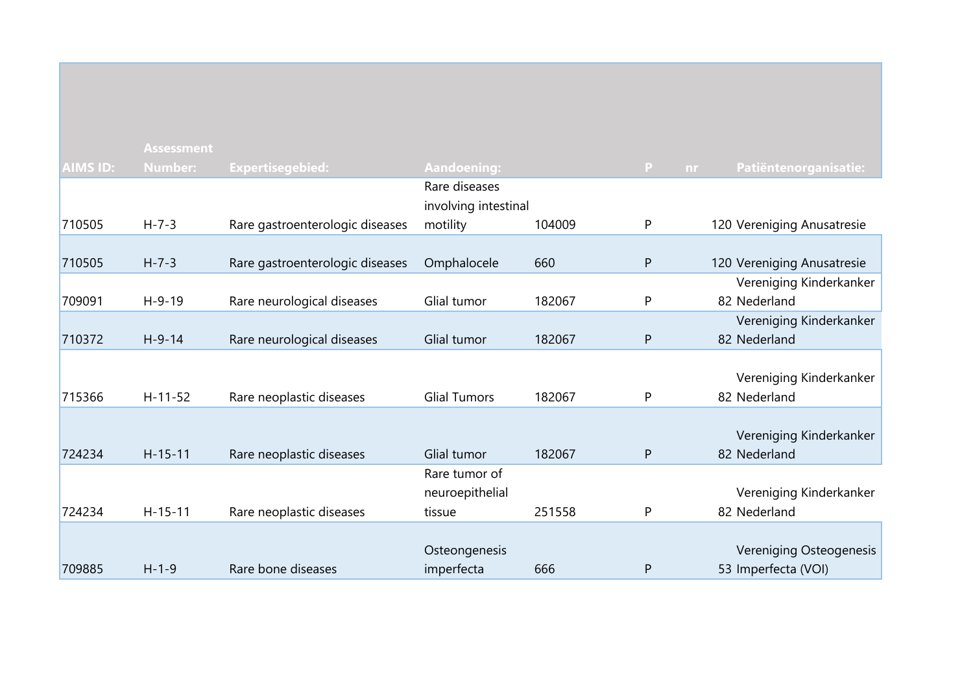|                 | <b>Assessment</b> |                                 |                      |        |              |                              |
|-----------------|-------------------|---------------------------------|----------------------|--------|--------------|------------------------------|
| <b>AIMS ID:</b> | <b>Number:</b>    | <b>Expertisegebied:</b>         | <b>Aandoening:</b>   |        | $\mathbf{P}$ | Patiëntenorganisatie:<br>nr. |
|                 |                   |                                 | Rare diseases        |        |              |                              |
|                 |                   |                                 | involving intestinal |        |              |                              |
| 710505          | $H - 7 - 3$       | Rare gastroenterologic diseases | motility             | 104009 | P            | 120 Vereniging Anusatresie   |
|                 |                   |                                 |                      |        |              |                              |
| 710505          | $H - 7 - 3$       | Rare gastroenterologic diseases | Omphalocele          | 660    | P            | 120 Vereniging Anusatresie   |
|                 |                   |                                 |                      |        |              | Vereniging Kinderkanker      |
| 709091          | $H-9-19$          | Rare neurological diseases      | Glial tumor          | 182067 | P            | 82 Nederland                 |
|                 |                   |                                 |                      |        |              | Vereniging Kinderkanker      |
| 710372          | $H-9-14$          | Rare neurological diseases      | Glial tumor          | 182067 | P            | 82 Nederland                 |
|                 |                   |                                 |                      |        |              |                              |
|                 |                   |                                 |                      |        |              | Vereniging Kinderkanker      |
| 715366          | $H-11-52$         | Rare neoplastic diseases        | <b>Glial Tumors</b>  | 182067 | P            | 82 Nederland                 |
|                 |                   |                                 |                      |        |              |                              |
|                 |                   |                                 |                      |        |              | Vereniging Kinderkanker      |
| 724234          | $H - 15 - 11$     | Rare neoplastic diseases        | Glial tumor          | 182067 | P            | 82 Nederland                 |
|                 |                   |                                 | Rare tumor of        |        |              |                              |
|                 |                   |                                 | neuroepithelial      |        |              | Vereniging Kinderkanker      |
| 724234          | $H-15-11$         | Rare neoplastic diseases        | tissue               | 251558 | P            | 82 Nederland                 |
|                 |                   |                                 |                      |        |              |                              |
|                 |                   |                                 | Osteongenesis        |        |              | Vereniging Osteogenesis      |
| 709885          | $H - 1 - 9$       | Rare bone diseases              | imperfecta           | 666    | P            | 53 Imperfecta (VOI)          |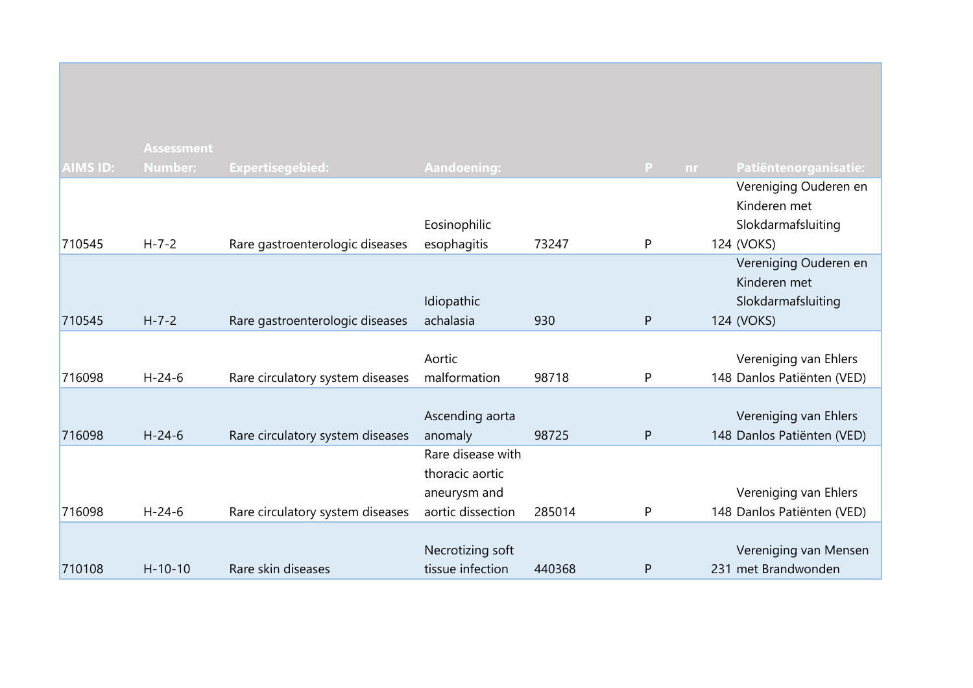|                 | <b>Assessment</b> |                                  |                    |        |    |     |                            |
|-----------------|-------------------|----------------------------------|--------------------|--------|----|-----|----------------------------|
| <b>AIMS ID:</b> | <b>Number:</b>    | <b>Expertisegebied:</b>          | <b>Aandoening:</b> |        | P. | nr. | Patiëntenorganisatie:      |
|                 |                   |                                  |                    |        |    |     | Vereniging Ouderen en      |
|                 |                   |                                  |                    |        |    |     | Kinderen met               |
|                 |                   |                                  | Eosinophilic       |        |    |     | Slokdarmafsluiting         |
| 710545          | $H - 7 - 2$       | Rare gastroenterologic diseases  | esophagitis        | 73247  | P  |     | 124 (VOKS)                 |
|                 |                   |                                  |                    |        |    |     | Vereniging Ouderen en      |
|                 |                   |                                  |                    |        |    |     | Kinderen met               |
|                 |                   |                                  | Idiopathic         |        |    |     | Slokdarmafsluiting         |
| 710545          | $H - 7 - 2$       | Rare gastroenterologic diseases  | achalasia          | 930    | P  |     | 124 (VOKS)                 |
|                 |                   |                                  |                    |        |    |     |                            |
|                 |                   |                                  | Aortic             |        |    |     | Vereniging van Ehlers      |
| 716098          | $H - 24 - 6$      | Rare circulatory system diseases | malformation       | 98718  | P  |     | 148 Danlos Patiënten (VED) |
|                 |                   |                                  |                    |        |    |     |                            |
|                 |                   |                                  | Ascending aorta    |        |    |     | Vereniging van Ehlers      |
| 716098          | $H - 24 - 6$      | Rare circulatory system diseases | anomaly            | 98725  | P  |     | 148 Danlos Patiënten (VED) |
|                 |                   |                                  | Rare disease with  |        |    |     |                            |
|                 |                   |                                  | thoracic aortic    |        |    |     |                            |
|                 |                   |                                  | aneurysm and       |        |    |     | Vereniging van Ehlers      |
| 716098          | $H - 24 - 6$      | Rare circulatory system diseases | aortic dissection  | 285014 | P  |     | 148 Danlos Patiënten (VED) |
|                 |                   |                                  |                    |        |    |     |                            |
|                 |                   |                                  | Necrotizing soft   |        |    |     | Vereniging van Mensen      |
| 710108          | $H - 10 - 10$     | Rare skin diseases               | tissue infection   | 440368 | P  |     | 231 met Brandwonden        |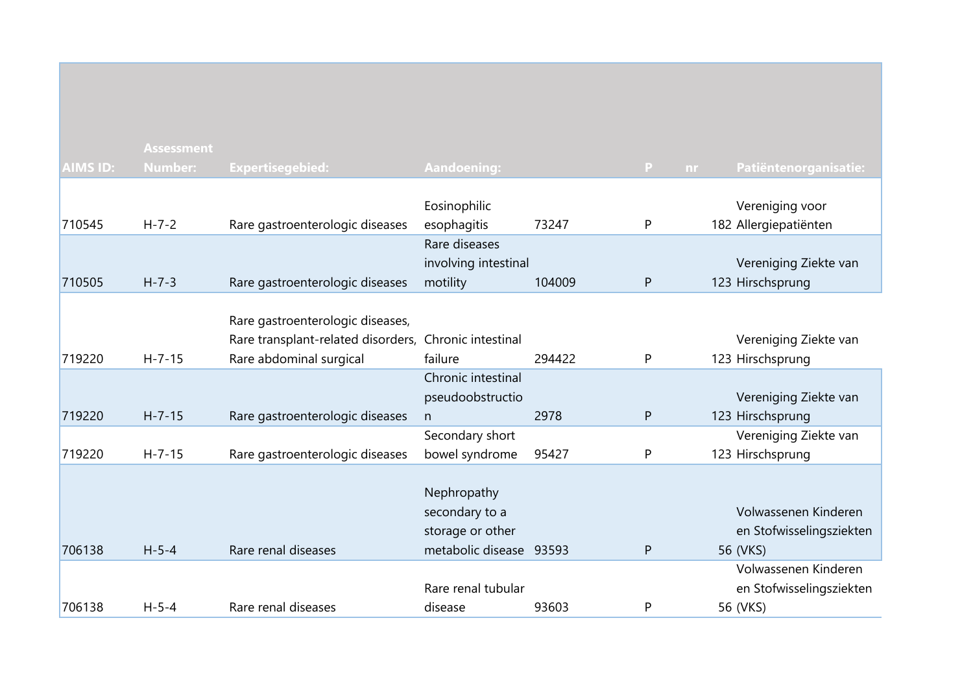|                 | <b>Assessment</b> |                                    |                         |        |              |    |                          |
|-----------------|-------------------|------------------------------------|-------------------------|--------|--------------|----|--------------------------|
| <b>AIMS ID:</b> | <b>Number:</b>    | Expertisegebied:                   | <b>Aandoening:</b>      |        | P            | nr | Patiëntenorganisatie:    |
|                 |                   |                                    |                         |        |              |    |                          |
|                 |                   |                                    | Eosinophilic            |        |              |    | Vereniging voor          |
| 710545          | $H - 7 - 2$       | Rare gastroenterologic diseases    | esophagitis             | 73247  | P            |    | 182 Allergiepatiënten    |
|                 |                   |                                    | Rare diseases           |        |              |    |                          |
|                 |                   |                                    | involving intestinal    |        |              |    | Vereniging Ziekte van    |
| 710505          | $H - 7 - 3$       | Rare gastroenterologic diseases    | motility                | 104009 | $\mathsf{P}$ |    | 123 Hirschsprung         |
|                 |                   |                                    |                         |        |              |    |                          |
|                 |                   | Rare gastroenterologic diseases,   |                         |        |              |    |                          |
|                 |                   | Rare transplant-related disorders, | Chronic intestinal      |        |              |    | Vereniging Ziekte van    |
| 719220          | $H - 7 - 15$      | Rare abdominal surgical            | failure                 | 294422 | P            |    | 123 Hirschsprung         |
|                 |                   |                                    | Chronic intestinal      |        |              |    |                          |
|                 |                   |                                    | pseudoobstructio        |        |              |    | Vereniging Ziekte van    |
| 719220          | $H - 7 - 15$      | Rare gastroenterologic diseases    | n                       | 2978   | $\mathsf{P}$ |    | 123 Hirschsprung         |
|                 |                   |                                    | Secondary short         |        |              |    | Vereniging Ziekte van    |
| 719220          | $H - 7 - 15$      | Rare gastroenterologic diseases    | bowel syndrome          | 95427  | P            |    | 123 Hirschsprung         |
|                 |                   |                                    |                         |        |              |    |                          |
|                 |                   |                                    | Nephropathy             |        |              |    |                          |
|                 |                   |                                    | secondary to a          |        |              |    | Volwassenen Kinderen     |
|                 |                   |                                    | storage or other        |        |              |    | en Stofwisselingsziekten |
| 706138          | $H - 5 - 4$       | Rare renal diseases                | metabolic disease 93593 |        | $\mathsf{P}$ |    | 56 (VKS)                 |
|                 |                   |                                    |                         |        |              |    | Volwassenen Kinderen     |
|                 |                   |                                    | Rare renal tubular      |        |              |    | en Stofwisselingsziekten |
| 706138          | $H - 5 - 4$       | Rare renal diseases                | disease                 | 93603  | P            |    | 56 (VKS)                 |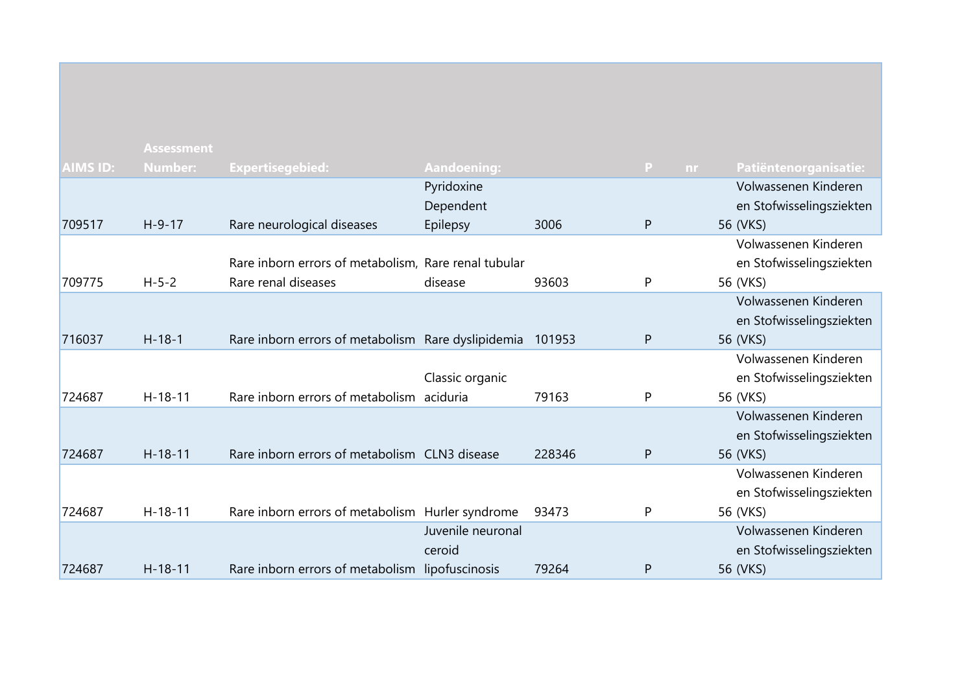|                 | <b>Assessment</b> |                                                      |                   |        |                           |                          |
|-----------------|-------------------|------------------------------------------------------|-------------------|--------|---------------------------|--------------------------|
| <b>AIMS ID:</b> | <b>Number:</b>    | <b>Expertisegebied:</b>                              | Aandoening:       |        | $\mathbf{P}$<br><b>nr</b> | Patiëntenorganisatie:    |
|                 |                   |                                                      | Pyridoxine        |        |                           | Volwassenen Kinderen     |
|                 |                   |                                                      | Dependent         |        |                           | en Stofwisselingsziekten |
| 709517          | $H-9-17$          | Rare neurological diseases                           | Epilepsy          | 3006   | P                         | 56 (VKS)                 |
|                 |                   |                                                      |                   |        |                           | Volwassenen Kinderen     |
|                 |                   | Rare inborn errors of metabolism, Rare renal tubular |                   |        |                           | en Stofwisselingsziekten |
| 709775          | $H - 5 - 2$       | Rare renal diseases                                  | disease           | 93603  | P                         | 56 (VKS)                 |
|                 |                   |                                                      |                   |        |                           | Volwassenen Kinderen     |
|                 |                   |                                                      |                   |        |                           | en Stofwisselingsziekten |
| 716037          | $H - 18 - 1$      | Rare inborn errors of metabolism Rare dyslipidemia   |                   | 101953 | P                         | 56 (VKS)                 |
|                 |                   |                                                      |                   |        |                           | Volwassenen Kinderen     |
|                 |                   |                                                      | Classic organic   |        |                           | en Stofwisselingsziekten |
| 724687          | $H-18-11$         | Rare inborn errors of metabolism aciduria            |                   | 79163  | P                         | 56 (VKS)                 |
|                 |                   |                                                      |                   |        |                           | Volwassenen Kinderen     |
|                 |                   |                                                      |                   |        |                           | en Stofwisselingsziekten |
| 724687          | $H - 18 - 11$     | Rare inborn errors of metabolism CLN3 disease        |                   | 228346 | P                         | 56 (VKS)                 |
|                 |                   |                                                      |                   |        |                           | Volwassenen Kinderen     |
|                 |                   |                                                      |                   |        |                           | en Stofwisselingsziekten |
| 724687          | $H-18-11$         | Rare inborn errors of metabolism Hurler syndrome     |                   | 93473  | P                         | 56 (VKS)                 |
|                 |                   |                                                      | Juvenile neuronal |        |                           | Volwassenen Kinderen     |
|                 |                   |                                                      | ceroid            |        |                           | en Stofwisselingsziekten |
| 724687          | $H - 18 - 11$     | Rare inborn errors of metabolism lipofuscinosis      |                   | 79264  | P                         | 56 (VKS)                 |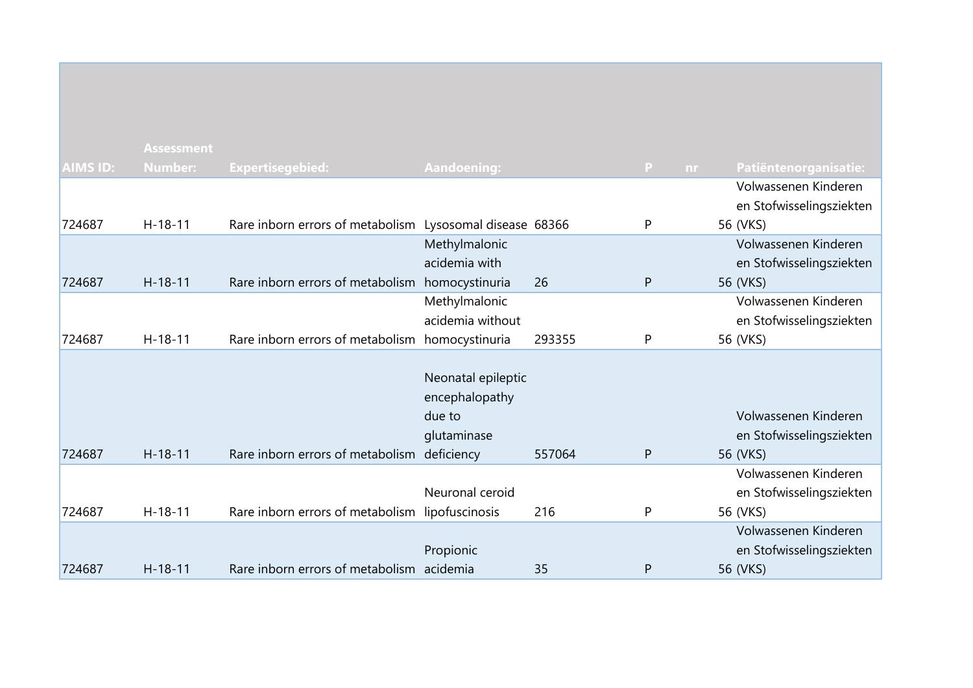|                 | <b>Assessment</b> |                                                          |                    |        |                     |                          |
|-----------------|-------------------|----------------------------------------------------------|--------------------|--------|---------------------|--------------------------|
| <b>AIMS ID:</b> | <b>Number:</b>    | Expertisegebied:                                         | <b>Aandoening:</b> |        | $\mathbf{P}$<br>nr. | Patiëntenorganisatie:    |
|                 |                   |                                                          |                    |        |                     | Volwassenen Kinderen     |
|                 |                   |                                                          |                    |        |                     | en Stofwisselingsziekten |
| 724687          | $H - 18 - 11$     | Rare inborn errors of metabolism Lysosomal disease 68366 |                    |        | P                   | 56 (VKS)                 |
|                 |                   |                                                          | Methylmalonic      |        |                     | Volwassenen Kinderen     |
|                 |                   |                                                          | acidemia with      |        |                     | en Stofwisselingsziekten |
| 724687          | $H-18-11$         | Rare inborn errors of metabolism                         | homocystinuria     | 26     | P                   | 56 (VKS)                 |
|                 |                   |                                                          | Methylmalonic      |        |                     | Volwassenen Kinderen     |
|                 |                   |                                                          | acidemia without   |        |                     | en Stofwisselingsziekten |
| 724687          | $H - 18 - 11$     | Rare inborn errors of metabolism homocystinuria          |                    | 293355 | P                   | 56 (VKS)                 |
|                 |                   |                                                          |                    |        |                     |                          |
|                 |                   |                                                          | Neonatal epileptic |        |                     |                          |
|                 |                   |                                                          | encephalopathy     |        |                     |                          |
|                 |                   |                                                          | due to             |        |                     | Volwassenen Kinderen     |
|                 |                   |                                                          | glutaminase        |        |                     | en Stofwisselingsziekten |
| 724687          | $H - 18 - 11$     | Rare inborn errors of metabolism                         | deficiency         | 557064 | P                   | 56 (VKS)                 |
|                 |                   |                                                          |                    |        |                     | Volwassenen Kinderen     |
|                 |                   |                                                          | Neuronal ceroid    |        |                     | en Stofwisselingsziekten |
| 724687          | $H-18-11$         | Rare inborn errors of metabolism lipofuscinosis          |                    | 216    | P                   | 56 (VKS)                 |
|                 |                   |                                                          |                    |        |                     | Volwassenen Kinderen     |
|                 |                   |                                                          | Propionic          |        |                     | en Stofwisselingsziekten |
| 724687          | $H - 18 - 11$     | Rare inborn errors of metabolism acidemia                |                    | 35     | P                   | 56 (VKS)                 |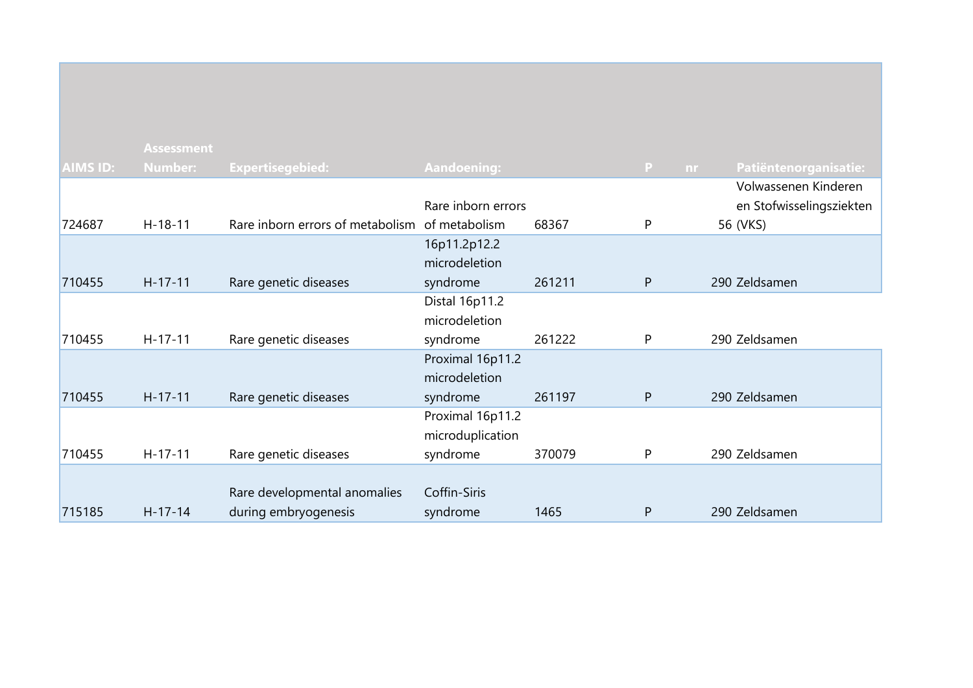|                 | <b>Assessment</b> |                                  |                    |        |              |                          |
|-----------------|-------------------|----------------------------------|--------------------|--------|--------------|--------------------------|
| <b>AIMS ID:</b> | Number:           | <b>Expertisegebied:</b>          | <b>Aandoening:</b> |        | P<br>nr.     | Patiëntenorganisatie:    |
|                 |                   |                                  |                    |        |              | Volwassenen Kinderen     |
|                 |                   |                                  | Rare inborn errors |        |              | en Stofwisselingsziekten |
| 724687          | $H-18-11$         | Rare inborn errors of metabolism | of metabolism      | 68367  | P            | 56 (VKS)                 |
|                 |                   |                                  | 16p11.2p12.2       |        |              |                          |
|                 |                   |                                  | microdeletion      |        |              |                          |
| 710455          | $H-17-11$         | Rare genetic diseases            | syndrome           | 261211 | P            | 290 Zeldsamen            |
|                 |                   |                                  | Distal 16p11.2     |        |              |                          |
|                 |                   |                                  | microdeletion      |        |              |                          |
| 710455          | $H-17-11$         | Rare genetic diseases            | syndrome           | 261222 | P            | 290 Zeldsamen            |
|                 |                   |                                  | Proximal 16p11.2   |        |              |                          |
|                 |                   |                                  | microdeletion      |        |              |                          |
| 710455          | $H-17-11$         | Rare genetic diseases            | syndrome           | 261197 | $\mathsf{P}$ | 290 Zeldsamen            |
|                 |                   |                                  | Proximal 16p11.2   |        |              |                          |
|                 |                   |                                  | microduplication   |        |              |                          |
| 710455          | $H-17-11$         | Rare genetic diseases            | syndrome           | 370079 | P            | 290 Zeldsamen            |
|                 |                   |                                  |                    |        |              |                          |
|                 |                   | Rare developmental anomalies     | Coffin-Siris       |        |              |                          |
| 715185          | $H-17-14$         | during embryogenesis             | syndrome           | 1465   | P            | 290 Zeldsamen            |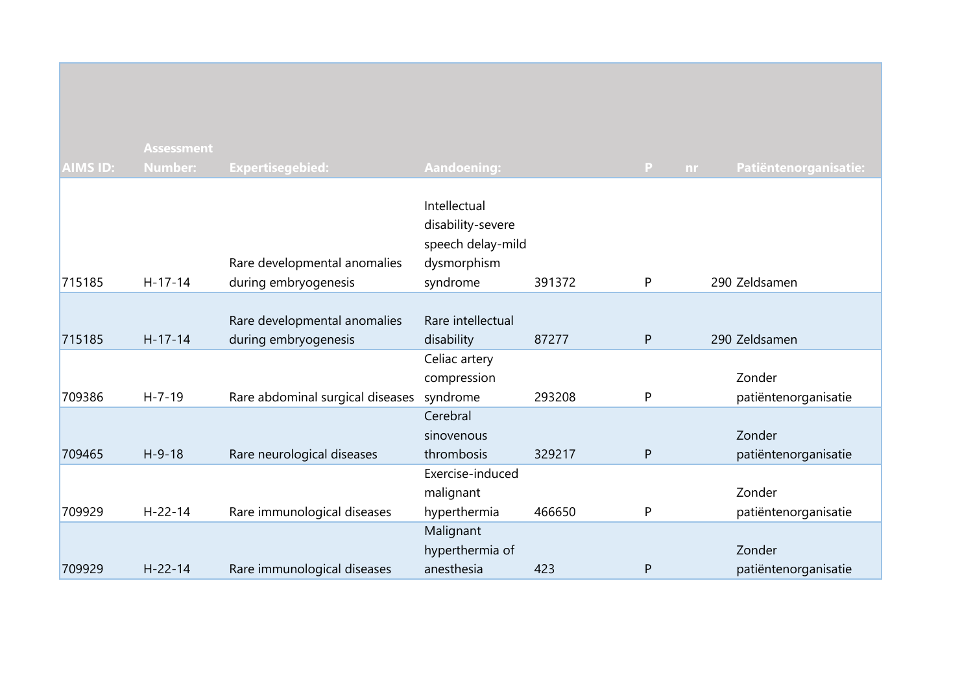|                 | <b>Assessment</b> |                                                      |                                                                                   |        |                     |                       |
|-----------------|-------------------|------------------------------------------------------|-----------------------------------------------------------------------------------|--------|---------------------|-----------------------|
| <b>AIMS ID:</b> | <b>Number:</b>    | <b>Expertisegebied:</b>                              | <b>Aandoening:</b>                                                                |        | $\mathbf{P}$<br>nr. | Patiëntenorganisatie: |
| 715185          | $H-17-14$         | Rare developmental anomalies<br>during embryogenesis | Intellectual<br>disability-severe<br>speech delay-mild<br>dysmorphism<br>syndrome | 391372 | P                   | 290 Zeldsamen         |
|                 |                   |                                                      |                                                                                   |        |                     |                       |
| 715185          | $H-17-14$         | Rare developmental anomalies<br>during embryogenesis | Rare intellectual<br>disability                                                   | 87277  | $\mathsf{P}$        | 290 Zeldsamen         |
|                 |                   |                                                      | Celiac artery                                                                     |        |                     |                       |
|                 |                   |                                                      | compression                                                                       |        |                     | Zonder                |
| 709386          | $H - 7 - 19$      | Rare abdominal surgical diseases                     | syndrome                                                                          | 293208 | P                   | patiëntenorganisatie  |
|                 |                   |                                                      | Cerebral                                                                          |        |                     |                       |
|                 |                   |                                                      | sinovenous                                                                        |        |                     | Zonder                |
| 709465          | $H-9-18$          | Rare neurological diseases                           | thrombosis                                                                        | 329217 | $\mathsf{P}$        | patiëntenorganisatie  |
|                 |                   |                                                      | Exercise-induced                                                                  |        |                     |                       |
|                 |                   |                                                      | malignant                                                                         |        |                     | Zonder                |
| 709929          | $H - 22 - 14$     | Rare immunological diseases                          | hyperthermia                                                                      | 466650 | P                   | patiëntenorganisatie  |
|                 |                   |                                                      | Malignant                                                                         |        |                     |                       |
|                 |                   |                                                      | hyperthermia of                                                                   |        |                     | Zonder                |
| 709929          | $H - 22 - 14$     | Rare immunological diseases                          | anesthesia                                                                        | 423    | P                   | patiëntenorganisatie  |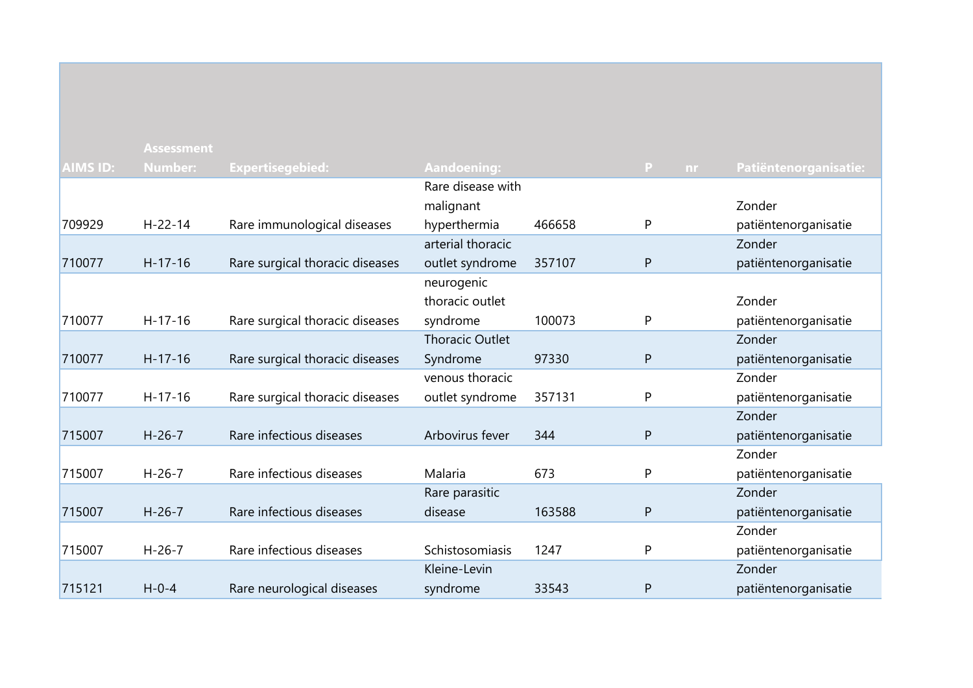| <b>AIMS ID:</b> | <b>Assessment</b><br><b>Number:</b> | <b>Expertisegebied:</b>         | Aandoening:            |        | P<br>nr | Patiëntenorganisatie: |
|-----------------|-------------------------------------|---------------------------------|------------------------|--------|---------|-----------------------|
|                 |                                     |                                 | Rare disease with      |        |         |                       |
|                 |                                     |                                 | malignant              |        |         | Zonder                |
| 709929          | $H - 22 - 14$                       | Rare immunological diseases     | hyperthermia           | 466658 | P       | patiëntenorganisatie  |
|                 |                                     |                                 | arterial thoracic      |        |         | Zonder                |
| 710077          | $H-17-16$                           | Rare surgical thoracic diseases | outlet syndrome        | 357107 | P       |                       |
|                 |                                     |                                 | neurogenic             |        |         | patiëntenorganisatie  |
|                 |                                     |                                 | thoracic outlet        |        |         | Zonder                |
|                 |                                     |                                 |                        |        |         |                       |
| 710077          | $H-17-16$                           | Rare surgical thoracic diseases | syndrome               | 100073 | P       | patiëntenorganisatie  |
|                 |                                     |                                 | <b>Thoracic Outlet</b> |        |         | Zonder                |
| 710077          | $H-17-16$                           | Rare surgical thoracic diseases | Syndrome               | 97330  | P       | patiëntenorganisatie  |
|                 |                                     |                                 | venous thoracic        |        |         | Zonder                |
| 710077          | $H-17-16$                           | Rare surgical thoracic diseases | outlet syndrome        | 357131 | P       | patiëntenorganisatie  |
|                 |                                     |                                 |                        |        |         | Zonder                |
| 715007          | $H - 26 - 7$                        | Rare infectious diseases        | Arbovirus fever        | 344    | P       | patiëntenorganisatie  |
|                 |                                     |                                 |                        |        |         | Zonder                |
| 715007          | $H - 26 - 7$                        | Rare infectious diseases        | Malaria                | 673    | P       | patiëntenorganisatie  |
|                 |                                     |                                 | Rare parasitic         |        |         | Zonder                |
| 715007          | $H - 26 - 7$                        | Rare infectious diseases        | disease                | 163588 | P       | patiëntenorganisatie  |
|                 |                                     |                                 |                        |        |         | Zonder                |
| 715007          | $H - 26 - 7$                        | Rare infectious diseases        | Schistosomiasis        | 1247   | P       | patiëntenorganisatie  |
|                 |                                     |                                 | Kleine-Levin           |        |         | Zonder                |
| 715121          | $H - 0 - 4$                         | Rare neurological diseases      | syndrome               | 33543  | P       | patiëntenorganisatie  |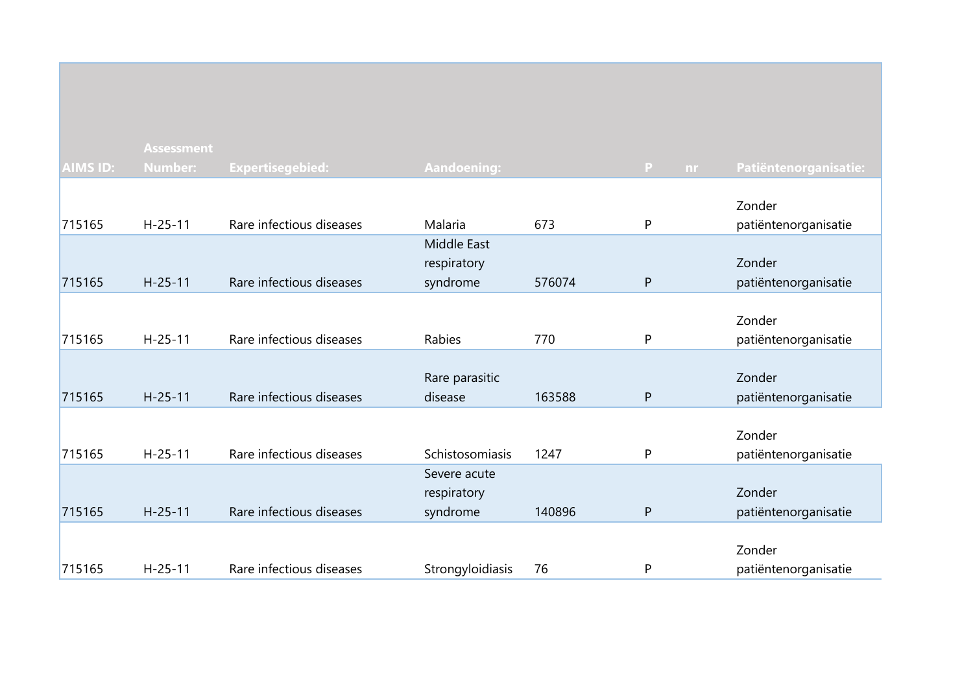|                 | <b>Assessment</b> |                          |                    |        |                    |                       |
|-----------------|-------------------|--------------------------|--------------------|--------|--------------------|-----------------------|
| <b>AIMS ID:</b> | <b>Number:</b>    | Expertisegebied:         | <b>Aandoening:</b> |        | $\mathbf{P}$<br>nr | Patiëntenorganisatie: |
|                 |                   |                          |                    |        |                    |                       |
|                 |                   |                          |                    |        |                    | Zonder                |
| 715165          | $H - 25 - 11$     | Rare infectious diseases | Malaria            | 673    | P                  | patiëntenorganisatie  |
|                 |                   |                          | Middle East        |        |                    |                       |
|                 |                   |                          | respiratory        |        |                    | Zonder                |
| 715165          | $H - 25 - 11$     | Rare infectious diseases | syndrome           | 576074 | $\mathsf{P}$       | patiëntenorganisatie  |
|                 |                   |                          |                    |        |                    |                       |
|                 |                   |                          |                    |        |                    | Zonder                |
| 715165          | $H - 25 - 11$     | Rare infectious diseases | Rabies             | 770    | P                  | patiëntenorganisatie  |
|                 |                   |                          |                    |        |                    |                       |
|                 |                   |                          | Rare parasitic     |        |                    | Zonder                |
| 715165          | $H - 25 - 11$     | Rare infectious diseases | disease            | 163588 | $\mathsf{P}$       | patiëntenorganisatie  |
|                 |                   |                          |                    |        |                    |                       |
|                 |                   |                          |                    |        |                    | Zonder                |
| 715165          | $H - 25 - 11$     | Rare infectious diseases | Schistosomiasis    | 1247   | P                  | patiëntenorganisatie  |
|                 |                   |                          | Severe acute       |        |                    |                       |
|                 |                   |                          | respiratory        |        |                    | Zonder                |
| 715165          | $H-25-11$         | Rare infectious diseases | syndrome           | 140896 | ${\sf P}$          | patiëntenorganisatie  |
|                 |                   |                          |                    |        |                    |                       |
|                 |                   |                          |                    |        |                    | Zonder                |
| 715165          | $H-25-11$         | Rare infectious diseases | Strongyloidiasis   | 76     | P                  | patiëntenorganisatie  |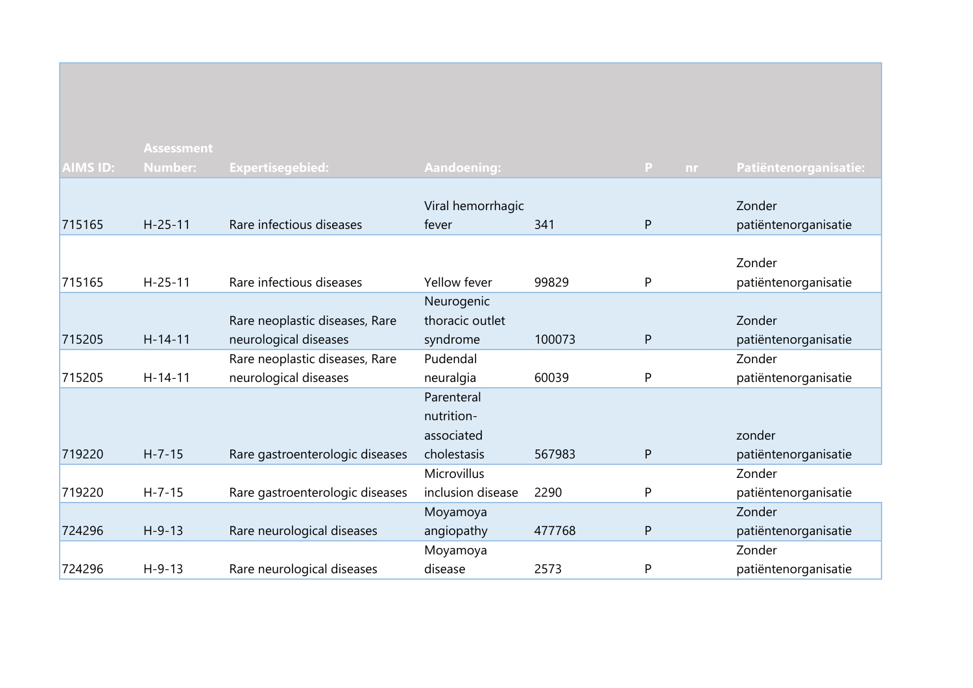|          | <b>Assessment</b> |                                 |                    |        |              |     |                       |
|----------|-------------------|---------------------------------|--------------------|--------|--------------|-----|-----------------------|
| AIMS ID: | <b>Number:</b>    | <b>Expertisegebied:</b>         | <b>Aandoening:</b> |        | P            | nr. | Patiëntenorganisatie: |
|          |                   |                                 |                    |        |              |     |                       |
|          |                   |                                 | Viral hemorrhagic  |        |              |     | Zonder                |
| 715165   | $H-25-11$         | Rare infectious diseases        | fever              | 341    | $\mathsf{P}$ |     | patiëntenorganisatie  |
|          |                   |                                 |                    |        |              |     |                       |
|          |                   |                                 |                    |        |              |     | Zonder                |
| 715165   | $H - 25 - 11$     | Rare infectious diseases        | Yellow fever       | 99829  | P            |     | patiëntenorganisatie  |
|          |                   |                                 | Neurogenic         |        |              |     |                       |
|          |                   | Rare neoplastic diseases, Rare  | thoracic outlet    |        |              |     | Zonder                |
| 715205   | $H - 14 - 11$     | neurological diseases           | syndrome           | 100073 | P            |     | patiëntenorganisatie  |
|          |                   | Rare neoplastic diseases, Rare  | Pudendal           |        |              |     | Zonder                |
| 715205   | $H - 14 - 11$     | neurological diseases           | neuralgia          | 60039  | P            |     | patiëntenorganisatie  |
|          |                   |                                 | Parenteral         |        |              |     |                       |
|          |                   |                                 | nutrition-         |        |              |     |                       |
|          |                   |                                 | associated         |        |              |     | zonder                |
| 719220   | $H - 7 - 15$      | Rare gastroenterologic diseases | cholestasis        | 567983 | $\mathsf{P}$ |     | patiëntenorganisatie  |
|          |                   |                                 | Microvillus        |        |              |     | Zonder                |
| 719220   | $H - 7 - 15$      | Rare gastroenterologic diseases | inclusion disease  | 2290   | P            |     | patiëntenorganisatie  |
|          |                   |                                 | Moyamoya           |        |              |     | Zonder                |
| 724296   | $H-9-13$          | Rare neurological diseases      | angiopathy         | 477768 | $\mathsf{P}$ |     | patiëntenorganisatie  |
|          |                   |                                 | Moyamoya           |        |              |     | Zonder                |
| 724296   | $H-9-13$          | Rare neurological diseases      | disease            | 2573   | $\mathsf{P}$ |     | patiëntenorganisatie  |